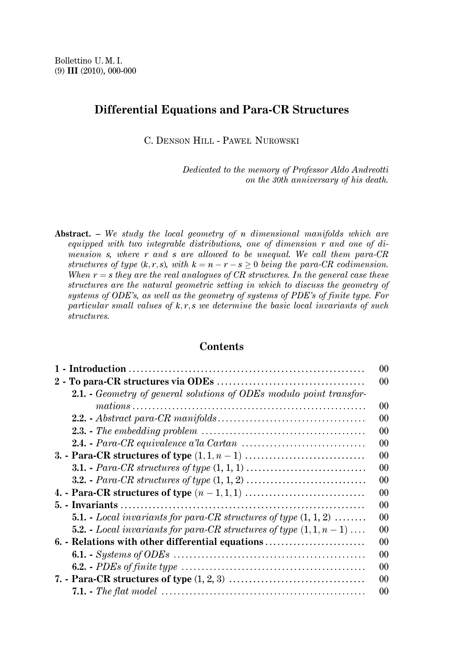# **Differential Equations and Para-CR Structures**

C. DENSON HILL - PAWEŁ NUROWSKI

Dedicated to the memory of Professor Aldo Andreotti on the 30th anniversary of his death.

**Abstract.** - We study the local geometry of n dimensional manifolds which are equipped with two integrable distributions, one of dimension r and one of dimension  $s$ , where  $r$  and  $s$  are allowed to be unequal. We call them para-CR structures of type  $(k, r, s)$ , with  $k = n - r - s > 0$  being the para-CR codimension. When  $r = s$  they are the real analogues of CR structures. In the general case these structures are the natural geometric setting in which to discuss the geometry of systems of ODE's, as well as the geometry of systems of PDE's of finite type. For particular small values of  $k, r, s$  we determine the basic local invariants of such structures.

# **Contents**

| 0 <sup>0</sup>                                                                              |
|---------------------------------------------------------------------------------------------|
| 00                                                                                          |
| <b>2.1.</b> Geometry of general solutions of ODEs modulo point transfor-                    |
| 00                                                                                          |
| 00                                                                                          |
| 00                                                                                          |
| 0 <sup>0</sup>                                                                              |
| 00                                                                                          |
| 0 <sup>0</sup>                                                                              |
| $00\,$                                                                                      |
| 0 <sup>0</sup>                                                                              |
| 00                                                                                          |
| <b>5.1.</b> - Local invariants for para-CR structures of type $(1, 1, 2)$<br>0 <sup>0</sup> |
| <b>5.2.</b> - Local invariants for para-CR structures of type $(1, 1, n-1)$<br>00           |
| 6. - Relations with other differential equations<br>$00\,$                                  |
| 00                                                                                          |
| 0 <sup>0</sup>                                                                              |
| 00                                                                                          |
| 00                                                                                          |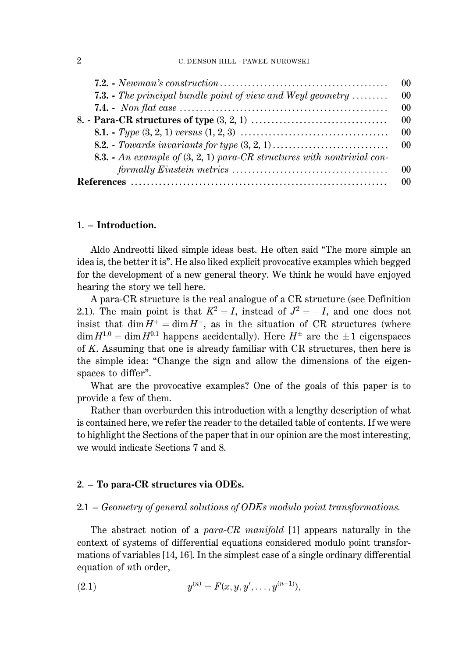|                                                                                  | $\Omega$       |
|----------------------------------------------------------------------------------|----------------|
| <b>7.3.</b> The principal bundle point of view and Weyl geometry $\ldots \ldots$ | 00             |
|                                                                                  | 0 <sup>0</sup> |
|                                                                                  | $\Omega$       |
|                                                                                  |                |
|                                                                                  |                |
| 8.3. - An example of $(3, 2, 1)$ para-CR structures with nontrivial con-         |                |
|                                                                                  | $\Omega$       |
|                                                                                  |                |

# 1. – Introduction.

Aldo Andreotti liked simple ideas best. He often said "The more simple an idea is, the better it is". He also liked explicit provocative examples which begged for the development of a new general theory. We think he would have enjoyed hearing the story we tell here.

A para-CR structure is the real analogue of a CR structure (see Definition 2.1). The main point is that  $K^2 = I$ , instead of  $J^2 = -I$ , and one does not insist that  $\dim H^+ = \dim H^-$ , as in the situation of CR structures (where  $\dim H^{1,0} = \dim H^{0,1}$  happens accidentally). Here  $H^{\pm}$  are the  $\pm 1$  eigenspaces of  $K$ . Assuming that one is already familiar with  $CR$  structures, then here is the simple idea: "Change the sign and allow the dimensions of the eigenspaces to differ".

What are the provocative examples? One of the goals of this paper is to provide a few of them.

Rather than overburden this introduction with a lengthy description of what is contained here, we refer the reader to the detailed table of contents. If we were to highlight the Sections of the paper that in our opinion are the most interesting, we would indicate Sections 7 and 8.

#### 2. – To para-CR structures via ODEs.

#### $2.1 - Geometry$  of general solutions of ODEs modulo point transformations.

The abstract notion of a para-CR manifold [1] appears naturally in the context of systems of differential equations considered modulo point transformations of variables [14, 16]. In the simplest case of a single ordinary differential equation of nth order,

(2.1) 
$$
y^{(n)} = F(x, y, y', \dots, y^{(n-1)}),
$$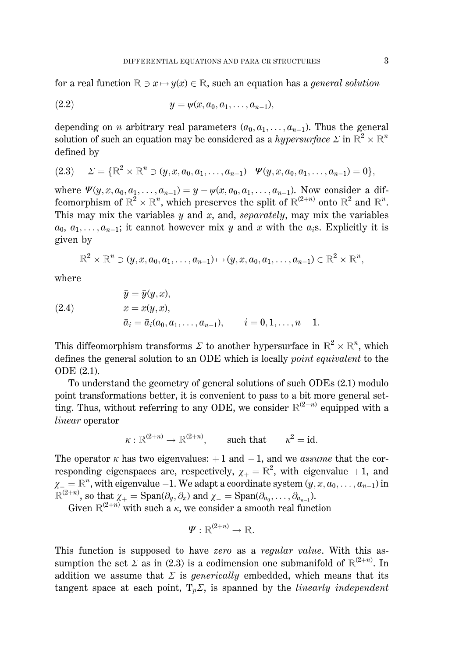for a real function  $\mathbb{R} \ni x \mapsto y(x) \in \mathbb{R}$ , such an equation has a *general solution* 

(2.2) 
$$
y = \psi(x, a_0, a_1, \dots, a_{n-1}),
$$

depending on *n* arbitrary real parameters  $(a_0, a_1, \ldots, a_{n-1})$ . Thus the general solution of such an equation may be considered as a hypersurface  $\Sigma$  in  $\mathbb{R}^2 \times \mathbb{R}^n$ defined by

$$
(2.3) \quad \Sigma = \{ \mathbb{R}^2 \times \mathbb{R}^n \ni (y, x, a_0, a_1, \dots, a_{n-1}) \mid \Psi(y, x, a_0, a_1, \dots, a_{n-1}) = 0 \},
$$

where  $\Psi(y, x, a_0, a_1, \ldots, a_{n-1}) = y - \psi(x, a_0, a_1, \ldots, a_{n-1})$ . Now consider a diffeomorphism of  $\mathbb{R}^2 \times \mathbb{R}^n$ , which preserves the split of  $\mathbb{R}^{2+n}$  onto  $\mathbb{R}^2$  and  $\mathbb{R}^n$ . This may mix the variables  $y$  and  $x$ , and, separately, may mix the variables  $a_0, a_1, \ldots, a_{n-1}$ ; it cannot however mix y and x with the  $a_i$ s. Explicitly it is given by

$$
\mathbb{R}^2 \times \mathbb{R}^n \ni (y, x, a_0, a_1, \dots, a_{n-1}) \mapsto (\bar{y}, \bar{x}, \bar{a}_0, \bar{a}_1, \dots, \bar{a}_{n-1}) \in \mathbb{R}^2 \times \mathbb{R}^n,
$$

where

(2.4) 
$$
\bar{y} = \bar{y}(y, x), \n\bar{x} = \bar{x}(y, x), \n\bar{a}_i = \bar{a}_i(a_0, a_1, \dots, a_{n-1}), \qquad i = 0, 1, \dots, n-1.
$$

This diffeomorphism transforms  $\Sigma$  to another hypersurface in  $\mathbb{R}^2 \times \mathbb{R}^n$ , which defines the general solution to an ODE which is locally *point equivalent* to the ODE (2.1).

To understand the geometry of general solutions of such ODEs (2.1) modulo point transformations better, it is convenient to pass to a bit more general setting. Thus, without referring to any ODE, we consider  $\mathbb{R}^{(2+n)}$  equipped with a linear operator

$$
\kappa : \mathbb{R}^{(2+n)} \to \mathbb{R}^{(2+n)}
$$
, such that  $\kappa^2 = id$ 

The operator  $\kappa$  has two eigenvalues:  $+1$  and  $-1$ , and we assume that the corresponding eigenspaces are, respectively,  $\chi_{+} = \mathbb{R}^{2}$ , with eigenvalue +1, and  $\chi_{-} = \mathbb{R}^{n}$ , with eigenvalue -1. We adapt a coordinate system  $(y, x, a_0, \ldots, a_{n-1})$  in  $\mathbb{R}^{(2+n)}$ , so that  $\chi_+ = \text{Span}(\partial_y, \partial_x)$  and  $\chi_- = \text{Span}(\partial_{a_0}, \dots, \partial_{a_{n-1}})$ .<br>Given  $\mathbb{R}^{(2+n)}$  with such a  $\kappa$ , we consider a smooth real function

$$
\pmb{\varPsi}: \mathbb{R}^{(2+n)} \rightarrow \mathbb{R}.
$$

This function is supposed to have zero as a regular value. With this assumption the set  $\Sigma$  as in (2.3) is a codimension one submanifold of  $\mathbb{R}^{(2+n)}$ . In addition we assume that  $\Sigma$  is *generically* embedded, which means that its tangent space at each point,  $T_p \Sigma$ , is spanned by the *linearly independent*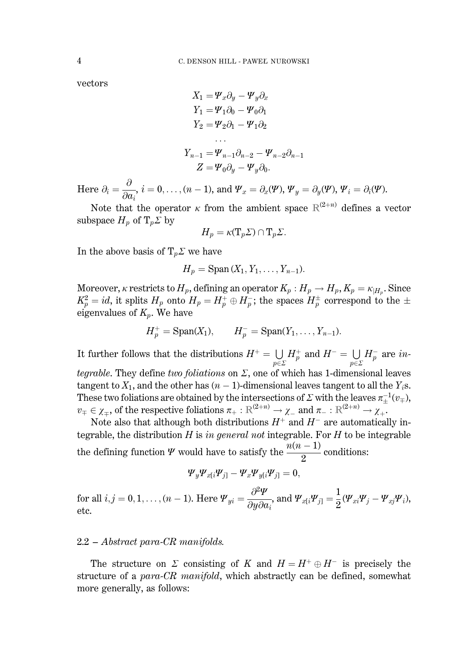vectors

$$
X_1 = \Psi_x \partial_y - \Psi_y \partial_x
$$
  
\n
$$
Y_1 = \Psi_1 \partial_0 - \Psi_0 \partial_1
$$
  
\n
$$
Y_2 = \Psi_2 \partial_1 - \Psi_1 \partial_2
$$
  
\n...  
\n
$$
Y_{n-1} = \Psi_{n-1} \partial_{n-2} - \Psi_{n-2} \partial_{n-1}
$$
  
\n
$$
Z = \Psi_0 \partial_y - \Psi_y \partial_0.
$$

Here  $\partial_i = \frac{\partial}{\partial a_i}$ ,  $i = 0, \ldots, (n-1)$ , and  $\Psi_x = \partial_x(\Psi)$ ,  $\Psi_y = \partial_y(\Psi)$ ,  $\Psi_i = \partial_i(\Psi)$ .

Note that the operator  $\kappa$  from the ambient space  $\mathbb{R}^{(2+n)}$  defines a vector subspace  $H_p$  of  $T_p \Sigma$  by

$$
H_p = \kappa(T_p \Sigma) \cap T_p \Sigma.
$$

In the above basis of  $T_p \Sigma$  we have

$$
H_p = \mathrm{Span}\,(X_1, Y_1, \ldots, Y_{n-1}).
$$

Moreover,  $\kappa$  restricts to  $H_p$ , defining an operator  $K_p: H_p \to H_p$ ,  $K_p = \kappa_{H_p}$ . Since  $K_p^2 = id$ , it splits  $H_p$  onto  $H_p = H_p^+ \oplus H_p^-$ ; the spaces  $H_p^{\pm}$  correspond to the  $\pm$ eigenvalues of  $K_p$ . We have

$$
H_p^+ = \text{Span}(X_1), \qquad H_p^- = \text{Span}(Y_1, \ldots, Y_{n-1}).
$$

It further follows that the distributions  $H^+ = \bigcup_{p \in \Sigma} H_p^+$  and  $H^- = \bigcup_{p \in \Sigma} H_p^-$  are *in*tegrable. They define two foliations on  $\Sigma$ , one of which has 1-dimensional leaves tangent to  $X_1$ , and the other has  $(n-1)$ -dimensional leaves tangent to all the  $Y_i$ s. These two foliations are obtained by the intersections of  $\Sigma$  with the leaves  $\pi_{\pm}^{-1}(v_{\mp}),$  $v_{\pm} \in \chi_{\pm}$ , of the respective foliations  $\pi_{+} : \mathbb{R}^{(2+n)} \to \chi_{-}$  and  $\pi_{-} : \mathbb{R}^{(2+n)} \to \chi_{+}$ .

Note also that although both distributions  $H^+$  and  $H^-$  are automatically integrable, the distribution  $H$  is in general not integrable. For  $H$  to be integrable the defining function  $\Psi$  would have to satisfy the  $\frac{n(n-1)}{2}$  conditions:

$$
\Psi_y \Psi_{x[i} \Psi_{j]} - \Psi_x \Psi_{y[i} \Psi_{j]} = 0,
$$

for all  $i, j = 0, 1, ..., (n - 1)$ . Here  $\Psi_{yi} = \frac{\partial^2 \Psi}{\partial u \partial a_i}$ , and  $\Psi_{xi} \Psi_{j1} = \frac{1}{2} (\Psi_{xi} \Psi_j - \Psi_{xj} \Psi_i)$ , etc.

#### $2.2 - Abstract\ para-CR\ manifolds.$

The structure on  $\Sigma$  consisting of K and  $H = H^+ \oplus H^-$  is precisely the structure of a para-CR manifold, which abstractly can be defined, somewhat more generally, as follows:

 $\overline{4}$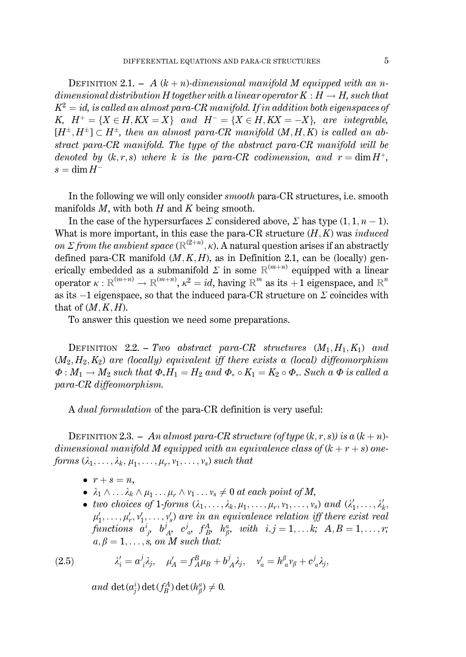DEFINITION 2.1. - A  $(k+n)$ -dimensional manifold M equipped with an ndimensional distribution H together with a linear operator  $K : H \to H$ , such that  $K^2 = id$ , is called an almost para-CR manifold. If in addition both eigenspaces of K,  $H^+ = \{X \in H, KX = X\}$  and  $H^- = \{X \in H, KX = -X\}$ , are integrable,  $[H^{\pm}, H^{\pm}] \subset H^{\pm}$ , then an almost para-CR manifold  $(M, H, K)$  is called an abstract para-CR manifold. The type of the abstract para-CR manifold will be denoted by  $(k, r, s)$  where k is the para-CR codimension, and  $r = \dim H^+$ ,  $s = \dim H^{-}$ 

In the following we will only consider *smooth* para-CR structures, *i.e.* smooth manifolds  $M$ , with both  $H$  and  $K$  being smooth.

In the case of the hypersurfaces  $\Sigma$  considered above,  $\Sigma$  has type  $(1, 1, n-1)$ . What is more important, in this case the para-CR structure  $(H, K)$  was *induced* on  $\Sigma$  from the ambient space  $(\mathbb{R}^{(2+n)}, \kappa)$ . A natural question arises if an abstractly defined para-CR manifold  $(M, K, H)$ , as in Definition 2.1, can be (locally) generically embedded as a submanifold  $\Sigma$  in some  $\mathbb{R}^{(m+n)}$  equipped with a linear operator  $\kappa : \mathbb{R}^{(m+n)} \to \mathbb{R}^{(m+n)}$ ,  $\kappa^2 = id$ , having  $\mathbb{R}^m$  as its  $+1$  eigenspace, and  $\mathbb{R}^n$ as its  $-1$  eigenspace, so that the induced para-CR structure on  $\Sigma$  coincides with that of  $(M, K, H)$ .

To answer this question we need some preparations.

DEFINITION 2.2. - Two abstract para-CR structures  $(M_1, H_1, K_1)$  and  $(M_2, H_2, K_2)$  are (locally) equivalent iff there exists a (local) diffeomorphism  $\Phi: M_1 \to M_2$  such that  $\Phi_* H_1 = H_2$  and  $\Phi_* \circ K_1 = K_2 \circ \Phi_*$ . Such a  $\Phi$  is called a para-CR diffeomorphism.

A *dual formulation* of the para-CR definition is very useful:

DEFINITION 2.3. - An almost para-CR structure (of type  $(k, r, s)$ ) is a  $(k + n)$ dimensional manifold M equipped with an equivalence class of  $(k + r + s)$  oneforms  $(\lambda_1, \ldots, \lambda_k, \mu_1, \ldots, \mu_r, \nu_1, \ldots, \nu_s)$  such that

- $\bullet$   $r + s = n$ ,
- $\lambda_1 \wedge \ldots \lambda_k \wedge \mu_1 \ldots \mu_r \wedge \nu_1 \ldots \nu_s \neq 0$  at each point of M,
- two choices of 1-forms  $(\lambda_1, \ldots, \lambda_k, \mu_1, \ldots, \mu_r, \nu_1, \ldots, \nu_s)$  and  $(\lambda'_1, \ldots, \lambda'_k, \ldots, \lambda'_s)$  $\mu'_1, \ldots, \mu'_r, \nu'_1, \ldots, \nu'_s$  are in an equivalence relation iff there exist real functions  $a^i_{j}, b^j_{A}, c^j_{a}, f^A_{B}, h^a_{\beta}, with i, j = 1,...k; A, B = 1,...,r;$  $a, \beta = 1, \ldots, s$ , on M such that:

(2.5) 
$$
\lambda'_i = a^j_i \lambda_j, \quad \mu'_A = f_A^B \mu_B + b^j_A \lambda_j, \quad \nu'_a = h^a_{\ a} \nu_\beta + c^j_{\ a} \lambda_j,
$$

and det $(a_i^i)$  det $(f_R^A)$  det  $(h_R^a) \neq 0$ .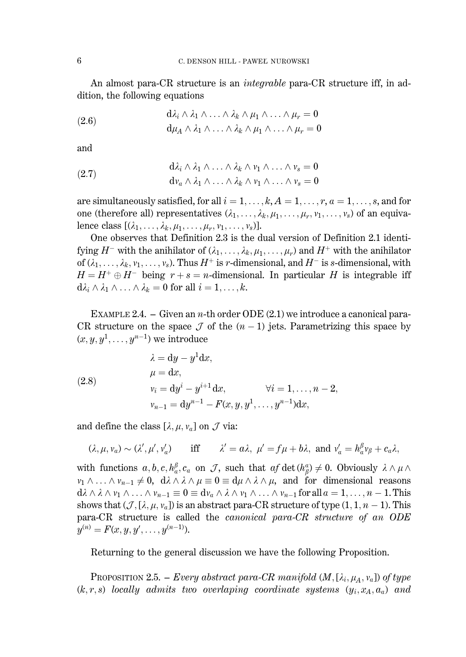An almost para-CR structure is an *integrable* para-CR structure iff, in addition, the following equations

(2.6) 
$$
d\lambda_i \wedge \lambda_1 \wedge \ldots \wedge \lambda_k \wedge \mu_1 \wedge \ldots \wedge \mu_r = 0
$$

$$
d\mu_A \wedge \lambda_1 \wedge \ldots \wedge \lambda_k \wedge \mu_1 \wedge \ldots \wedge \mu_r = 0
$$

and

(2.7) 
$$
d\lambda_i \wedge \lambda_1 \wedge \ldots \wedge \lambda_k \wedge \nu_1 \wedge \ldots \wedge \nu_s = 0
$$

$$
d\nu_a \wedge \lambda_1 \wedge \ldots \wedge \lambda_k \wedge \nu_1 \wedge \ldots \wedge \nu_s = 0
$$

are simultaneously satisfied, for all  $i = 1, ..., k$ ,  $A = 1, ..., r$ ,  $a = 1, ..., s$ , and for one (therefore all) representatives  $(\lambda_1, \ldots, \lambda_k, \mu_1, \ldots, \mu_r, \nu_1, \ldots, \nu_s)$  of an equivalence class  $[(\lambda_1,\ldots,\lambda_k,\mu_1,\ldots,\mu_r,\nu_1,\ldots,\nu_s)].$ 

One observes that Definition 2.3 is the dual version of Definition 2.1 identifying  $H^-$  with the anihilator of  $(\lambda_1, \ldots, \lambda_k, \mu_1, \ldots, \mu_r)$  and  $H^+$  with the anihilator of  $(\lambda_1, \ldots, \lambda_k, v_1, \ldots, v_s)$ . Thus  $H^+$  is r-dimensional, and  $H^-$  is s-dimensional, with  $H = H^+ \oplus H^-$  being  $r + s = n$ -dimensional. In particular H is integrable iff  $d\lambda_i \wedge \lambda_1 \wedge \ldots \wedge \lambda_k = 0$  for all  $i = 1, \ldots, k$ .

EXAMPLE 2.4. – Given an *n*-th order ODE  $(2.1)$  we introduce a canonical para-CR structure on the space  $\mathcal J$  of the  $(n-1)$  jets. Parametrizing this space by  $(x, y, y<sup>1</sup>, \ldots, y<sup>n-1</sup>)$  we introduce

(2.8) 
$$
\lambda = dy - y^{1} dx, \n\mu = dx, \nv_{i} = dy^{i} - y^{i+1} dx, \qquad \forall i = 1, ..., n-2, \nv_{n-1} = dy^{n-1} - F(x, y, y^{1}, ..., y^{n-1}) dx,
$$

and define the class  $[\lambda, \mu, \nu_a]$  on  $\mathcal J$  via:

$$
(\lambda, \mu, v_a) \sim (\lambda', \mu', v'_a)
$$
 iff  $\lambda' = a\lambda$ ,  $\mu' = f\mu + b\lambda$ , and  $v'_a = h_a^\beta v_\beta + c_a\lambda$ ,

with functions  $a, b, c, h_a^{\beta}, c_a$  on J, such that  $af \det(h_a^{\alpha}) \neq 0$ . Obviously  $\lambda \wedge \mu \wedge$  $\nu_1 \wedge \ldots \wedge \nu_{n-1} \neq 0$ ,  $d\lambda \wedge \lambda \wedge \mu \equiv 0 \equiv d\mu \wedge \lambda \wedge \mu$ , and for dimensional reasons  $d\lambda \wedge \lambda \wedge v_1 \wedge \ldots \wedge v_{n-1} \equiv 0 \equiv dv_a \wedge \lambda \wedge v_1 \wedge \ldots \wedge v_{n-1}$  for all  $a = 1, \ldots, n-1$ . This shows that  $(\mathcal{J}, [\lambda, \mu, \nu_a])$  is an abstract para-CR structure of type  $(1, 1, n-1)$ . This para-CR structure is called the *canonical para-CR structure of an ODE*  $y^{(n)} = F(x, y, y', \dots, y^{(n-1)}).$ 

Returning to the general discussion we have the following Proposition.

**PROPOSITION 2.5.** – *Every abstract para-CR manifold*  $(M, [\lambda_i, \mu_A, \nu_a])$  of type  $(k, r, s)$  locally admits two overlaping coordinate systems  $(y_i, x_A, a_a)$  and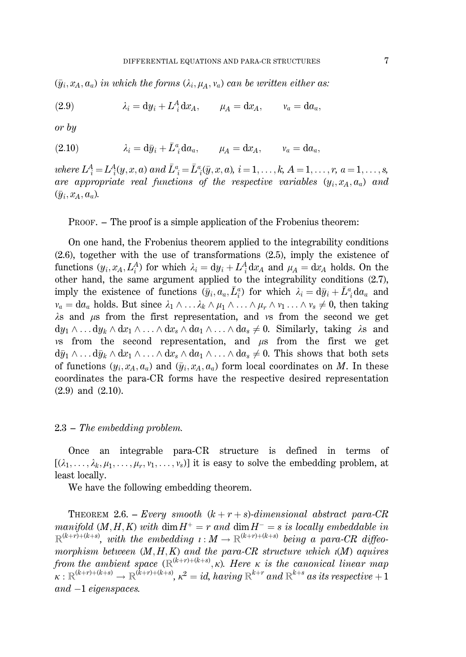$(\bar{y}_i, x_A, a_a)$  in which the forms  $(\lambda_i, \mu_A, v_a)$  can be written either as:

$$
(2.9) \t\t\t  $\lambda_i = dy_i + L_i^A dx_A, \t\t \mu_A = dx_A, \t\t v_a = da_a,$
$$

 $or\,by$ 

$$
(2.10) \t\t\t  $\lambda_i = d\bar{y}_i + \bar{L}_i^a d a_a, \t\t \mu_A = d x_A, \t\t v_a = d a_a,$
$$

where  $L_j^A = L_j^A(y, x, a)$  and  $\bar{L}_j^a = \bar{L}_j^a(\bar{y}, x, a), i = 1, \ldots, k, A = 1, \ldots, r, a = 1, \ldots, s$ , are appropriate real functions of the respective variables  $(y_i, x_A, a_a)$  and  $(\bar{y}_i, x_A, a_a)$ .

PROOF. - The proof is a simple application of the Frobenius theorem:

On one hand, the Frobenius theorem applied to the integrability conditions  $(2.6)$ , together with the use of transformations  $(2.5)$ , imply the existence of functions  $(y_i, x_A, L_i^A)$  for which  $\lambda_i = dy_i + L_i^A dx_A$  and  $\mu_A = dx_A$  holds. On the other hand, the same argument applied to the integrability conditions (2.7), imply the existence of functions  $(\bar{y}_i, a_a, \bar{L}_i^a)$  for which  $\lambda_i = d\bar{y}_i + \bar{L}^a_i da_a$  and  $v_a = da_a$  holds. But since  $\lambda_1 \wedge \ldots \lambda_k \wedge \mu_1 \wedge \ldots \wedge \mu_r \wedge \nu_1 \ldots \wedge \nu_s \neq 0$ , then taking  $\lambda$ s and  $\mu$ s from the first representation, and vs from the second we get  $dy_1 \wedge \ldots dy_k \wedge dx_1 \wedge \ldots \wedge dx_s \wedge da_1 \wedge \ldots \wedge da_s \neq 0$ . Similarly, taking  $\lambda$ s and vs from the second representation, and  $\mu$ s from the first we get  $d\bar{y}_1 \wedge \ldots d\bar{y}_k \wedge dx_1 \wedge \ldots \wedge dx_s \wedge da_1 \wedge \ldots \wedge da_s \neq 0$ . This shows that both sets of functions  $(y_i, x_A, a_a)$  and  $(\bar{y}_i, x_A, a_a)$  form local coordinates on M. In these coordinates the para-CR forms have the respective desired representation  $(2.9)$  and  $(2.10)$ .

#### $2.3$  – The embedding problem.

Once an integrable para-CR structure is defined in terms of  $[(\lambda_1,\ldots,\lambda_k,\mu_1,\ldots,\mu_r,\nu_1,\ldots,\nu_s)]$  it is easy to solve the embedding problem, at least locally.

We have the following embedding theorem.

**THEOREM** 2.6. - *Every smooth*  $(k + r + s)$ -dimensional abstract para-CR manifold  $(M, H, K)$  with dim  $H^+ = r$  and dim  $H^- = s$  is locally embeddable in  $\mathbb{R}^{(k+r)+(k+s)}$ , with the embedding  $\iota: M \to \mathbb{R}^{(k+r)+(k+s)}$  being a para-CR diffeomorphism between  $(M, H, K)$  and the para-CR structure which  $\iota(M)$  aquires from the ambient space  $(\mathbb{R}^{(k+r)+(k+s)}, \kappa)$ . Here  $\kappa$  is the canonical linear map  $\kappa: \mathbb{R}^{(k+r)+(k+s)} \to \mathbb{R}^{(k+r)+(k+s)}$ ,  $\kappa^2 = id$ , having  $\mathbb{R}^{k+r}$  and  $\mathbb{R}^{k+s}$  as its respective  $+1$  $and -1 eigenspaces.$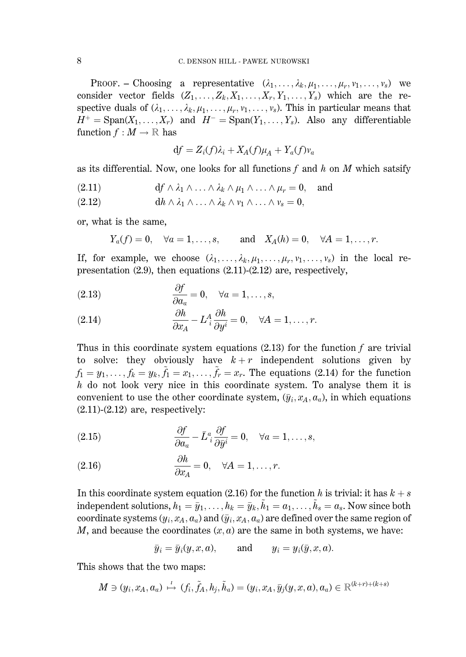PROOF. - Choosing a representative  $(\lambda_1, \ldots, \lambda_k, \mu_1, \ldots, \mu_s, \nu_1, \ldots, \nu_s)$  we consider vector fields  $(Z_1, \ldots, Z_k, X_1, \ldots, X_r, Y_1, \ldots, Y_s)$  which are the respective duals of  $(\lambda_1, \ldots, \lambda_k, \mu_1, \ldots, \mu_r, \nu_1, \ldots, \nu_s)$ . This in particular means that  $H^+ = \text{Span}(X_1, \ldots, X_r)$  and  $H^- = \text{Span}(Y_1, \ldots, Y_s)$ . Also any differentiable function  $f: M \to \mathbb{R}$  has

$$
df = Z_i(f)\lambda_i + X_A(f)\mu_A + Y_a(f)v_a
$$

as its differential. Now, one looks for all functions f and h on M which satsify

- $df \wedge \lambda_1 \wedge \ldots \wedge \lambda_k \wedge \mu_1 \wedge \ldots \wedge \mu_r = 0$  $(2.11)$ and
- $dh \wedge \lambda_1 \wedge \ldots \wedge \lambda_k \wedge \nu_1 \wedge \ldots \wedge \nu_s = 0,$  $(2.12)$

or, what is the same,

 $Y_a(f) = 0$ ,  $\forall a = 1, ..., s$ , and  $X_A(h) = 0$ ,  $\forall A = 1, ..., r$ .

If, for example, we choose  $(\lambda_1, \ldots, \lambda_k, \mu_1, \ldots, \mu_r, \nu_1, \ldots, \nu_s)$  in the local representation  $(2.9)$ , then equations  $(2.11)-(2.12)$  are, respectively,

(2.13) 
$$
\frac{\partial f}{\partial a_a} = 0, \quad \forall a = 1, ..., s,
$$

(2.14) 
$$
\frac{\partial h}{\partial x_A} - L_i^A \frac{\partial h}{\partial y^i} = 0, \quad \forall A = 1, \dots, r.
$$

Thus in this coordinate system equations  $(2.13)$  for the function f are trivial to solve: they obviously have  $k+r$  independent solutions given by  $f_1 = y_1, \ldots, f_k = y_k, \tilde{f}_1 = x_1, \ldots, \tilde{f}_r = x_r$ . The equations (2.14) for the function  $h$  do not look very nice in this coordinate system. To analyse them it is convenient to use the other coordinate system,  $(\bar{y}_i, x_A, a_a)$ , in which equations  $(2.11)-(2.12)$  are, respectively:

(2.15) 
$$
\frac{\partial f}{\partial a_a} - \bar{L}^a_i \frac{\partial f}{\partial \bar{y}^i} = 0, \quad \forall a = 1, ..., s
$$

(2.16) 
$$
\frac{\partial h}{\partial x_A} = 0, \quad \forall A = 1, \dots, r.
$$

In this coordinate system equation (2.16) for the function h is trivial: it has  $k + s$ independent solutions,  $h_1 = \bar{y}_1, \ldots, h_k = \bar{y}_k, \tilde{h}_1 = a_1, \ldots, \tilde{h}_s = a_s$ . Now since both coordinate systems  $(y_i, x_A, a_a)$  and  $(\bar{y}_i, x_A, a_a)$  are defined over the same region of M, and because the coordinates  $(x, a)$  are the same in both systems, we have:

$$
\bar{y}_i = \bar{y}_i(y, x, a),
$$
 and  $y_i = y_i(\bar{y}, x, a).$ 

This shows that the two maps:

$$
M\ni (y_i,x_A,a_a)\overset{\iota}{\mapsto}(f_i,\tilde{f}_A,h_j,\tilde{h}_a)=(y_i,x_A,\bar{y}_j(y,x,a),a_a)\in \mathbb{R}^{(k+r)+(k+s)}
$$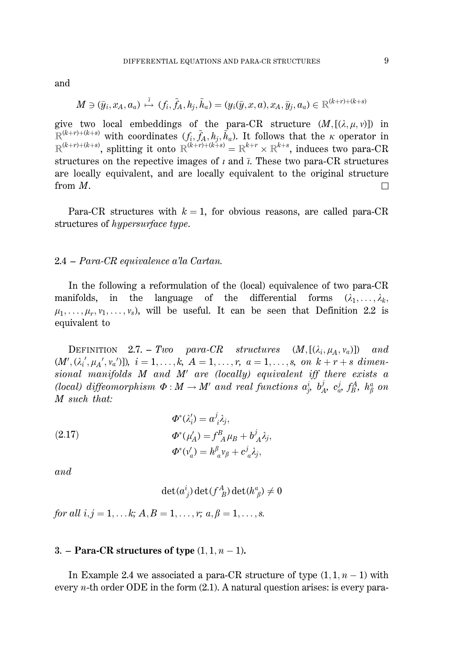and

$$
M\ni(\bar{y}_i,x_A,a_a)\stackrel{\bar{i}}{\mapsto}(f_i,\tilde{f}_A,h_j,\tilde{h}_a)=(y_i(\bar{y},x,a),x_A,\bar{y}_j,a_a)\in\mathbb{R}^{(k+r)+(k+s)}
$$

give two local embeddings of the para-CR structure  $(M, [(\lambda, \mu, \nu)])$  in  $\mathbb{R}^{(k+r)+(k+s)}$  with coordinates  $(f_i, \tilde{f}_A, h_j, \tilde{h}_a)$ . It follows that the  $\kappa$  operator in  $\mathbb{R}^{(k+r)+(k+s)}$ , splitting it onto  $\mathbb{R}^{(k+r)+(k+s)} = \mathbb{R}^{k+r} \times \mathbb{R}^{k+s}$ , induces two para-CR structures on the repective images of  $\iota$  and  $\bar{\iota}$ . These two para-CR structures are locally equivalent, and are locally equivalent to the original structure from  $M$ .

Para-CR structures with  $k = 1$ , for obvious reasons, are called para-CR structures of *hypersurface type*.

#### 2.4 – Para-CR equivalence a'la Cartan.

In the following a reformulation of the (local) equivalence of two para-CR manifolds, in the language of the differential forms  $(\lambda_1, \ldots, \lambda_k,$  $\mu_1, \ldots, \mu_r, \nu_1, \ldots, \nu_s$ , will be useful. It can be seen that Definition 2.2 is equivalent to

DEFINITION 2.7. – Two para-CR structures  $(M, [(\lambda_i, \mu_A, \nu_a)])$  and  $(M', (\lambda_i', \mu_{A'}, \nu_{a'}))$ ,  $i = 1, ..., k$ ,  $A = 1, ..., r$ ,  $a = 1, ..., s$ , on  $k + r + s$  dimensional manifolds M and M' are (locally) equivalent iff there exists a (local) diffeomorphism  $\Phi : M \to M'$  and real functions  $a_i^i$ ,  $b_A^j$ ,  $c_\omega^j$ ,  $f_B^A$ ,  $h_\beta^a$  on M such that:

(2.17) 
$$
\Phi^*(\lambda_i') = a^j \lambda_j,
$$

$$
\Phi^*(\mu_A') = f^B_{\ A} \mu_B + b^j_A \lambda_j,
$$

$$
\Phi^*(\nu_a') = h^{\beta}_{\ a} \nu_{\beta} + c^j_{\ a} \lambda_j,
$$

and

$$
\det(a^i_{\;j})\det(f^A_{\;B})\det(h^a_{\;\beta})\neq 0
$$

for all  $i, j = 1, \ldots k$ ;  $A, B = 1, \ldots, r$ ;  $a, \beta = 1, \ldots, s$ .

#### 3. – Para-CR structures of type  $(1, 1, n-1)$ .

In Example 2.4 we associated a para-CR structure of type  $(1, 1, n-1)$  with every *n*-th order ODE in the form  $(2.1)$ . A natural question arises: is every para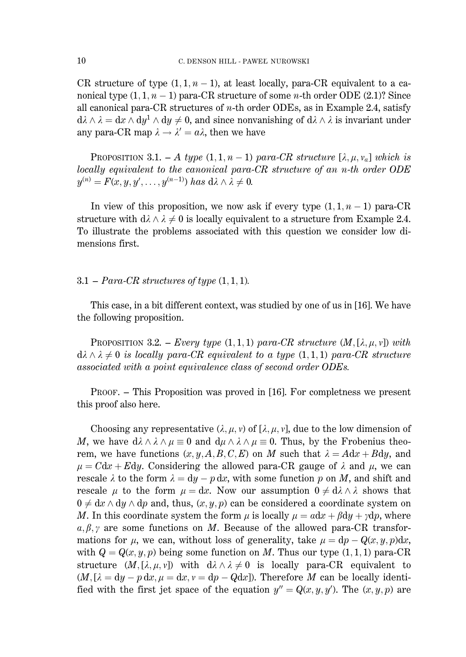CR structure of type  $(1, 1, n-1)$ , at least locally, para-CR equivalent to a canonical type  $(1,1,n-1)$  para-CR structure of some *n*-th order ODE  $(2.1)$ ? Since all canonical para-CR structures of  $n$ -th order ODEs, as in Example 2.4, satisfy  $d\lambda \wedge \lambda = dx \wedge dy^1 \wedge dy \neq 0$ , and since nonvanishing of  $d\lambda \wedge \lambda$  is invariant under any para-CR map  $\lambda \rightarrow \lambda' = a\lambda$ , then we have

**PROPOSITION** 3.1. - A type  $(1, 1, n-1)$  para-CR structure  $[\lambda, \mu, \nu_a]$  which is locally equivalent to the canonical para-CR structure of an n-th order  $ODE$  $y^{(n)} = F(x, y, y', \dots, y^{(n-1)})$  has  $d\lambda \wedge \lambda \neq 0$ .

In view of this proposition, we now ask if every type  $(1, 1, n-1)$  para-CR structure with  $d\lambda \wedge \lambda \neq 0$  is locally equivalent to a structure from Example 2.4. To illustrate the problems associated with this question we consider low dimensions first.

#### 3.1 – Para-CR structures of type  $(1,1,1)$ .

This case, in a bit different context, was studied by one of us in [16]. We have the following proposition.

**PROPOSITION** 3.2. - *Every type*  $(1,1,1)$  *para-CR structure*  $(M,[\lambda,\mu,\nu])$  *with*  $d\lambda \wedge \lambda \neq 0$  is locally para-CR equivalent to a type  $(1,1,1)$  para-CR structure associated with a point equivalence class of second order ODEs.

 $PROOF.$  – This Proposition was proved in [16]. For completness we present this proof also here.

Choosing any representative  $(\lambda, \mu, \nu)$  of  $[\lambda, \mu, \nu]$ , due to the low dimension of M, we have  $d\lambda \wedge \lambda \wedge \mu \equiv 0$  and  $d\mu \wedge \lambda \wedge \mu \equiv 0$ . Thus, by the Frobenius theorem, we have functions  $(x, y, A, B, C, E)$  on M such that  $\lambda = A dx + B dy$ , and  $\mu = Cdx + Edy$ . Considering the allowed para-CR gauge of  $\lambda$  and  $\mu$ , we can rescale  $\lambda$  to the form  $\lambda = dy - p dx$ , with some function p on M, and shift and rescale  $\mu$  to the form  $\mu = dx$ . Now our assumption  $0 \neq d\lambda \wedge \lambda$  shows that  $0 \neq dx \wedge dy \wedge dp$  and, thus,  $(x, y, p)$  can be considered a coordinate system on M. In this coordinate system the form  $\mu$  is locally  $\mu = adx + \beta dy + \gamma dp$ , where  $\alpha, \beta, \gamma$  are some functions on M. Because of the allowed para-CR transformations for  $\mu$ , we can, without loss of generality, take  $\mu = dp - Q(x, y, p)dx$ , with  $Q = Q(x, y, p)$  being some function on M. Thus our type  $(1, 1, 1)$  para-CR structure  $(M, [\lambda, \mu, \nu])$  with  $d\lambda \wedge \lambda \neq 0$  is locally para-CR equivalent to  $(M, [\lambda = dy - p dx, \mu = dx, \nu = dp - Qdx]$ ). Therefore M can be locally identified with the first jet space of the equation  $y'' = Q(x, y, y')$ . The  $(x, y, p)$  are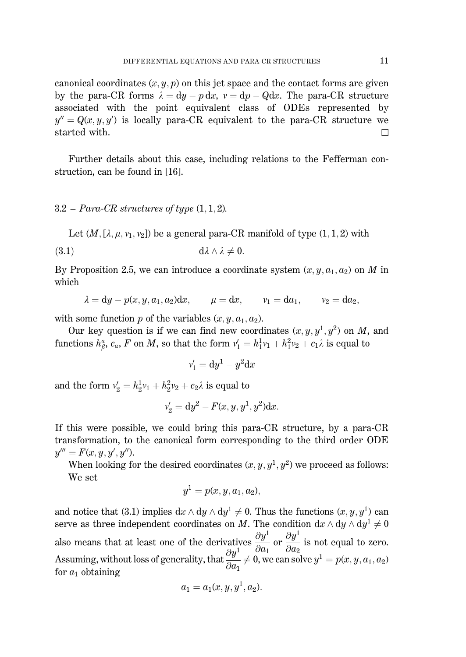canonical coordinates  $(x, y, p)$  on this jet space and the contact forms are given by the para-CR forms  $\lambda = d\psi - p dx$ ,  $v = dp - Q dx$ . The para-CR structure associated with the point equivalent class of ODEs represented by  $u'' = Q(x, u, u')$  is locally para-CR equivalent to the para-CR structure we started with.  $\Box$ 

Further details about this case, including relations to the Fefferman construction, can be found in [16].

### $3.2 - Para\text{-}CR$  structures of type  $(1, 1, 2)$ .

Let  $(M, [\lambda, \mu, v_1, v_2])$  be a general para-CR manifold of type  $(1, 1, 2)$  with

$$
(3.1) \t\t d\lambda \wedge \lambda \neq 0
$$

By Proposition 2.5, we can introduce a coordinate system  $(x, y, a_1, a_2)$  on M in which

$$
\lambda = dy - p(x, y, a_1, a_2)dx, \qquad \mu = dx, \qquad v_1 = da_1, \qquad v_2 = da_2,
$$

with some function p of the variables  $(x, y, a_1, a_2)$ .

Our key question is if we can find new coordinates  $(x, y, y<sup>1</sup>, y<sup>2</sup>)$  on M, and functions  $h^a_\beta$ ,  $c_a$ , F on M, so that the form  $v'_1 = h^1_1 v_1 + h^2_1 v_2 + c_1 \lambda$  is equal to

$$
v_1' = dy^1 - y^2 dx
$$

and the form  $v'_2 = h_2^1 v_1 + h_2^2 v_2 + c_2 \lambda$  is equal to

$$
v_2' = dy^2 - F(x, y, y^1, y^2)dx.
$$

If this were possible, we could bring this para-CR structure, by a para-CR transformation, to the canonical form corresponding to the third order ODE  $y''' = F(x, y, y', y'').$ 

When looking for the desired coordinates  $(x, y, y<sup>1</sup>, y<sup>2</sup>)$  we proceed as follows: We set

$$
y^1 = p(x, y, a_1, a_2),
$$

and notice that (3.1) implies  $dx \wedge dy \wedge dy^1 \neq 0$ . Thus the functions  $(x, y, y^1)$  can serve as three independent coordinates on M. The condition  $dx \wedge dy \wedge dy^1 \neq 0$ also means that at least one of the derivatives  $\frac{\partial y^1}{\partial a_1}$  or  $\frac{\partial y^1}{\partial a_2}$  is not equal to zero.<br>Assuming, without loss of generality, that  $\frac{\partial y^1}{\partial a_1} \neq 0$ , we can solve  $y^1 = p(x, y, a_1, a_2)$  for  $a_1$  obtai for  $a_1$  obtaining

$$
a_1 = a_1(x, y, y^1, a_2).
$$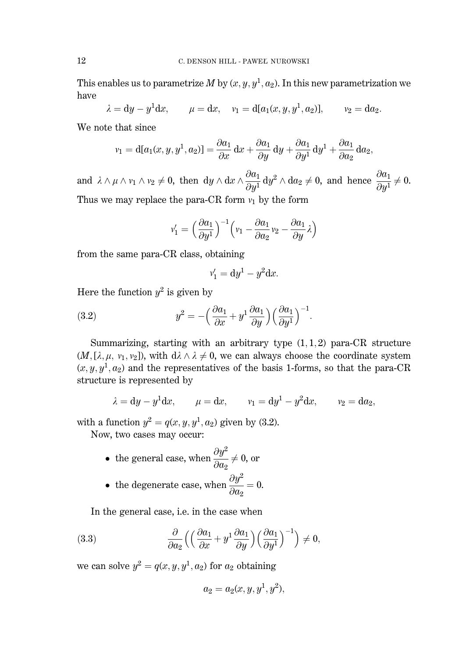This enables us to parametrize M by  $(x, y, y^1, a_2)$ . In this new parametrization we have

$$
\lambda = dy - y^1 dx
$$
,  $\mu = dx$ ,  $v_1 = d[a_1(x, y, y^1, a_2)],$   $v_2 = da_2$ .

We note that since

$$
v_1 = d[a_1(x, y, y^1, a_2)] = \frac{\partial a_1}{\partial x} dx + \frac{\partial a_1}{\partial y} dy + \frac{\partial a_1}{\partial y^1} dy^1 + \frac{\partial a_1}{\partial a_2} da_2,
$$

and  $\lambda \wedge \mu \wedge \nu_1 \wedge \nu_2 \neq 0$ , then  $dy \wedge dx \wedge \frac{\partial a_1}{\partial y^1} dy^2 \wedge da_2 \neq 0$ , and hence  $\frac{\partial a_1}{\partial y^1} \neq 0$ . Thus we may replace the para-CR form  $v_1$  by the form

$$
v_1' = \left(\frac{\partial a_1}{\partial y^1}\right)^{-1} \left(v_1 - \frac{\partial a_1}{\partial a_2}v_2 - \frac{\partial a_1}{\partial y}\lambda\right)
$$

from the same para-CR class, obtaining

$$
v_1' = dy^1 - y^2 dx.
$$

Here the function  $y^2$  is given by

(3.2) 
$$
y^2 = -\left(\frac{\partial a_1}{\partial x} + y^1 \frac{\partial a_1}{\partial y}\right) \left(\frac{\partial a_1}{\partial y^1}\right)^{-1}.
$$

Summarizing, starting with an arbitrary type  $(1,1,2)$  para-CR structure  $(M,[\lambda,\mu,\nu_1,\nu_2])$ , with  $d\lambda \wedge \lambda \neq 0$ , we can always choose the coordinate system  $(x, y, y<sup>1</sup>, a<sub>2</sub>)$  and the representatives of the basis 1-forms, so that the para-CR structure is represented by

$$
\lambda = dy - y^1 dx
$$
,  $\mu = dx$ ,  $v_1 = dy^1 - y^2 dx$ ,  $v_2 = da_2$ ,

with a function  $y^2 = q(x, y, y^1, a_2)$  given by (3.2).

Now, two cases may occur:

- the general case, when  $\frac{\partial y^2}{\partial q_0} \neq 0$ , or
- the degenerate case, when  $\frac{\partial y^2}{\partial a_0} = 0$ .

In the general case, i.e. in the case when

(3.3) 
$$
\frac{\partial}{\partial a_2} \left( \left( \frac{\partial a_1}{\partial x} + y^1 \frac{\partial a_1}{\partial y} \right) \left( \frac{\partial a_1}{\partial y^1} \right)^{-1} \right) \neq 0
$$

we can solve  $y^2 = q(x, y, y^1, a_2)$  for  $a_2$  obtaining

$$
a_2 = a_2(x, y, y^1, y^2),
$$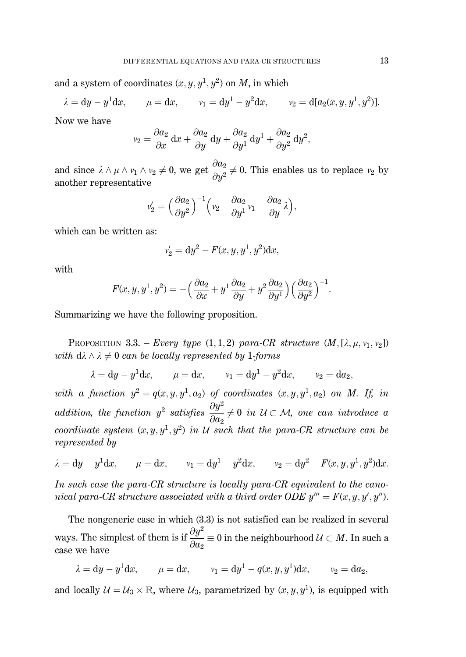and a system of coordinates  $(x, y, y^1, y^2)$  on M, in which

$$
\lambda = dy - y^1 dx
$$
,  $\mu = dx$ ,  $v_1 = dy^1 - y^2 dx$ ,  $v_2 = d[a_2(x, y, y^1, y^2)].$ 

Now we have

$$
v_2 = \frac{\partial a_2}{\partial x} dx + \frac{\partial a_2}{\partial y} dy + \frac{\partial a_2}{\partial y^1} dy^1 + \frac{\partial a_2}{\partial y^2} dy^2,
$$

and since  $\lambda \wedge \mu \wedge \nu_1 \wedge \nu_2 \neq 0$ , we get  $\frac{\partial a_2}{\partial u^2} \neq 0$ . This enables us to replace  $\nu_2$  by another representative

$$
v_2' = \left(\frac{\partial a_2}{\partial y^2}\right)^{-1} \left(v_2 - \frac{\partial a_2}{\partial y^1}v_1 - \frac{\partial a_2}{\partial y}\lambda\right),\,
$$

which can be written as:

$$
v_2' = dy^2 - F(x, y, y^1, y^2)dx,
$$

with

$$
F(x, y, y^1, y^2) = -\left(\frac{\partial a_2}{\partial x} + y^1 \frac{\partial a_2}{\partial y} + y^2 \frac{\partial a_2}{\partial y^1}\right) \left(\frac{\partial a_2}{\partial y^2}\right)^{-1}.
$$

Summarizing we have the following proposition.

PROPOSITION 3.3. - Every type  $(1,1,2)$  para-CR structure  $(M, [\lambda, \mu, v_1, v_2])$ with  $d\lambda \wedge \lambda \neq 0$  can be locally represented by 1-forms

 $\lambda = dy - y^1 dx$ ,  $\mu = dx$ ,  $v_1 = dy^1 - y^2 dx$ ,  $v_2 = da_2$ .

with a function  $y^2 = q(x, y, y^1, a_2)$  of coordinates  $(x, y, y^1, a_2)$  on M. If, in addition, the function  $y^2$  satisfies  $\frac{\partial y^2}{\partial a_2} \neq 0$  in  $U \subset \mathcal{M}$ , one can introduce a coordinate system  $(x, y, y^1, y^2)$  in U such that the para-CR structure can be represented by

$$
\lambda = dy - y^1 dx
$$
,  $\mu = dx$ ,  $v_1 = dy^1 - y^2 dx$ ,  $v_2 = dy^2 - F(x, y, y^1, y^2) dx$ .

In such case the para-CR structure is locally para-CR equivalent to the canonical para-CR structure associated with a third order ODE  $y''' = F(x, y, y', y'')$ .

The nongeneric case in which  $(3.3)$  is not satisfied can be realized in several ways. The simplest of them is if  $\frac{\partial y^2}{\partial a_2} \equiv 0$  in the neighbourhood  $\mathcal{U} \subset M$ . In such a case we have

 $\lambda = du - y^1 dx$ ,  $u = dx$ ,  $v_1 = du^1 - q(x, u, u^1) dx$ ,  $v_2 = da_2$ .

and locally  $\mathcal{U} = \mathcal{U}_3 \times \mathbb{R}$ , where  $\mathcal{U}_3$ , parametrized by  $(x, y, y^1)$ , is equipped with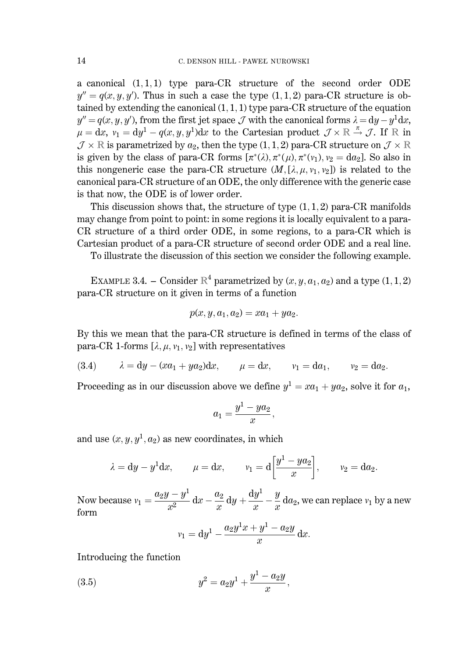a canonical  $(1,1,1)$  type para-CR structure of the second order ODE  $y'' = q(x, y, y')$ . Thus in such a case the type (1, 1, 2) para-CR structure is obtained by extending the canonical  $(1,1,1)$  type para-CR structure of the equation  $y'' = q(x, y, y')$ , from the first jet space J with the canonical forms  $\lambda = dy - y^1 dx$ ,  $\mu = dx$ ,  $v_1 = dy^1 - q(x, y, y^1)dx$  to the Cartesian product  $\mathcal{J} \times \mathbb{R} \stackrel{\pi}{\rightarrow} \mathcal{J}$ . If  $\mathbb{R}$  in  $\mathcal{J} \times \mathbb{R}$  is parametrized by  $a_2$ , then the type (1, 1, 2) para-CR structure on  $\mathcal{J} \times \mathbb{R}$ is given by the class of para-CR forms  $[\pi^*(\lambda), \pi^*(\mu), \pi^*(\nu_1), \nu_2 = da_2]$ . So also in this nongeneric case the para-CR structure  $(M, [\lambda, \mu, \nu_1, \nu_2])$  is related to the canonical para-CR structure of an ODE, the only difference with the generic case is that now, the ODE is of lower order.

This discussion shows that, the structure of type  $(1, 1, 2)$  para-CR manifolds may change from point to point: in some regions it is locally equivalent to a para-CR structure of a third order ODE, in some regions, to a para-CR which is Cartesian product of a para-CR structure of second order ODE and a real line.

To illustrate the discussion of this section we consider the following example.

EXAMPLE 3.4. – Consider  $\mathbb{R}^4$  parametrized by  $(x, y, a_1, a_2)$  and a type  $(1, 1, 2)$ para-CR structure on it given in terms of a function

$$
p(x, y, a_1, a_2) = xa_1 + ya_2.
$$

By this we mean that the para-CR structure is defined in terms of the class of para-CR 1-forms  $[\lambda, \mu, v_1, v_2]$  with representatives

(3.4) 
$$
\lambda = dy - (xa_1 + ya_2)dx
$$
,  $\mu = dx$ ,  $v_1 = da_1$ ,  $v_2 = da_2$ .

Proceeding as in our discussion above we define  $y^1 = xa_1 + ya_2$ , solve it for  $a_1$ ,

$$
a_1=\frac{y^1-ya_2}{x},
$$

and use  $(x, y, y^1, a_2)$  as new coordinates, in which

$$
\lambda = dy - y^1 dx
$$
,  $\mu = dx$ ,  $v_1 = d \left[ \frac{y^1 - ya_2}{x} \right]$ ,  $v_2 = da_2$ .

Now because  $v_1 = \frac{a_2y - y^1}{r^2} dx - \frac{a_2}{r} dy + \frac{dy^1}{r} - \frac{y}{r} da_2$ , we can replace  $v_1$  by a new form

$$
v_1 = dy^1 - \frac{a_2 y^1 x + y^1 - a_2 y}{x} dx.
$$

Introducing the function

(3.5) 
$$
y^2 = a_2 y^1 + \frac{y^1 - a_2 y}{x}
$$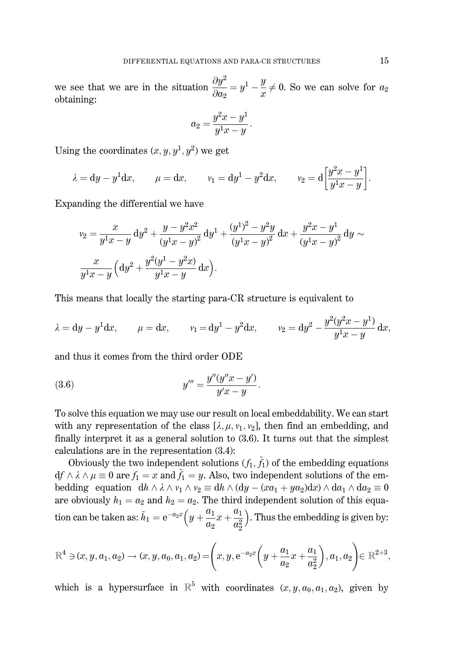we see that we are in the situation  $\frac{\partial y^2}{\partial q_0} = y^1 - \frac{y}{x} \neq 0$ . So we can solve for  $a_2$ obtaining:

$$
a_2 = \frac{y^2x - y^1}{y^1x - y}.
$$

Using the coordinates  $(x, y, y^1, y^2)$  we get

$$
\lambda = dy - y^1 dx
$$
,  $\mu = dx$ ,  $v_1 = dy^1 - y^2 dx$ ,  $v_2 = d \left[ \frac{y^2 x - y^1}{y^1 x - y} \right]$ .

Expanding the differential we have

$$
v_2 = \frac{x}{y^1x - y} dy^2 + \frac{y - y^2x^2}{(y^1x - y)^2} dy^1 + \frac{(y^1)^2 - y^2y}{(y^1x - y)^2} dx + \frac{y^2x - y^1}{(y^1x - y)^2} dy \sim
$$
  

$$
\frac{x}{y^1x - y} \left( dy^2 + \frac{y^2(y^1 - y^2x)}{y^1x - y} dx \right).
$$

This means that locally the starting para-CR structure is equivalent to

$$
\lambda = dy - y^1 dx
$$
,  $\mu = dx$ ,  $v_1 = dy^1 - y^2 dx$ ,  $v_2 = dy^2 - \frac{y^2(y^2x - y^1)}{y^1x - y} dx$ 

and thus it comes from the third order ODE

(3.6) 
$$
y''' = \frac{y''(y''x - y')}{y'x - y}
$$

To solve this equation we may use our result on local embeddability. We can start with any representation of the class  $[\lambda, \mu, \nu_1, \nu_2]$ , then find an embedding, and finally interpret it as a general solution to  $(3.6)$ . It turns out that the simplest calculations are in the representation  $(3.4)$ :

Obviously the two independent solutions  $(f_1, \tilde{f}_1)$  of the embedding equations  $df \wedge \lambda \wedge \mu \equiv 0$  are  $f_1 = x$  and  $\tilde{f}_1 = y$ . Also, two independent solutions of the embedding equation  $dh \wedge \lambda \wedge \nu_1 \wedge \nu_2 \equiv dh \wedge (dy - (xa_1 + ya_2)dx) \wedge da_1 \wedge da_2 \equiv 0$ are obviously  $h_1 = a_2$  and  $h_2 = a_2$ . The third independent solution of this equation can be taken as:  $\tilde{h}_1 = e^{-a_2 x} \left( y + \frac{a_1}{a_2} x + \frac{a_1}{a_2^2} \right)$ . Thus the embedding is given by:

$$
\mathbb{R}^4 \ni (x, y, a_1, a_2) \to (x, y, a_0, a_1, a_2) = \left(x, y, e^{-a_2 x} \left(y + \frac{a_1}{a_2} x + \frac{a_1}{a_2^2}\right), a_1, a_2\right) \in \mathbb{R}^{2+3},
$$

which is a hypersurface in  $\mathbb{R}^5$  with coordinates  $(x, y, a_0, a_1, a_2)$ , given by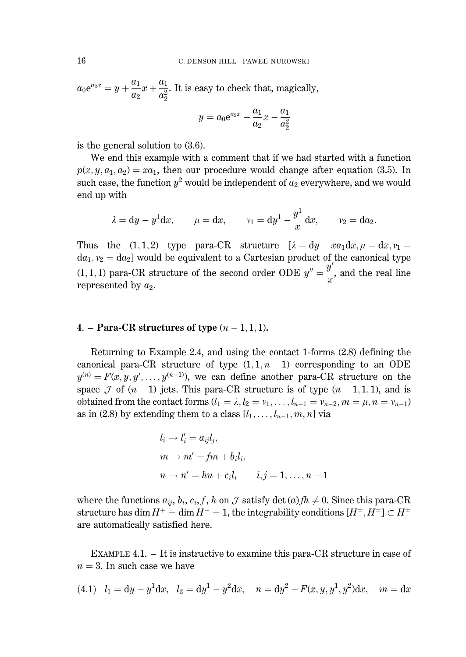$a_0e^{a_2x} = y + \frac{a_1}{a_2}x + \frac{a_1}{a_2^2}$ . It is easy to check that, magically,

$$
y=a_0\mathrm{e}^{a_2x}-\frac{a_1}{a_2}x-\frac{a_1}{a_2^2}
$$

is the general solution to  $(3.6)$ .

We end this example with a comment that if we had started with a function  $p(x, y, a_1, a_2) = xa_1$ , then our procedure would change after equation (3.5). In such case, the function  $y^2$  would be independent of  $a_2$  everywhere, and we would end up with

$$
\lambda = dy - y^1 dx
$$
,  $\mu = dx$ ,  $v_1 = dy^1 - \frac{y^1}{x} dx$ ,  $v_2 = da_2$ .

Thus the  $(1,1,2)$  type para-CR structure  $[\lambda = dy - xa_1 dx, \mu = dx, v_1 =$  $da_1, v_2 = da_2$  would be equivalent to a Cartesian product of the canonical type  $(1,1,1)$  para-CR structure of the second order ODE  $y'' = \frac{y'}{x}$ , and the real line represented by  $a_2$ .

#### 4. – Para-CR structures of type  $(n-1,1,1)$ .

Returning to Example 2.4, and using the contact 1-forms (2.8) defining the canonical para-CR structure of type  $(1,1,n-1)$  corresponding to an ODE  $y^{(n)} = F(x, y, y', \dots, y^{(n-1)})$ , we can define another para-CR structure on the space  $\mathcal J$  of  $(n-1)$  jets. This para-CR structure is of type  $(n-1,1,1)$ , and is obtained from the contact forms  $(l_1 = \lambda, l_2 = v_1, \ldots, l_{n-1} = v_{n-2}, m = \mu, n = v_{n-1})$ as in (2.8) by extending them to a class  $[l_1, \ldots, l_{n-1}, m, n]$  via

$$
l_i \rightarrow l'_i = a_{ij}l_j,
$$
  
\n
$$
m \rightarrow m' = fm + b_i l_i,
$$
  
\n
$$
n \rightarrow n' = hn + c_i l_i \qquad i, j = 1, ..., n - 1
$$

where the functions  $a_{ii}$ ,  $b_i$ ,  $c_i$ ,  $f$ ,  $h$  on  $\mathcal J$  satisfy  $\det(a) f h \neq 0$ . Since this para-CR structure has dim  $H^+ = \dim H^- = 1$ , the integrability conditions  $[H^{\pm}, H^{\pm}] \subset H^{\pm}$ are automatically satisfied here.

EXAMPLE 4.1.  $-$  It is instructive to examine this para-CR structure in case of  $n=3$ . In such case we have

(4.1) 
$$
l_1 = dy - y^1 dx
$$
,  $l_2 = dy^1 - y^2 dx$ ,  $n = dy^2 - F(x, y, y^1, y^2) dx$ ,  $m = dx$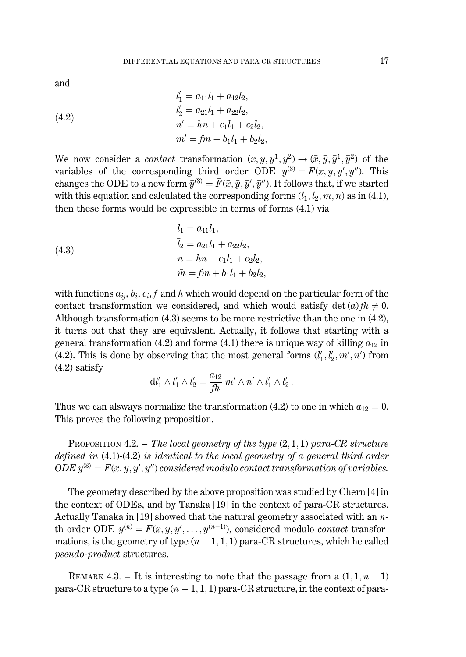and

(4.2)  
\n
$$
l'_{1} = a_{11}l_{1} + a_{12}l_{2},
$$
\n
$$
l'_{2} = a_{21}l_{1} + a_{22}l_{2},
$$
\n
$$
n' = hn + c_{1}l_{1} + c_{2}l_{2},
$$
\n
$$
m' = fm + b_{1}l_{1} + b_{2}l_{2},
$$

We now consider a *contact* transformation  $(x, y, y^1, y^2) \rightarrow (\bar{x}, \bar{y}, \bar{y}^1, \bar{y}^2)$  of the variables of the corresponding third order ODE  $y^{(3)} = F(x, y, y', y'')$ . This changes the ODE to a new form  $\bar{y}^{(3)} = \bar{F}(\bar{x}, \bar{y}, \bar{y}', \bar{y}'')$ . It follows that, if we started with this equation and calculated the corresponding forms  $(\bar{l}_1, \bar{l}_2, \bar{m}, \bar{n})$  as in (4.1), then these forms would be expressible in terms of forms  $(4.1)$  via

(4.3)  
\n
$$
l_1 = a_{11}l_1,
$$
\n
$$
\overline{l}_2 = a_{21}l_1 + a_{22}l_2,
$$
\n
$$
\overline{n} = hn + c_1l_1 + c_2l_2,
$$
\n
$$
\overline{m} = fm + b_1l_1 + b_2l_2
$$

with functions  $a_{ii}$ ,  $b_i$ ,  $c_i$ , f and h which would depend on the particular form of the contact transformation we considered, and which would satisfy  $\det(a)fh \neq 0$ . Although transformation  $(4.3)$  seems to be more restrictive than the one in  $(4.2)$ , it turns out that they are equivalent. Actually, it follows that starting with a general transformation (4.2) and forms (4.1) there is unique way of killing  $a_{12}$  in (4.2). This is done by observing that the most general forms  $(l'_1, l'_2, m', n')$  from  $(4.2)$  satisfy

$$
\mathrm{d}l'_1\wedge l'_1\wedge l'_2=\frac{a_{12}}{\mathit{fh}}\ m'\wedge n'\wedge l'_1\wedge l'_2\,.
$$

Thus we can alsways normalize the transformation (4.2) to one in which  $a_{12} = 0$ . This proves the following proposition.

PROPOSITION 4.2. - The local geometry of the type  $(2,1,1)$  para-CR structure defined in  $(4.1)-(4.2)$  is identical to the local geometry of a general third order  $ODE y^{(3)} = F(x, y, y', y'')$  considered modulo contact transformation of variables.

The geometry described by the above proposition was studied by Chern [4] in the context of ODEs, and by Tanaka [19] in the context of para-CR structures. Actually Tanaka in [19] showed that the natural geometry associated with an  $n$ th order ODE  $y^{(n)} = F(x, y, y', \dots, y^{(n-1)})$ , considered modulo *contact* transformations, is the geometry of type  $(n-1,1,1)$  para-CR structures, which he called *pseudo-product* structures.

REMARK 4.3. - It is interesting to note that the passage from a  $(1, 1, n-1)$ para-CR structure to a type  $(n-1,1,1)$  para-CR structure, in the context of para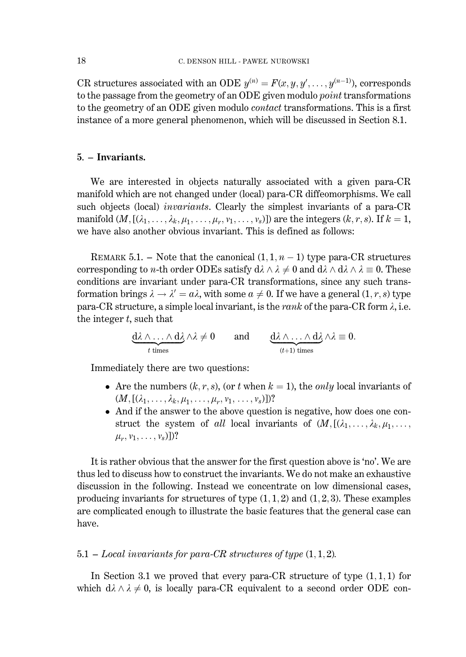CR structures associated with an ODE  $y^{(n)} = F(x, y, y', \dots, y^{(n-1)})$ , corresponds to the passage from the geometry of an ODE given modulo *point* transformations to the geometry of an ODE given modulo *contact* transformations. This is a first instance of a more general phenomenon, which will be discussed in Section 8.1.

#### 5. – Invariants.

We are interested in objects naturally associated with a given para-CR manifold which are not changed under (local) para-CR diffeomorphisms. We call such objects (local) *invariants*. Clearly the simplest invariants of a para-CR manifold  $(M, [(\lambda_1, \ldots, \lambda_k, \mu_1, \ldots, \mu_r, v_1, \ldots, v_s)])$  are the integers  $(k, r, s)$ . If  $k = 1$ , we have also another obvious invariant. This is defined as follows:

REMARK 5.1. – Note that the canonical  $(1, 1, n-1)$  type para-CR structures corresponding to *n*-th order ODEs satisfy  $d\lambda \wedge \lambda \neq 0$  and  $d\lambda \wedge d\lambda \wedge \lambda = 0$ . These conditions are invariant under para-CR transformations, since any such transformation brings  $\lambda \to \lambda' = a\lambda$ , with some  $a \neq 0$ . If we have a general  $(1, r, s)$  type para-CR structure, a simple local invariant, is the rank of the para-CR form  $\lambda$ , i.e. the integer  $t$ , such that

 $\underbrace{d\lambda\wedge\ldots\wedge d\lambda}_{t \text{ times}}\wedge \lambda \neq 0$  and  $\underbrace{d\lambda\wedge\ldots\wedge d\lambda}_{(t+1) \text{ times}}\wedge \lambda \equiv 0.$ 

Immediately there are two questions:

- Are the numbers  $(k, r, s)$ , (or t when  $k = 1$ ), the *only* local invariants of  $(M, [(\lambda_1, \ldots, \lambda_k, \mu_1, \ldots, \mu_r, \nu_1, \ldots, \nu_s)])$ ?
- And if the answer to the above question is negative, how does one construct the system of all local invariants of  $(M, [(\lambda_1, \ldots, \lambda_k, \mu_1, \ldots,$  $\mu_r, \nu_1, \ldots, \nu_s$ )])?

It is rather obvious that the answer for the first question above is 'no'. We are thus led to discuss how to construct the invariants. We do not make an exhaustive discussion in the following. Instead we concentrate on low dimensional cases, producing invariants for structures of type  $(1,1,2)$  and  $(1,2,3)$ . These examples are complicated enough to illustrate the basic features that the general case can have.

### 5.1 – Local invariants for para-CR structures of type  $(1,1,2)$ .

In Section 3.1 we proved that every para-CR structure of type  $(1,1,1)$  for which  $d\lambda \wedge \lambda \neq 0$ , is locally para-CR equivalent to a second order ODE con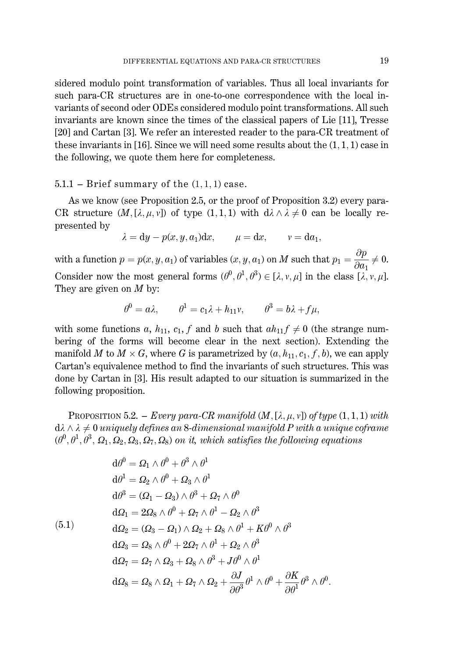sidered modulo point transformation of variables. Thus all local invariants for such para-CR structures are in one-to-one correspondence with the local invariants of second oder ODEs considered modulo point transformations. All such invariants are known since the times of the classical papers of Lie [11]. Tresse [20] and Cartan [3]. We refer an interested reader to the para-CR treatment of these invariants in [16]. Since we will need some results about the  $(1,1,1)$  case in the following, we quote them here for completeness.

#### $5.1.1$  – Brief summary of the  $(1, 1, 1)$  case.

As we know (see Proposition 2.5, or the proof of Proposition 3.2) every para-CR structure  $(M, [\lambda, \mu, \nu])$  of type  $(1, 1, 1)$  with  $d\lambda \wedge \lambda \neq 0$  can be locally represented by

$$
\lambda = dy - p(x, y, a_1)dx, \qquad \mu = dx, \qquad v = da_1,
$$

with a function  $p = p(x, y, a_1)$  of variables  $(x, y, a_1)$  on M such that  $p_1 = \frac{\partial p}{\partial a_1} \neq 0$ . Consider now the most general forms  $(\theta^0, \theta^1, \theta^3) \in [\lambda, v, \mu]$  in the class  $[\lambda, v, \mu]$ . They are given on  $M$  by:

$$
\theta^0 = a\lambda, \qquad \theta^1 = c_1\lambda + h_{11}\nu, \qquad \theta^3 = b\lambda + f\mu,
$$

with some functions a,  $h_{11}$ ,  $c_1$ , f and b such that  $ah_{11} f \neq 0$  (the strange numbering of the forms will become clear in the next section). Extending the manifold M to  $M \times G$ , where G is parametrized by  $(a, h_{11}, c_1, f, b)$ , we can apply Cartan's equivalence method to find the invariants of such structures. This was done by Cartan in [3]. His result adapted to our situation is summarized in the following proposition.

**PROPOSITION 5.2.** – *Every para-CR manifold*  $(M, [\lambda, \mu, \nu])$  of type  $(1, 1, 1)$  with  $d\lambda \wedge \lambda \neq 0$  uniquely defines an 8-dimensional manifold P with a unique coframe  $(\theta^0, \theta^1, \theta^3, \Omega_1, \Omega_2, \Omega_3, \Omega_7, \Omega_8)$  on it, which satisfies the following equations

$$
d\theta^{0} = \Omega_{1} \wedge \theta^{0} + \theta^{3} \wedge \theta^{1}
$$
  
\n
$$
d\theta^{1} = \Omega_{2} \wedge \theta^{0} + \Omega_{3} \wedge \theta^{1}
$$
  
\n
$$
d\theta^{3} = (\Omega_{1} - \Omega_{3}) \wedge \theta^{3} + \Omega_{7} \wedge \theta^{0}
$$
  
\n
$$
d\Omega_{1} = 2\Omega_{8} \wedge \theta^{0} + \Omega_{7} \wedge \theta^{1} - \Omega_{2} \wedge \theta^{3}
$$
  
\n
$$
d\Omega_{2} = (\Omega_{3} - \Omega_{1}) \wedge \Omega_{2} + \Omega_{8} \wedge \theta^{1} + K\theta^{0} \wedge \theta^{3}
$$
  
\n
$$
d\Omega_{3} = \Omega_{8} \wedge \theta^{0} + 2\Omega_{7} \wedge \theta^{1} + \Omega_{2} \wedge \theta^{3}
$$
  
\n
$$
d\Omega_{7} = \Omega_{7} \wedge \Omega_{3} + \Omega_{8} \wedge \theta^{3} + J\theta^{0} \wedge \theta^{1}
$$
  
\n
$$
d\Omega_{8} = \Omega_{8} \wedge \Omega_{1} + \Omega_{7} \wedge \Omega_{2} + \frac{\partial J}{\partial \theta^{3}} \theta^{1} \wedge \theta^{0} + \frac{\partial K}{\partial \theta^{1}} \theta^{3} \wedge \theta^{0}.
$$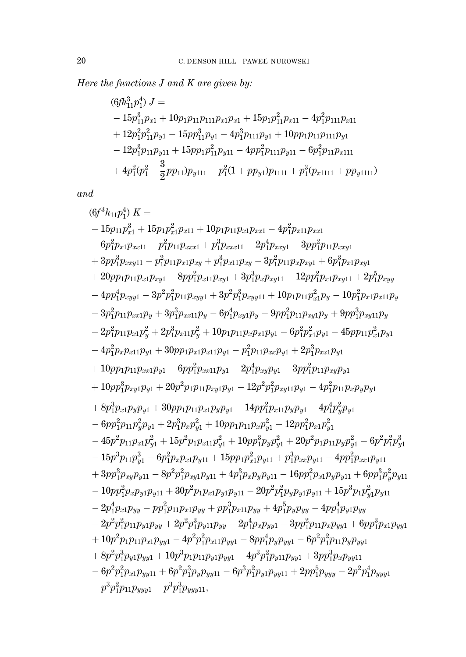Here the functions  $J$  and  $K$  are given by:

$$
(6fh_{11}^3p_1^4) J =
$$
  
\n
$$
- 15p_{11}^3p_{x1} + 10p_{1}p_{111}p_{x1}p_{x1} + 15p_{1}p_{11}^2p_{x11} - 4p_{1}^2p_{111}p_{x11}
$$
  
\n
$$
+ 12p_{1}^2p_{11}^2p_{y1} - 15pp_{11}^3p_{y1} - 4p_{1}^3p_{111}p_{y1} + 10pp_{1}p_{11}p_{111}p_{y1}
$$
  
\n
$$
- 12p_{1}^3p_{11}p_{y11} + 15pp_{1}p_{11}^2p_{y11} - 4pp_{1}^2p_{111}p_{y11} - 6p_{1}^2p_{11}p_{x111}
$$
  
\n
$$
+ 4p_{1}^2(p_{1}^2 - \frac{3}{2}pp_{11})p_{y111} - p_{1}^2(1 + pp_{y1})p_{1111} + p_{1}^3(p_{x1111} + pp_{y1111})
$$

 $and$ 

$$
(6f^{3}h_{11}p_{1}^{4}) K =
$$
  
\n
$$
-15p_{11}p_{x1}^{3} + 15p_{1}p_{x1}^{2}p_{x11} + 10p_{1}p_{11}p_{x1}p_{x21} - 4p_{1}^{2}p_{x1}p_{x21}
$$
  
\n
$$
-6p_{1}^{2}p_{x1}p_{x211} - p_{1}^{2}p_{11}p_{x221} + p_{1}^{3}p_{x2211} - 2p_{1}^{4}p_{x221} - 3p_{1}^{2}p_{11}p_{x221}
$$
  
\n
$$
+3p_{1}^{3}p_{x2211} - p_{1}^{2}p_{11}p_{x1}p_{xy} + p_{1}^{3}p_{x11}p_{xy} - 3p_{1}^{2}p_{11}p_{x}p_{xy1} + 6p_{1}^{3}p_{x1}p_{xy1}
$$
  
\n
$$
+20p_{11}p_{11}p_{x1}p_{xy1} - 8p_{1}^{2}p_{11}p_{xy1} + 3p_{1}^{3}p_{x}p_{xy11} - 12p_{1}^{2}p_{x1}p_{xy1} + 2p_{1}^{5}p_{xyy1}
$$
  
\n
$$
-4p_{1}^{4}p_{xy11} - 3p^{2}p_{1}^{2}p_{11}p_{xy1} + 3p^{3}p_{xy1}p_{xy11} + 10p_{1}p_{11}p_{x1}^{2}p_{y} - 10p_{1}^{2}p_{x1}p_{xy1}p_{y}
$$
  
\n
$$
-3p_{1}^{2}p_{11}p_{x1}p_{y} + 3p_{1}^{3}p_{x11}p_{y} - 6p_{1}^{4}p_{xy1}p_{y} - 9p_{1}^{2}p_{11}p_{xy1}p_{y} + 9p_{1}^{3}p_{xy1}p_{y}
$$
  
\n
$$
-2p_{1}^{2}p_{11}p_{x1}p_{y} + 30p_{1}p_{x1}p_{y} + 10p_{1}p_{11}p_{x}p_{x1}p_{y1} - 6
$$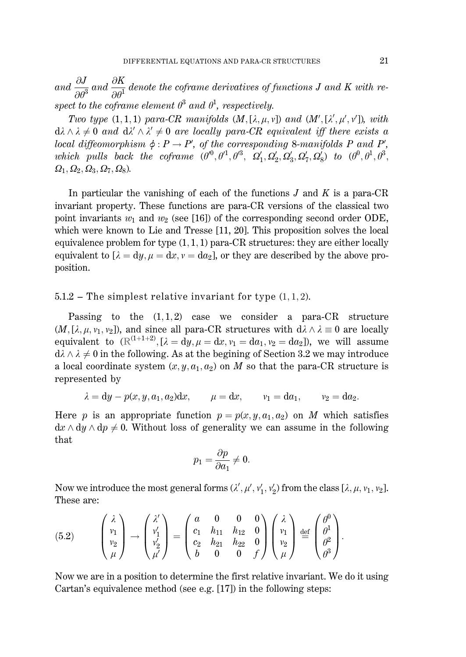and  $\frac{\partial J}{\partial \theta^3}$  and  $\frac{\partial K}{\partial \theta^1}$  denote the coframe derivatives of functions J and K with respect to the coframe element  $\theta^3$  and  $\theta^1$ , respectively.

Two type  $(1,1,1)$  para-CR manifolds  $(M,[\lambda,\mu,\nu])$  and  $(M',[\lambda',\mu',\nu'])$ , with  $d\lambda \wedge \lambda \neq 0$  and  $d\lambda' \wedge \lambda' \neq 0$  are locally para-CR equivalent iff there exists a local diffeomorphism  $\phi : P \to P'$ , of the corresponding 8-manifolds P and P', which pulls back the coframe  $(\theta^0, \theta^1, \theta^3, \Omega_1', \Omega_2', \Omega_3', \Omega_7', \Omega_8')$  to  $(\theta^0, \theta^1, \theta^3, \theta^4)$  $\Omega_1$ ,  $\Omega_2$ ,  $\Omega_3$ ,  $\Omega_7$ ,  $\Omega_8$ ).

In particular the vanishing of each of the functions  $J$  and  $K$  is a para-CR invariant property. These functions are para-CR versions of the classical two point invariants  $w_1$  and  $w_2$  (see [16]) of the corresponding second order ODE, which were known to Lie and Tresse  $[11, 20]$ . This proposition solves the local equivalence problem for type  $(1,1,1)$  para-CR structures: they are either locally equivalent to  $[\lambda = dy, \mu = dx, v = da_2]$ , or they are described by the above proposition.

#### $5.1.2$  – The simplest relative invariant for type  $(1, 1, 2)$ .

Passing to the  $(1,1,2)$  case we consider a para-CR structure  $(M,[\lambda,\mu,\nu_1,\nu_2])$ , and since all para-CR structures with  $d\lambda \wedge \lambda \equiv 0$  are locally equivalent to  $(\mathbb{R}^{(1+1+2)}, [\lambda = d\hat{y}, \mu = dx, v_1 = da_1, v_2 = da_2])$ , we will assume  $d\lambda \wedge \lambda \neq 0$  in the following. As at the begining of Section 3.2 we may introduce a local coordinate system  $(x, y, a_1, a_2)$  on M so that the para-CR structure is represented by

$$
\lambda = dy - p(x, y, a_1, a_2)dx, \qquad \mu = dx, \qquad v_1 = da_1, \qquad v_2 = da_2.
$$

Here p is an appropriate function  $p = p(x, y, a_1, a_2)$  on M which satisfies  $dx \wedge dy \wedge dp \neq 0$ . Without loss of generality we can assume in the following that

$$
p_1 = \frac{\partial p}{\partial a_1} \neq 0.
$$

Now we introduce the most general forms  $(\lambda', \mu', v'_1, v'_2)$  from the class  $[\lambda, \mu, v_1, v_2]$ . These are:

(5.2) 
$$
\begin{pmatrix} \lambda \\ v_1 \\ v_2 \\ \mu \end{pmatrix} \rightarrow \begin{pmatrix} \lambda' \\ v'_1 \\ v'_2 \\ \mu' \end{pmatrix} = \begin{pmatrix} a & 0 & 0 & 0 \\ c_1 & h_{11} & h_{12} & 0 \\ c_2 & h_{21} & h_{22} & 0 \\ b & 0 & 0 & f \end{pmatrix} \begin{pmatrix} \lambda \\ v_1 \\ v_2 \\ \mu \end{pmatrix} \stackrel{\text{def}}{=} \begin{pmatrix} \theta^0 \\ \theta^1 \\ \theta^2 \\ \theta^3 \end{pmatrix}
$$

Now we are in a position to determine the first relative invariant. We do it using Cartan's equivalence method (see e.g. [17]) in the following steps: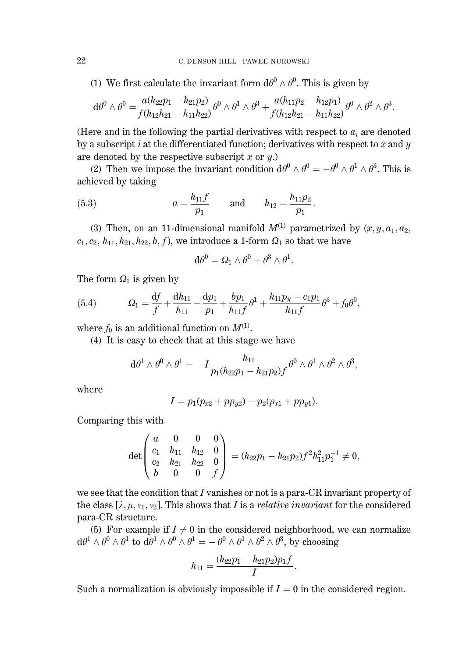(1) We first calculate the invariant form  $d\theta^0 \wedge \theta^0$ . This is given by

$$
{\rm d}\theta^0\wedge\theta^0=\!\frac{a(h_{22}p_1-h_{21}p_2)}{f(h_{12}h_{21}-h_{11}h_{22})}\theta^0\wedge\theta^1\wedge\theta^3+\!\frac{a(h_{11}p_2-h_{12}p_1)}{f(h_{12}h_{21}-h_{11}h_{22})}\theta^0\wedge\theta^2\wedge\theta^3.
$$

(Here and in the following the partial derivatives with respect to  $a_i$  are denoted by a subscript i at the differentiated function; derivatives with respect to x and y are denoted by the respective subscript x or  $y$ .

(2) Then we impose the invariant condition  $d\theta^0 \wedge \theta^0 = -\theta^0 \wedge \theta^1 \wedge \theta^3$ . This is achieved by taking

(5.3) 
$$
a = \frac{h_{11}f}{p_1} \quad \text{and} \quad h_{12} = \frac{h_{11}p_2}{p_1}.
$$

(3) Then, on an 11-dimensional manifold  $M^{(1)}$  parametrized by  $(x, y, a_1, a_2, a_3)$  $c_1, c_2, h_{11}, h_{21}, h_{22}, b, f$ , we introduce a 1-form  $\Omega_1$  so that we have

$$
d\theta^0 = \Omega_1 \wedge \theta^0 + \theta^3 \wedge \theta^1.
$$

The form  $\Omega_1$  is given by

(5.4) 
$$
\Omega_1 = \frac{\mathrm{d}f}{f} + \frac{\mathrm{d}h_{11}}{h_{11}} - \frac{\mathrm{d}p_1}{p_1} + \frac{bp_1}{h_{11}f} \theta^1 + \frac{h_{11}p_y - c_1p_1}{h_{11}f} \theta^3 + f_0 \theta^0,
$$

where  $f_0$  is an additional function on  $M^{(1)}$ .

(4) It is easy to check that at this stage we have

$$
{\rm d}\theta^1\wedge\theta^0\wedge\theta^1=-I\frac{h_{11}}{p_1(h_{22}p_1-h_{21}p_2)f}\theta^0\wedge\theta^1\wedge\theta^2\wedge\theta^3,
$$

where

$$
I = p_1(p_{x2} + pp_{y2}) - p_2(p_{x1} + pp_{y1}).
$$

Comparing this with

$$
\det\begin{pmatrix} a & 0 & 0 & 0 \ c_1 & h_{11} & h_{12} & 0 \ c_2 & h_{21} & h_{22} & 0 \ b & 0 & 0 & f \end{pmatrix} = (h_{22}p_1 - h_{21}p_2)f^2h_{11}^2p_1^{-1} \neq 0,
$$

we see that the condition that  $I$  vanishes or not is a para-CR invariant property of the class  $[\lambda, \mu, \nu_1, \nu_2]$ . This shows that I is a *relative invariant* for the considered para-CR structure.

(5) For example if  $I \neq 0$  in the considered neighborhood, we can normalize  $d\theta^1 \wedge \theta^0 \wedge \theta^1$  to  $d\theta^1 \wedge \theta^0 \wedge \theta^1 = -\theta^0 \wedge \theta^1 \wedge \theta^2 \wedge \theta^3$ , by choosing

$$
h_{11}=\frac{(h_{22}p_1-h_{21}p_2)p_1f}{I}.
$$

Such a normalization is obviously impossible if  $I = 0$  in the considered region.

22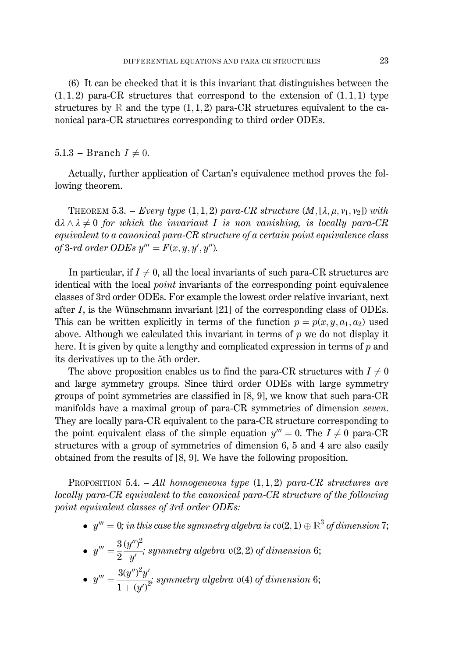(6) It can be checked that it is this invariant that distinguishes between the  $(1,1,2)$  para-CR structures that correspond to the extension of  $(1,1,1)$  type structures by R and the type  $(1, 1, 2)$  para-CR structures equivalent to the canonical para-CR structures corresponding to third order ODEs.

### 5.1.3 – Branch  $I \neq 0$ .

Actually, further application of Cartan's equivalence method proves the following theorem.

THEOREM 5.3. - Every type (1, 1, 2) para-CR structure  $(M, [\lambda, \mu, \nu_1, \nu_2])$  with  $d\lambda \wedge \lambda \neq 0$  for which the invariant I is non vanishing, is locally para-CR equivalent to a canonical para-CR structure of a certain point equivalence class of 3-rd order ODEs  $y''' = F(x, y, y', y'')$ .

In particular, if  $I \neq 0$ , all the local invariants of such para-CR structures are identical with the local *point* invariants of the corresponding point equivalence classes of 3rd order ODEs. For example the lowest order relative invariant, next after  $I$ , is the Wünschmann invariant [21] of the corresponding class of ODEs. This can be written explicitly in terms of the function  $p = p(x, y, a_1, a_2)$  used above. Although we calculated this invariant in terms of  $p$  we do not display it here. It is given by quite a lengthy and complicated expression in terms of  $p$  and its derivatives up to the 5th order.

The above proposition enables us to find the para-CR structures with  $I \neq 0$ and large symmetry groups. Since third order ODEs with large symmetry groups of point symmetries are classified in [8, 9], we know that such para-CR manifolds have a maximal group of para-CR symmetries of dimension *seven*. They are locally para-CR equivalent to the para-CR structure corresponding to the point equivalent class of the simple equation  $y''' = 0$ . The  $I \neq 0$  para-CR structures with a group of symmetries of dimension 6, 5 and 4 are also easily obtained from the results of [8, 9]. We have the following proposition.

**PROPOSITION** 5.4.  $-$  All homogeneous type  $(1, 1, 2)$  para-CR structures are locally para-CR equivalent to the canonical para-CR structure of the following point equivalent classes of 3rd order ODEs:

•  $y''' = 0$ ; in this case the symmetry algebra is  $\mathfrak{co}(2,1) \oplus \mathbb{R}^3$  of dimension 7;

• 
$$
y''' = \frac{3}{2} \frac{(y'')^2}{y'}
$$
; symmetry algebra  $\mathfrak{o}(2,2)$  of dimension 6;

• 
$$
y''' = \frac{3(y'')^2 y'}{1 + (y')^2}
$$
 symmetry algebra o(4) of dimension 6;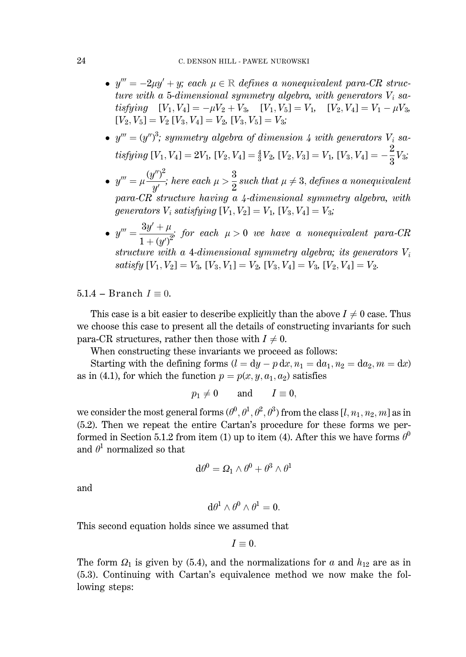- $y''' = -2\mu y' + y$ ; each  $\mu \in \mathbb{R}$  defines a nonequivalent para-CR structure with a 5-dimensional symmetry algebra, with generators  $V_i$  satisfying  $[V_1, V_4] = -\mu V_2 + V_3$ ,  $[V_1, V_5] = V_1$ ,  $[V_2, V_4] = V_1 - \mu V_3$ ,<br>  $[V_2, V_5] = V_2$ ,  $[V_3, V_4] = V_2$ ,  $[V_3, V_5] = V_3$ ;
- $y''' = (y'')^3$ ; symmetry algebra of dimension 4 with generators  $V_i$  satisfying  $[V_1, V_4] = 2V_1$ ,  $[V_2, V_4] = \frac{4}{3}V_2$ ,  $[V_2, V_3] = V_1$ ,  $[V_3, V_4] = -\frac{2}{3}V_3$ ;
- $y''' = \mu \frac{(y'')^2}{a'}$ ; here each  $\mu > \frac{3}{2}$  such that  $\mu \neq 3$ , defines a nonequivalent  $para-CR$  structure having a 4-dimensional symmetry algebra, with generators  $V_i$  satisfying  $[V_1, V_2] = V_1$ ,  $[V_3, V_4] = V_3$ ;
- $y''' = \frac{3y' + \mu}{1 + (y')^2}$  for each  $\mu > 0$  we have a nonequivalent para-CR structure with a 4-dimensional symmetry algebra; its generators  $V_i$ satisfy  $[V_1, V_2] = V_3$ ,  $[V_3, V_1] = V_2$ ,  $[V_3, V_4] = V_3$ ,  $[V_2, V_4] = V_2$ .

 $5.1.4$  – Branch  $I \equiv 0$ .

This case is a bit easier to describe explicitly than the above  $I \neq 0$  case. Thus we choose this case to present all the details of constructing invariants for such para-CR structures, rather then those with  $I \neq 0$ .

When constructing these invariants we proceed as follows:

Starting with the defining forms  $(l = dy - p dx, n_1 = da_1, n_2 = da_2, m = dx)$ as in (4.1), for which the function  $p = p(x, y, a_1, a_2)$  satisfies

$$
p_1 \neq 0
$$
 and  $I \equiv 0$ ,

we consider the most general forms  $(\theta^0, \theta^1, \theta^2, \theta^3)$  from the class  $[l, n_1, n_2, m]$  as in (5.2). Then we repeat the entire Cartan's procedure for these forms we performed in Section 5.1.2 from item (1) up to item (4). After this we have forms  $\theta^0$ and  $\theta^1$  normalized so that

$$
{\rm d}\theta^0=\varOmega_1\wedge\theta^0+\theta^3\wedge\theta^1
$$

and

$$
d\theta^1 \wedge \theta^0 \wedge \theta^1 = 0.
$$

This second equation holds since we assumed that

$$
I\equiv 0.
$$

The form  $\Omega_1$  is given by (5.4), and the normalizations for a and  $h_{12}$  are as in (5.3). Continuing with Cartan's equivalence method we now make the following steps: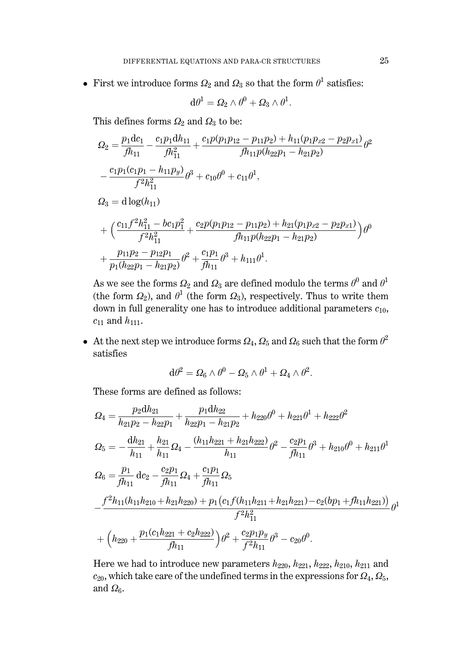• First we introduce forms  $\Omega_2$  and  $\Omega_3$  so that the form  $\theta^1$  satisfies:

$$
{\rm d}\theta^1=\varOmega_2\wedge\theta^0+\varOmega_3\wedge\theta^1.
$$

This defines forms  $\Omega_2$  and  $\Omega_3$  to be:

$$
\Omega_2 = \frac{p_1 \mathrm{d}c_1}{fh_{11}} - \frac{c_1 p_1 \mathrm{d}h_{11}}{fh_{11}^2} + \frac{c_1 p(p_1 p_{12} - p_{11} p_2) + h_{11}(p_1 p_{x2} - p_2 p_{x1})}{fh_{11} p(h_{22} p_1 - h_{21} p_2)} \theta^2
$$
  

$$
- \frac{c_1 p_1 (c_1 p_1 - h_{11} p_y)}{f^2 h_{11}^2} \theta^3 + c_{10} \theta^0 + c_{11} \theta^1,
$$
  

$$
\Omega_3 = \mathrm{d} \log(h_{11})
$$
  

$$
+ \left( \frac{c_{11} f^2 h_{11}^2 - b c_1 p_1^2}{f^2 h_{11}^2} + \frac{c_2 p(p_1 p_{12} - p_{11} p_2) + h_{21}(p_1 p_{x2} - p_2 p_{x1})}{fh_{11} p(h_{22} p_1 - h_{21} p_2)} \right) \theta^0
$$
  

$$
+ \frac{p_{11} p_2 - p_{12} p_1}{p_1 (h_{22} p_1 - h_{21} p_2)} \theta^2 + \frac{c_1 p_1}{fh_{11}} \theta^3 + h_{111} \theta^1.
$$

As we see the forms  $\varOmega_2$  and  $\varOmega_3$  are defined modulo the terms  $\theta^0$  and  $\theta^1$ (the form  $\Omega_2$ ), and  $\theta^1$  (the form  $\Omega_3$ ), respectively. Thus to write them down in full generality one has to introduce additional parameters  $c_{10}$ ,  $c_{11}$  and  $h_{111}$ .

• At the next step we introduce forms  $\Omega_4$ ,  $\Omega_5$  and  $\Omega_6$  such that the form  $\theta^2$ satisfies

$$
d\theta^2 = \Omega_6 \wedge \theta^0 - \Omega_5 \wedge \theta^1 + \Omega_4 \wedge \theta^2.
$$

These forms are defined as follows:

$$
Q_4 = \frac{p_2 dh_{21}}{h_{21}p_2 - h_{22}p_1} + \frac{p_1 dh_{22}}{h_{22}p_1 - h_{21}p_2} + h_{220}\theta^0 + h_{221}\theta^1 + h_{222}\theta^2
$$
  
\n
$$
Q_5 = -\frac{dh_{21}}{h_{11}} + \frac{h_{21}}{h_{11}}Q_4 - \frac{(h_{11}h_{221} + h_{21}h_{222})}{h_{11}}\theta^2 - \frac{c_2p_1}{fh_{11}}\theta^3 + h_{210}\theta^0 + h_{211}\theta^1
$$
  
\n
$$
Q_6 = \frac{p_1}{fh_{11}}dc_2 - \frac{c_2p_1}{fh_{11}}Q_4 + \frac{c_1p_1}{fh_{11}}Q_5
$$
  
\n
$$
-\frac{f^2h_{11}(h_{11}h_{210} + h_{21}h_{220}) + p_1(c_1f(h_{11}h_{211} + h_{21}h_{221}) - c_2(bp_1 + fh_{11}h_{221}))}{f^2h_{11}^2}\theta^3
$$
  
\n+ 
$$
(h_{220} + \frac{p_1(c_1h_{221} + c_2h_{222})}{fh_{11}})\theta^2 + \frac{c_2p_1p_y}{f^2h_{11}}\theta^3 - c_{20}\theta^0.
$$

Here we had to introduce new parameters  $h_{220}$ ,  $h_{221}$ ,  $h_{222}$ ,  $h_{210}$ ,  $h_{211}$  and  $c_{20}$ , which take care of the undefined terms in the expressions for  $\Omega_4$ ,  $\Omega_5$ , and  $\Omega_6$ .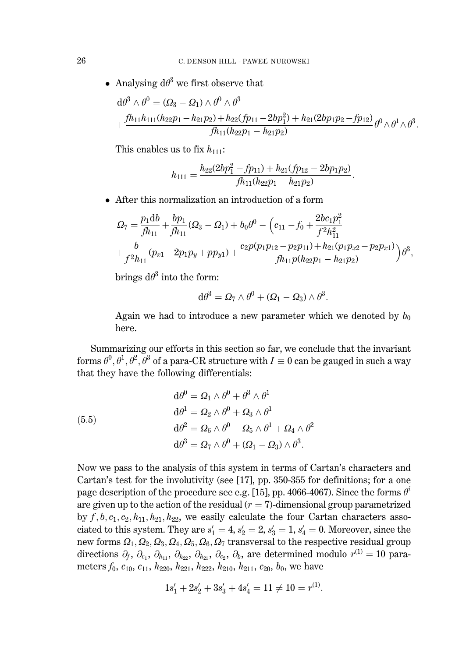• Analysing  $d\theta^3$  we first observe that

$$
d\theta^3 \wedge \theta^0 = (\Omega_3 - \Omega_1) \wedge \theta^0 \wedge \theta^3
$$
  
+ 
$$
\frac{fh_{11}h_{111}(h_{22}p_1 - h_{21}p_2) + h_{22}(fp_{11} - 2bp_1^2) + h_{21}(2bp_1p_2 - fp_{12})}{fh_{11}(h_{22}p_1 - h_{21}p_2)} \theta^0 \wedge \theta^1 \wedge \theta^3.
$$

This enables us to fix  $h_{111}$ :

$$
h_{111} = \frac{h_{22}(2bp_1^2 - fp_{11}) + h_{21}(fp_{12} - 2bp_1p_2)}{fh_{11}(h_{22}p_1 - h_{21}p_2)}
$$

• After this normalization an introduction of a form

$$
\Omega_7 = \frac{p_1 db}{fh_{11}} + \frac{bp_1}{fh_{11}} (\Omega_3 - \Omega_1) + b_0 \theta^0 - \left(c_{11} - f_0 + \frac{2bc_1p_1^2}{f^2h_{11}^2} + \frac{b}{f^2h_{11}} (\rho_{x1} - 2p_1p_y + pp_{y1}) + \frac{c_2p(p_1p_{12} - p_2p_{11}) + h_{21}(p_1p_{x2} - p_2p_{x1})}{fh_{11}p(h_{22}p_1 - h_{21}p_2)}\right)\theta^3,
$$

brings  $d\theta^3$  into the form:

$$
d\theta^3 = \Omega_7 \wedge \theta^0 + (\Omega_1 - \Omega_3) \wedge \theta^3
$$

Again we had to introduce a new parameter which we denoted by  $b_0$ here.

Summarizing our efforts in this section so far, we conclude that the invariant forms  $\theta^0$ ,  $\theta^1$ ,  $\theta^2$ ,  $\theta^3$  of a para-CR structure with  $I \equiv 0$  can be gauged in such a way that they have the following differentials:

(5.5)  
\n
$$
d\theta^{0} = \Omega_{1} \wedge \theta^{0} + \theta^{3} \wedge \theta^{1}
$$
\n
$$
d\theta^{1} = \Omega_{2} \wedge \theta^{0} + \Omega_{3} \wedge \theta^{1}
$$
\n
$$
d\theta^{2} = \Omega_{6} \wedge \theta^{0} - \Omega_{5} \wedge \theta^{1} + \Omega_{4} \wedge \theta^{2}
$$
\n
$$
d\theta^{3} = \Omega_{7} \wedge \theta^{0} + (\Omega_{1} - \Omega_{3}) \wedge \theta^{3}.
$$

Now we pass to the analysis of this system in terms of Cartan's characters and Cartan's test for the involutivity (see [17], pp. 350-355 for definitions; for a one page description of the procedure see e.g. [15], pp. 4066-4067). Since the forms  $\theta^i$ are given up to the action of the residual  $(r = 7)$ -dimensional group parametrized by  $f, b, c_1, c_2, h_{11}, h_{21}, h_{22}$ , we easily calculate the four Cartan characters associated to this system. They are  $s'_1 = 4$ ,  $s'_2 = 2$ ,  $s'_3 = 1$ ,  $s'_4 = 0$ . Moreover, since the new forms  $\Omega_1, \Omega_2, \Omega_3, \Omega_4, \Omega_5, \Omega_6, \Omega_7$  transversal to the respective residual group directions  $\partial_f$ ,  $\partial_{c_1}$ ,  $\partial_{h_{11}}$ ,  $\partial_{h_{22}}$ ,  $\partial_{h_{21}}$ ,  $\partial_{c_2}$ ,  $\partial_b$ , are determined modulo  $r^{(1)} = 10$  parameters  $f_0$ ,  $c_{10}$ ,  $c_{11}$ ,  $h_{220}$ ,  $h_{221}$ ,  $h_{222}$ ,  $h_{210}$ ,  $h_{211}$ ,  $c_{20}$ ,  $b_0$ , we have

$$
1s'_1+2s'_2+3s'_3+4s'_4=11\neq 10=r^{(1)}
$$

26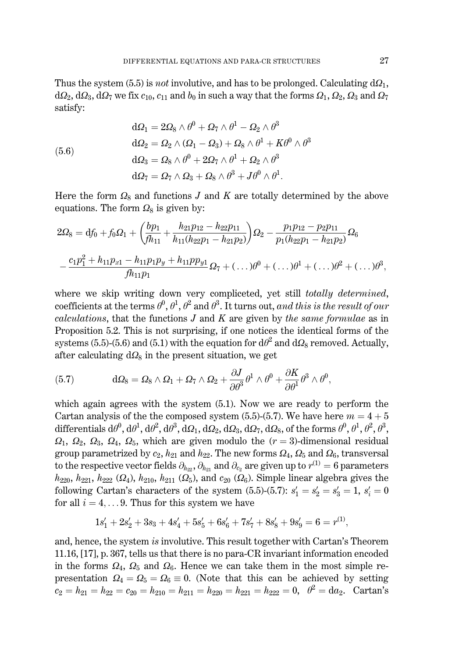Thus the system (5.5) is *not* involutive, and has to be prolonged. Calculating  $d\Omega_1$ ,  $d\Omega_2, d\Omega_3, d\Omega_7$  we fix  $c_{10}$ ,  $c_{11}$  and  $b_0$  in such a way that the forms  $\Omega_1, \Omega_2, \Omega_3$  and  $\Omega_7$ satisfy:

(5.6)  
\n
$$
d\Omega_1 = 2\Omega_8 \wedge \theta^0 + \Omega_7 \wedge \theta^1 - \Omega_2 \wedge \theta^3
$$
\n
$$
d\Omega_2 = \Omega_2 \wedge (\Omega_1 - \Omega_3) + \Omega_8 \wedge \theta^1 + K\theta^0 \wedge \theta^3
$$
\n
$$
d\Omega_3 = \Omega_8 \wedge \theta^0 + 2\Omega_7 \wedge \theta^1 + \Omega_2 \wedge \theta^3
$$
\n
$$
d\Omega_7 = \Omega_7 \wedge \Omega_3 + \Omega_8 \wedge \theta^3 + J\theta^0 \wedge \theta^1.
$$

Here the form  $\Omega_8$  and functions J and K are totally determined by the above equations. The form  $\Omega_8$  is given by:

$$
2\Omega_8 = df_0 + f_0 \Omega_1 + \left(\frac{bp_1}{fh_{11}} + \frac{h_{21}p_{12} - h_{22}p_{11}}{h_{11}(h_{22}p_1 - h_{21}p_2)}\right)\Omega_2 - \frac{p_1p_{12} - p_2p_{11}}{p_1(h_{22}p_1 - h_{21}p_2)}\Omega_6
$$

$$
-\frac{c_1p_1^2 + h_{11}p_{x1} - h_{11}p_1p_y + h_{11}p_1p_{y1}}{fh_{11}p_1}\Omega_7 + (\dots)\theta^0 + (\dots)\theta^1 + (\dots)\theta^2 + (\dots)\theta^3,
$$

where we skip writing down very compliceted, yet still *totally determined*, coefficients at the terms  $\theta^0$ ,  $\theta^1$ ,  $\theta^2$  and  $\theta^3$ . It turns out, and this is the result of our calculations, that the functions  $J$  and  $K$  are given by the same formulae as in Proposition 5.2. This is not surprising, if one notices the identical forms of the systems (5.5)-(5.6) and (5.1) with the equation for  $d\theta^2$  and  $d\Omega_8$  removed. Actually, after calculating  $d\Omega_8$  in the present situation, we get

(5.7) 
$$
d\Omega_8 = \Omega_8 \wedge \Omega_1 + \Omega_7 \wedge \Omega_2 + \frac{\partial J}{\partial \theta^3} \theta^1 \wedge \theta^0 + \frac{\partial K}{\partial \theta^1} \theta^3 \wedge \theta^0,
$$

which again agrees with the system  $(5.1)$ . Now we are ready to perform the Cartan analysis of the the composed system (5.5)-(5.7). We have here  $m = 4 + 5$ differentials  $d\theta^0$ ,  $d\theta^1$ ,  $d\theta^2$ ,  $d\theta^3$ ,  $d\Omega_1$ ,  $d\Omega_2$ ,  $d\Omega_3$ ,  $d\Omega_7$ ,  $d\Omega_8$ , of the forms  $\theta^0$ ,  $\theta^1$ ,  $\theta^2$ ,  $\theta^3$ ,  $\Omega_1$ ,  $\Omega_2$ ,  $\Omega_3$ ,  $\Omega_4$ ,  $\Omega_5$ , which are given modulo the  $(r = 3)$ -dimensional residual group parametrized by  $c_2$ ,  $h_{21}$  and  $h_{22}$ . The new forms  $\Omega_4$ ,  $\Omega_5$  and  $\Omega_6$ , transversal to the respective vector fields  $\partial_{h_{22}}, \partial_{h_{21}}$  and  $\partial_{c_2}$  are given up to  $r^{(1)} = 6$  parameters  $h_{220}$ ,  $h_{221}$ ,  $h_{222}$  ( $\Omega_4$ ),  $h_{210}$ ,  $h_{211}$  ( $\Omega_5$ ), and  $c_{20}$  ( $\Omega_6$ ). Simple linear algebra gives the following Cartan's characters of the system (5.5)-(5.7):  $s'_1 = s'_2 = s'_3 = 1$ ,  $s'_i = 0$ for all  $i = 4, \ldots 9$ . Thus for this system we have

$$
1s'_1+2s'_2+3s_3+4s'_4+5s'_5+6s'_6+7s'_7+8s'_8+9s'_9=6=r^{(1)},
$$

and, hence, the system is involutive. This result together with Cartan's Theorem 11.16, [17], p. 367, tells us that there is no para-CR invariant information encoded in the forms  $\Omega_4$ ,  $\Omega_5$  and  $\Omega_6$ . Hence we can take them in the most simple representation  $\Omega_4 = \Omega_5 = \Omega_6 = 0$ . (Note that this can be achieved by setting  $c_2 = h_{21} = h_{22} = c_{20} = h_{210} = h_{211} = h_{220} = h_{221} = h_{222} = 0$ ,  $\theta^2 = da_2$ . Cartan's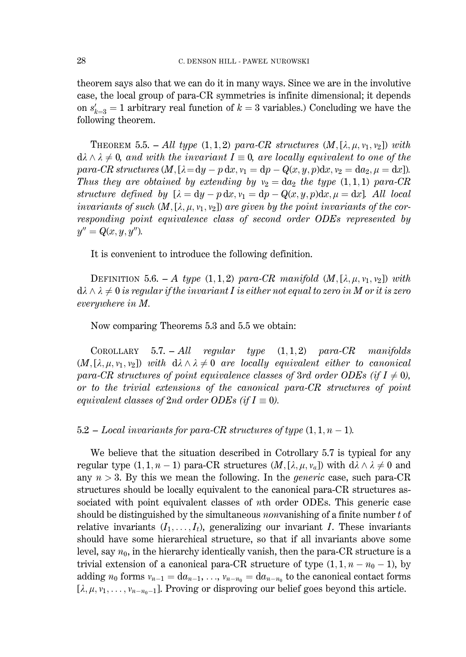theorem says also that we can do it in many ways. Since we are in the involutive case, the local group of para-CR symmetries is infinite dimensional; it depends on  $s'_{k-3} = 1$  arbitrary real function of  $k = 3$  variables.) Concluding we have the following theorem.

**THEOREM** 5.5. - All type  $(1,1,2)$  para-CR structures  $(M, [\lambda, \mu, v_1, v_2])$  with  $d\lambda \wedge \lambda \neq 0$ , and with the invariant  $I \equiv 0$ , are locally equivalent to one of the para-CR structures  $(M, [\lambda = dy - p dx, v_1 = dp - Q(x, y, p) dx, v_2 = da_2, \mu = dx]$ . Thus they are obtained by extending by  $v_2 = da_2$  the type  $(1,1,1)$  para-CR structure defined by  $[\lambda = dy - p dx, v_1 = dp - Q(x, y, p) dx, \mu = dx]$ . All local invariants of such  $(M, [\lambda, \mu, \nu_1, \nu_2])$  are given by the point invariants of the corresponding point equivalence class of second order ODEs represented by  $y'' = Q(x, y, y'').$ 

It is convenient to introduce the following definition.

DEFINITION 5.6. - A type  $(1,1,2)$  para-CR manifold  $(M,[\lambda,\mu,\nu_1,\nu_2])$  with  $d\lambda \wedge \lambda \neq 0$  is regular if the invariant I is either not equal to zero in M or it is zero everywhere in M.

Now comparing Theorems 5.3 and 5.5 we obtain:

**COROLLARY**  $5.7. - All$  $regular \quad type \quad (1,1,2) \quad para-CR \quad manifolds$  $(M, [\lambda, \mu, \nu_1, \nu_2])$  with  $d\lambda \wedge \lambda \neq 0$  are locally equivalent either to canonical para-CR structures of point equivalence classes of 3rd order ODEs (if  $I \neq 0$ ), or to the trivial extensions of the canonical para-CR structures of point equivalent classes of 2nd order ODEs (if  $I \equiv 0$ ).

 $5.2$  – Local invariants for para-CR structures of type  $(1,1,n-1)$ .

We believe that the situation described in Cotrollary 5.7 is typical for any regular type  $(1, 1, n-1)$  para-CR structures  $(M, [\lambda, \mu, \nu_a])$  with  $d\lambda \wedge \lambda \neq 0$  and any  $n > 3$ . By this we mean the following. In the *generic* case, such para-CR structures should be locally equivalent to the canonical para-CR structures associated with point equivalent classes of *n*th order ODEs. This generic case should be distinguished by the simultaneous *nonvanishing* of a finite number  $t$  of relative invariants  $(I_1, \ldots, I_t)$ , generalizing our invariant I. These invariants should have some hierarchical structure, so that if all invariants above some level, say  $n_0$ , in the hierarchy identically vanish, then the para-CR structure is a trivial extension of a canonical para-CR structure of type  $(1, 1, n - n_0 - 1)$ , by adding  $n_0$  forms  $v_{n-1} = da_{n-1}, \ldots, v_{n-n_0} = da_{n-n_0}$  to the canonical contact forms  $[\lambda, \mu, v_1, \ldots, v_{n-n_0-1}]$ . Proving or disproving our belief goes beyond this article.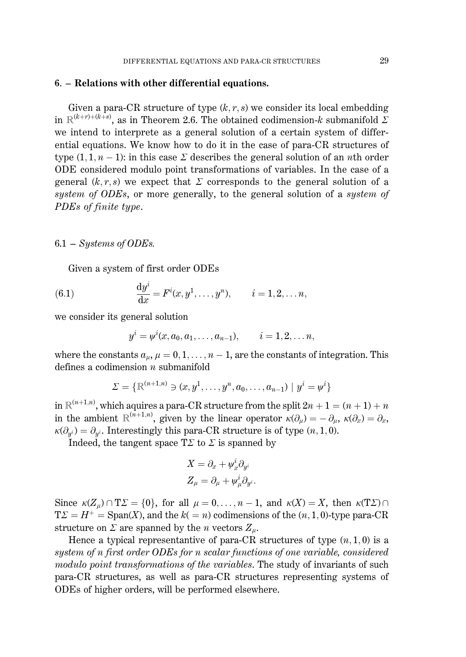#### 6. – Relations with other differential equations.

Given a para-CR structure of type  $(k, r, s)$  we consider its local embedding in  $\mathbb{R}^{(k+r)+(k+s)}$ , as in Theorem 2.6. The obtained codimension-k submanifold  $\Sigma$ we intend to interprete as a general solution of a certain system of differential equations. We know how to do it in the case of para-CR structures of type  $(1, 1, n-1)$ : in this case  $\Sigma$  describes the general solution of an *n*th order ODE considered modulo point transformations of variables. In the case of a general  $(k, r, s)$  we expect that  $\Sigma$  corresponds to the general solution of a system of ODEs, or more generally, to the general solution of a system of PDEs of finite type.

#### $6.1$  – Systems of ODEs.

Given a system of first order ODEs

(6.1) 
$$
\frac{dy^{i}}{dx} = F^{i}(x, y^{1}, \dots, y^{n}), \qquad i = 1, 2, \dots n,
$$

we consider its general solution

$$
y^{i} = \psi^{i}(x, a_0, a_1, \ldots, a_{n-1}), \qquad i = 1, 2, \ldots n
$$

where the constants  $a_u$ ,  $\mu = 0, 1, \ldots, n-1$ , are the constants of integration. This defines a codimension  $n$  submanifold

$$
\Sigma = \{ \mathbb{R}^{(n+1,n)} \ni (x, y^1, \dots, y^n, a_0, \dots, a_{n-1}) \mid y^i = \psi^i \}
$$

in  $\mathbb{R}^{(n+1,n)}$ , which aquires a para-CR structure from the split  $2n + 1 = (n + 1) + n$ in the ambient  $\mathbb{R}^{(n+1,n)}$ , given by the linear operator  $\kappa(\partial_\mu) = -\partial_\mu$ ,  $\kappa(\partial_x) = \partial_x$ ,  $\kappa(\partial_{u^i}) = \partial_{u^i}$ . Interestingly this para-CR structure is of type  $(n, 1, 0)$ .

Indeed, the tangent space  $T\Sigma$  to  $\Sigma$  is spanned by

$$
\begin{aligned} X &= \partial_x + \psi_x^i \partial_{y^i} \\ Z_\mu &= \partial_\mu + \psi_\mu^i \partial_{y^i}. \end{aligned}
$$

Since  $\kappa(Z_\mu) \cap T\Sigma = \{0\}$ , for all  $\mu = 0, \ldots, n-1$ , and  $\kappa(X) = X$ , then  $\kappa(T\Sigma) \cap T\Sigma$  $T\Sigma = H^+$  = Span(X), and the  $k(=n)$  codimensions of the  $(n, 1, 0)$ -type para-CR structure on  $\Sigma$  are spanned by the *n* vectors  $Z_u$ .

Hence a typical representantive of para-CR structures of type  $(n, 1, 0)$  is a system of n first order ODEs for n scalar functions of one variable, considered modulo point transformations of the variables. The study of invariants of such para-CR structures, as well as para-CR structures representing systems of ODEs of higher orders, will be performed elsewhere.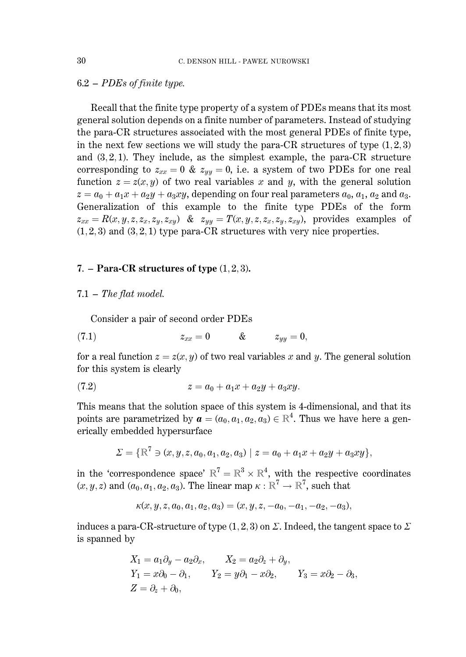#### $6.2 - PDEs$  of finite type.

Recall that the finite type property of a system of PDEs means that its most general solution depends on a finite number of parameters. Instead of studying the para-CR structures associated with the most general PDEs of finite type, in the next few sections we will study the para-CR structures of type  $(1,2,3)$ and  $(3,2,1)$ . They include, as the simplest example, the para-CR structure corresponding to  $z_{xx} = 0$  &  $z_{yy} = 0$ , i.e. a system of two PDEs for one real function  $z = z(x, y)$  of two real variables x and y, with the general solution  $z = a_0 + a_1x + a_2y + a_3xy$ , depending on four real parameters  $a_0$ ,  $a_1$ ,  $a_2$  and  $a_3$ . Generalization of this example to the finite type PDEs of the form  $z_{xx} = R(x, y, z, z_x, z_y, z_{xy})$  &  $z_{yy} = T(x, y, z, z_x, z_y, z_{xy})$ , provides examples of  $(1,2,3)$  and  $(3,2,1)$  type para-CR structures with very nice properties.

#### 7. – Para-CR structures of type  $(1, 2, 3)$ .

#### $7.1$  – The flat model.

Consider a pair of second order PDEs

$$
(7.1) \t\t\t z_{xx} = 0 \t\t \& \t\t z_{yy} = 0,
$$

for a real function  $z = z(x, y)$  of two real variables x and y. The general solution for this system is clearly

(7.2) 
$$
z = a_0 + a_1 x + a_2 y + a_3 x y.
$$

This means that the solution space of this system is 4-dimensional, and that its points are parametrized by  $\mathbf{a} = (a_0, a_1, a_2, a_3) \in \mathbb{R}^4$ . Thus we have here a generically embedded hypersurface

$$
\Sigma = \{ \mathbb{R}^7 \ni (x, y, z, a_0, a_1, a_2, a_3) \mid z = a_0 + a_1 x + a_2 y + a_3 x y \},\
$$

in the 'correspondence space'  $\mathbb{R}^7 = \mathbb{R}^3 \times \mathbb{R}^4$ , with the respective coordinates  $(x, y, z)$  and  $(a_0, a_1, a_2, a_3)$ . The linear map  $\kappa : \mathbb{R}^7 \to \mathbb{R}^7$ , such that

$$
\kappa(x, y, z, a_0, a_1, a_2, a_3) = (x, y, z, -a_0, -a_1, -a_2, -a_3),
$$

induces a para-CR-structure of type (1, 2, 3) on  $\Sigma$ . Indeed, the tangent space to  $\Sigma$ is spanned by

$$
X_1 = a_1 \partial_y - a_2 \partial_x, \qquad X_2 = a_2 \partial_z + \partial_y,
$$
  
\n
$$
Y_1 = x \partial_0 - \partial_1, \qquad Y_2 = y \partial_1 - x \partial_2, \qquad Y_3 = x \partial_2 - \partial_3
$$
  
\n
$$
Z = \partial_z + \partial_0,
$$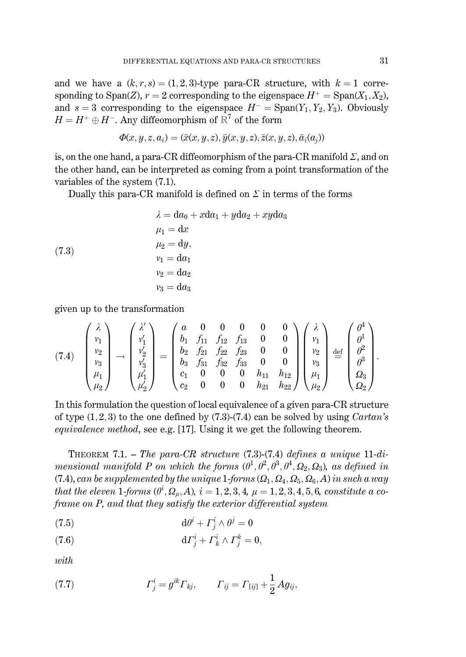and we have a  $(k, r, s) = (1, 2, 3)$ -type para-CR structure, with  $k = 1$  corresponding to Span(Z),  $r = 2$  corresponding to the eigenspace  $H^+ = \text{Span}(X_1, X_2)$ , and  $s = 3$  corresponding to the eigenspace  $H^-$  = Span(Y<sub>1</sub>, Y<sub>2</sub>, Y<sub>3</sub>). Obviously  $H = H^+ \oplus H^-$ . Any diffeomorphism of  $\mathbb{R}^7$  of the form

$$
\Phi(x, y, z, a_i) = (\bar{x}(x, y, z), \bar{y}(x, y, z), \bar{z}(x, y, z), \bar{a}_i(a_i))
$$

is, on the one hand, a para-CR diffeomorphism of the para-CR manifold  $\Sigma$ , and on the other hand, can be interpreted as coming from a point transformation of the variables of the system  $(7.1)$ .

Dually this para-CR manifold is defined on  $\Sigma$  in terms of the forms

$$
\lambda = da_0 + xda_1 + yda_2 + xyda_3
$$
  
\n
$$
\mu_1 = dx
$$
  
\n
$$
\mu_2 = dy,
$$
  
\n
$$
v_1 = da_1
$$
  
\n
$$
v_2 = da_2
$$
  
\n
$$
v_3 = da_3
$$

given up to the transformation

$$
(7.4) \quad\n\begin{pmatrix}\n\lambda \\
v_1 \\
v_2 \\
v_3 \\
\mu_1 \\
\mu_2\n\end{pmatrix}\n\rightarrow\n\begin{pmatrix}\n\lambda' \\
v'_1 \\
v'_2 \\
v'_3 \\
\mu'_1 \\
\mu'_2\n\end{pmatrix}\n=\n\begin{pmatrix}\na & 0 & 0 & 0 & 0 & 0 \\
b_1 & f_{11} & f_{12} & f_{13} & 0 & 0 \\
b_2 & f_{21} & f_{22} & f_{23} & 0 & 0 \\
b_3 & f_{31} & f_{32} & f_{33} & 0 & 0 \\
c_1 & 0 & 0 & 0 & h_{11} & h_{12} \\
c_2 & 0 & 0 & 0 & h_{21} & h_{22}\n\end{pmatrix}\n\begin{pmatrix}\n\lambda \\
v_1 \\
v_2 \\
v_3 \\
\mu_1 \\
\mu_2\n\end{pmatrix}\n\begin{pmatrix}\n\theta^4 \\
\theta^1 \\
\theta^2 \\
\theta^3 \\
\theta^4 \\
\theta^2 \\
\theta^2\n\end{pmatrix}.
$$

In this formulation the question of local equivalence of a given para-CR structure of type  $(1,2,3)$  to the one defined by  $(7.3)-(7.4)$  can be solved by using *Cartan's equivalence method*, see e.g. [17]. Using it we get the following theorem.

THEOREM 7.1. - The para-CR structure  $(7.3)$ - $(7.4)$  defines a unique 11-dimensional manifold P on which the forms  $(\theta^1, \theta^2, \theta^3, \theta^4, \Omega_2, \Omega_3)$ , as defined in (7.4), can be supplemented by the unique 1-forms  $(Q_1, Q_4, Q_5, Q_6, A)$  in such a way that the eleven 1-forms  $(\theta^i, \Omega_{\mu}, A)$ ,  $i = 1, 2, 3, 4, \mu = 1, 2, 3, 4, 5, 6$ , constitute a coframe on P, and that they satisfy the exterior differential system

$$
d\theta^i + \Gamma^i_i \wedge \theta^j = 0
$$

$$
\mathrm{d}\varGamma^i_j + \varGamma^i_k \wedge \varGamma^k_j = 0
$$

with

(7.7) 
$$
\Gamma^i_j = g^{ik} \Gamma_{kj}, \qquad \Gamma_{ij} = \Gamma_{[ij]} + \frac{1}{2} A g_{ij},
$$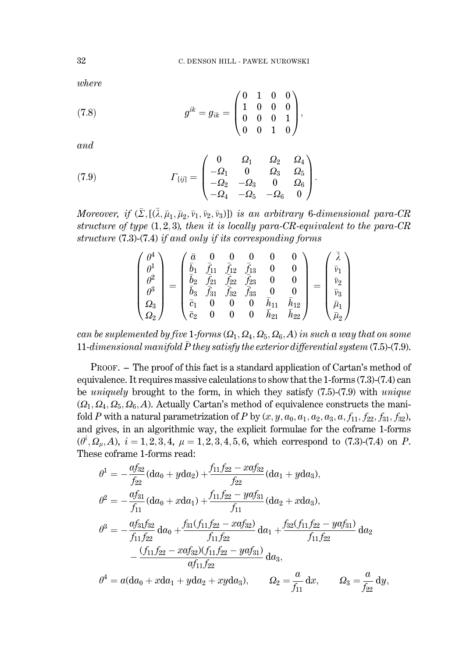$where$ 

(7.8) 
$$
g^{ik} = g_{ik} = \begin{pmatrix} 0 & 1 & 0 & 0 \\ 1 & 0 & 0 & 0 \\ 0 & 0 & 0 & 1 \\ 0 & 0 & 1 & 0 \end{pmatrix},
$$

and

(7.9) 
$$
I_{[ij]} = \begin{pmatrix} 0 & \Omega_1 & \Omega_2 & \Omega_4 \\ -\Omega_1 & 0 & \Omega_3 & \Omega_5 \\ -\Omega_2 & -\Omega_3 & 0 & \Omega_6 \\ -\Omega_4 & -\Omega_5 & -\Omega_6 & 0 \end{pmatrix}.
$$

Moreover, if  $(\bar{\Sigma}, [(\bar{\lambda}, \bar{\mu}_1, \bar{\mu}_2, \bar{v}_1, \bar{v}_2, \bar{v}_3)])$  is an arbitrary 6-dimensional para-CR structure of type  $(1,2,3)$ , then it is locally para-CR-equivalent to the para-CR structure  $(7.3)$ - $(7.4)$  if and only if its corresponding forms

$$
\begin{pmatrix}\n\theta^4 \\
\theta^1 \\
\theta^2 \\
\theta^3 \\
\Omega_3 \\
\Omega_2\n\end{pmatrix} = \begin{pmatrix}\n\bar{a} & 0 & 0 & 0 & 0 & 0 \\
\bar{b}_1 & \bar{f}_{11} & \bar{f}_{12} & \bar{f}_{13} & 0 & 0 \\
\bar{b}_2 & \bar{f}_{21} & \bar{f}_{22} & \bar{f}_{23} & 0 & 0 \\
\bar{b}_3 & \bar{f}_{31} & \bar{f}_{32} & \bar{f}_{33} & 0 & 0 \\
\bar{c}_1 & 0 & 0 & 0 & \bar{h}_{11} & \bar{h}_{12} \\
\bar{c}_2 & 0 & 0 & 0 & \bar{h}_{21} & \bar{h}_{22}\n\end{pmatrix} = \begin{pmatrix}\n\bar{\lambda} \\
\bar{v}_1 \\
\bar{v}_2 \\
\bar{v}_3 \\
\bar{\mu}_1 \\
\bar{\mu}_2 \\
\bar{\mu}_2\n\end{pmatrix}
$$

can be suplemented by five 1-forms  $(\Omega_1, \Omega_4, \Omega_5, \Omega_6, A)$  in such a way that on some 11-dimensional manifold  $\bar{P}$  they satisfy the exterior differential system (7.5)-(7.9).

PROOF. – The proof of this fact is a standard application of Cartan's method of equivalence. It requires massive calculations to show that the 1-forms (7.3)-(7.4) can be *uniquely* brought to the form, in which they satisfy  $(7.5)-(7.9)$  with *unique*  $(Q_1, Q_4, Q_5, Q_6, A)$ . Actually Cartan's method of equivalence constructs the manifold P with a natural parametrization of P by  $(x, y, a_0, a_1, a_2, a_3, a, f_{11}, f_{22}, f_{31}, f_{32})$ , and gives, in an algorithmic way, the explicit formulae for the coframe 1-forms  $(\theta^i, \Omega_\mu, A), i = 1, 2, 3, 4, \mu = 1, 2, 3, 4, 5, 6$ , which correspond to (7.3)-(7.4) on P. These coframe 1-forms read:

$$
\theta^{1} = -\frac{af_{32}}{f_{22}}(da_{0} + yda_{2}) + \frac{f_{11}f_{22} - xafs_{22}}{f_{22}}(da_{1} + yda_{3}),
$$
  
\n
$$
\theta^{2} = -\frac{af_{31}}{f_{11}}(da_{0} + xda_{1}) + \frac{f_{11}f_{22} - yaf_{31}}{f_{11}}(da_{2} + xda_{3}),
$$
  
\n
$$
\theta^{3} = -\frac{af_{31}f_{32}}{f_{11}f_{22}}da_{0} + \frac{f_{31}(f_{11}f_{22} - xafs_{22})}{f_{11}f_{22}}da_{1} + \frac{f_{32}(f_{11}f_{22} - yafs_{11})}{f_{11}f_{22}}da_{2}
$$
  
\n
$$
-\frac{(f_{11}f_{22} - xafs_{2})(f_{11}f_{22} - yafs_{11})}{af_{11}f_{22}}da_{3},
$$
  
\n
$$
\theta^{4} = a(da_{0} + xda_{1} + yda_{2} + xyda_{3}),
$$
  
\n
$$
\theta^{2} = \frac{a}{f_{11}}dx, \qquad \Omega_{3} = \frac{a}{f_{22}}dy,
$$

32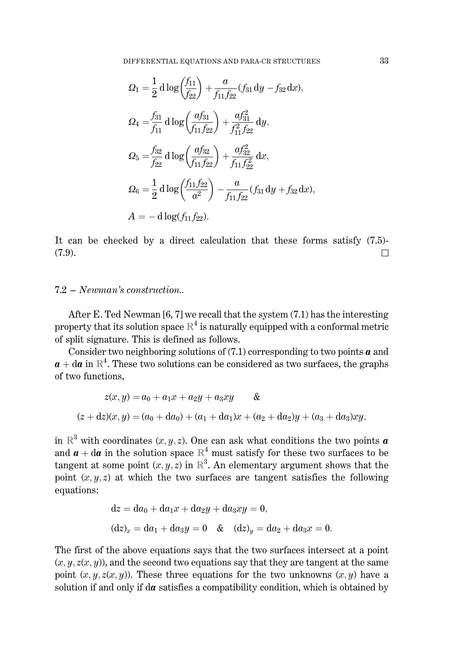$$
\Omega_1 = \frac{1}{2} d \log \left( \frac{f_{11}}{f_{22}} \right) + \frac{a}{f_{11} f_{22}} (f_{31} dy - f_{32} dx),
$$
  
\n
$$
\Omega_4 = \frac{f_{31}}{f_{11}} d \log \left( \frac{a f_{31}}{f_{11} f_{22}} \right) + \frac{a f_{31}^2}{f_{11}^2 f_{22}} dy,
$$
  
\n
$$
\Omega_5 = \frac{f_{32}}{f_{22}} d \log \left( \frac{a f_{32}}{f_{11} f_{22}} \right) + \frac{a f_{32}^2}{f_{11} f_{22}^2} dx,
$$
  
\n
$$
\Omega_6 = \frac{1}{2} d \log \left( \frac{f_{11} f_{22}}{a^2} \right) - \frac{a}{f_{11} f_{22}} (f_{31} dy + f_{32} dx).
$$
  
\n
$$
A = -d \log (f_{11} f_{22}).
$$

It can be checked by a direct calculation that these forms satisfy  $(7.5)$ - $(7.9).$  $\Box$ 

### $7.2 - Neuman's construction.$

After E. Ted Newman [6, 7] we recall that the system (7.1) has the interesting property that its solution space  $\mathbb{R}^4$  is naturally equipped with a conformal metric of split signature. This is defined as follows.

Consider two neighboring solutions of  $(7.1)$  corresponding to two points  $\boldsymbol{a}$  and  $a + da$  in  $\mathbb{R}^4$ . These two solutions can be considered as two surfaces, the graphs of two functions.

$$
z(x, y) = a_0 + a_1x + a_2y + a_3xy \qquad \&
$$
  

$$
(z + dz)(x, y) = (a_0 + da_0) + (a_1 + da_1)x + (a_2 + da_2)y + (a_3 + da_3)xy
$$

in  $\mathbb{R}^3$  with coordinates  $(x, y, z)$ . One can ask what conditions the two points **a** and  $\mathbf{a} + d\mathbf{a}$  in the solution space  $\mathbb{R}^4$  must satisfy for these two surfaces to be tangent at some point  $(x, y, z)$  in  $\mathbb{R}^3$ . An elementary argument shows that the point  $(x, y, z)$  at which the two surfaces are tangent satisfies the following equations:

$$
dz = da_0 + da_1x + da_2y + da_3xy = 0,
$$
  
\n
$$
(dz)_x = da_1 + da_3y = 0 \& (dz)_y = da_2 + da_3x = 0.
$$

The first of the above equations says that the two surfaces intersect at a point  $(x, y, z(x, y))$ , and the second two equations say that they are tangent at the same point  $(x, y, z(x, y))$ . These three equations for the two unknowns  $(x, y)$  have a solution if and only if  $d\boldsymbol{a}$  satisfies a compatibility condition, which is obtained by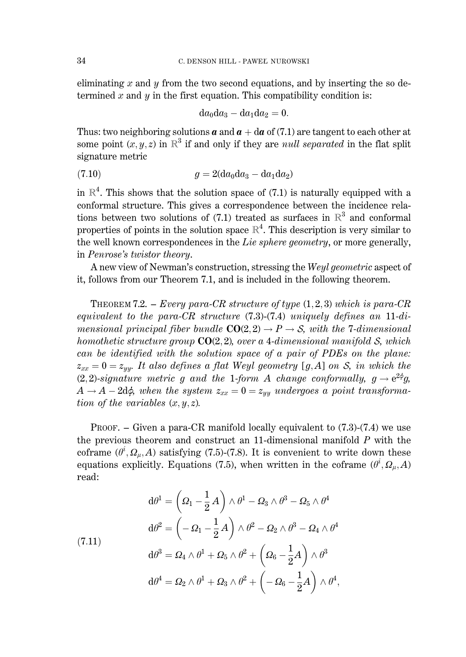eliminating x and y from the two second equations, and by inserting the so determined  $x$  and  $y$  in the first equation. This compatibility condition is:

$$
\mathrm{d} a_0 \mathrm{d} a_3 - \mathrm{d} a_1 \mathrm{d} a_2 = 0.
$$

Thus: two neighboring solutions **a** and  $a + da$  of (7.1) are tangent to each other at some point  $(x, y, z)$  in  $\mathbb{R}^3$  if and only if they are *null separated* in the flat split signature metric

(7.10) 
$$
g = 2(da_0da_3 - da_1da_2)
$$

in  $\mathbb{R}^4$ . This shows that the solution space of (7.1) is naturally equipped with a conformal structure. This gives a correspondence between the incidence relations between two solutions of (7.1) treated as surfaces in  $\mathbb{R}^3$  and conformal properties of points in the solution space  $\mathbb{R}^4$ . This description is very similar to the well known correspondences in the Lie sphere geometry, or more generally, in Penrose's twistor theory.

A new view of Newman's construction, stressing the Weyl geometric aspect of it, follows from our Theorem 7.1, and is included in the following theorem.

THEOREM 7.2. – Every para-CR structure of type  $(1,2,3)$  which is para-CR equivalent to the para-CR structure  $(7.3)$ - $(7.4)$  uniquely defines an 11-dimensional principal fiber bundle  $CO(2,2) \rightarrow P \rightarrow S$ , with the 7-dimensional homothetic structure group  $CO(2, 2)$ , over a 4-dimensional manifold S, which can be identified with the solution space of a pair of PDEs on the plane:  $z_{xx} = 0 = z_{yy}$ . It also defines a flat Weyl geometry [g, A] on S, in which the  $(2,2)$ -signature metric g and the 1-form A change conformally,  $g \rightarrow e^{2\phi}g$ ,  $A \rightarrow A - 2d\phi$ , when the system  $z_{xx} = 0 = z_{yy}$  undergoes a point transformation of the variables  $(x, y, z)$ .

PROOF. – Given a para-CR manifold locally equivalent to  $(7.3)$ - $(7.4)$  we use the previous theorem and construct an 11-dimensional manifold  $P$  with the coframe  $(\theta^i, \Omega_\mu, A)$  satisfying (7.5)-(7.8). It is convenient to write down these equations explicitly. Equations (7.5), when written in the coframe  $(\theta^i, \Omega_u, A)$ read:

(7.11)  
\n
$$
d\theta^{1} = \left(\Omega_{1} - \frac{1}{2}A\right) \wedge \theta^{1} - \Omega_{3} \wedge \theta^{3} - \Omega_{5} \wedge \theta^{4}
$$
\n
$$
d\theta^{2} = \left(-\Omega_{1} - \frac{1}{2}A\right) \wedge \theta^{2} - \Omega_{2} \wedge \theta^{3} - \Omega_{4} \wedge \theta^{4}
$$
\n
$$
d\theta^{3} = \Omega_{4} \wedge \theta^{1} + \Omega_{5} \wedge \theta^{2} + \left(\Omega_{6} - \frac{1}{2}A\right) \wedge \theta^{3}
$$
\n
$$
d\theta^{4} = \Omega_{2} \wedge \theta^{1} + \Omega_{3} \wedge \theta^{2} + \left(-\Omega_{6} - \frac{1}{2}A\right) \wedge \theta^{4},
$$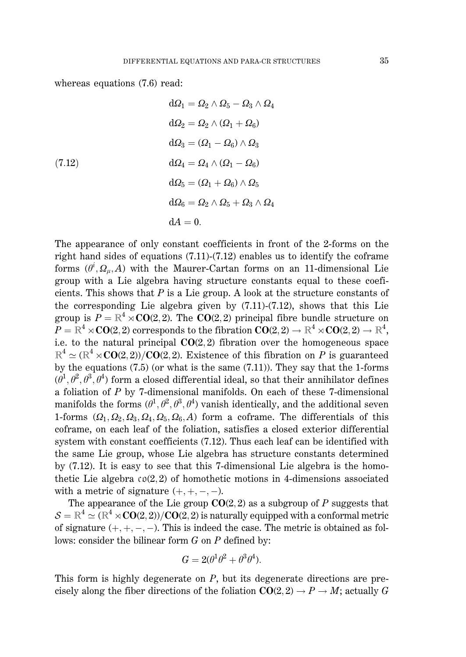whereas equations  $(7.6)$  read:

(7.12)  
\n
$$
d\Omega_1 = \Omega_2 \wedge \Omega_5 - \Omega_3 \wedge \Omega_4
$$
\n
$$
d\Omega_2 = \Omega_2 \wedge (\Omega_1 + \Omega_6)
$$
\n
$$
d\Omega_3 = (\Omega_1 - \Omega_6) \wedge \Omega_3
$$
\n
$$
d\Omega_4 = \Omega_4 \wedge (\Omega_1 - \Omega_6)
$$
\n
$$
d\Omega_5 = (\Omega_1 + \Omega_6) \wedge \Omega_5
$$
\n
$$
d\Omega_6 = \Omega_2 \wedge \Omega_5 + \Omega_3 \wedge \Omega_4
$$
\n
$$
dA = 0.
$$

The appearance of only constant coefficients in front of the 2-forms on the right hand sides of equations  $(7.11)-(7.12)$  enables us to identify the coframe forms  $(\theta^i, \Omega_i, A)$  with the Maurer-Cartan forms on an 11-dimensional Lie group with a Lie algebra having structure constants equal to these coeficients. This shows that  $P$  is a Lie group. A look at the structure constants of the corresponding Lie algebra given by  $(7.11)-(7.12)$ , shows that this Lie group is  $P = \mathbb{R}^4 \times \mathbb{C}O(2, 2)$ . The  $CO(2, 2)$  principal fibre bundle structure on  $P = \mathbb{R}^4 \rtimes \mathbf{CO}(2,2)$  corresponds to the fibration  $\mathbf{CO}(2,2) \to \mathbb{R}^4 \rtimes \mathbf{CO}(2,2) \to \mathbb{R}^4$ , i.e. to the natural principal  $CO(2,2)$  fibration over the homogeneous space  $\mathbb{R}^4 \simeq (\mathbb{R}^4 \rtimes \mathbf{CO}(2, 2))/\mathbf{CO}(2, 2)$ . Existence of this fibration on P is guaranteed by the equations  $(7.5)$  (or what is the same  $(7.11)$ ). They say that the 1-forms  $(\theta^1, \theta^2, \theta^3, \theta^4)$  form a closed differential ideal, so that their annihilator defines a foliation of  $P$  by 7-dimensional manifolds. On each of these 7-dimensional manifolds the forms  $(\theta^1, \theta^2, \theta^3, \theta^4)$  vanish identically, and the additional seven 1-forms  $(Q_1, Q_2, Q_3, Q_4, Q_5, Q_6, A)$  form a coframe. The differentials of this coframe, on each leaf of the foliation, satisfies a closed exterior differential system with constant coefficients (7.12). Thus each leaf can be identified with the same Lie group, whose Lie algebra has structure constants determined by (7.12). It is easy to see that this 7-dimensional Lie algebra is the homothetic Lie algebra  $\mathfrak{co}(2,2)$  of homothetic motions in 4-dimensions associated with a metric of signature  $(+, +, -, -)$ .

The appearance of the Lie group  $CO(2, 2)$  as a subgroup of P suggests that  $S = \mathbb{R}^4 \simeq (\mathbb{R}^4 \rtimes \mathbf{CO}(2,2))/\mathbf{CO}(2,2)$  is naturally equipped with a conformal metric of signature  $(+, +, -, -)$ . This is indeed the case. The metric is obtained as follows: consider the bilinear form  $G$  on  $P$  defined by:

$$
G = 2(\theta^1 \theta^2 + \theta^3 \theta^4).
$$

This form is highly degenerate on  $P$ , but its degenerate directions are precisely along the fiber directions of the foliation  $CO(2,2) \rightarrow P \rightarrow M$ ; actually G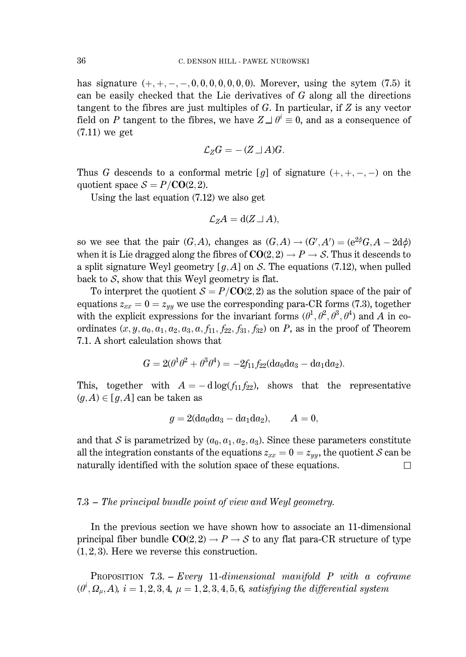has signature  $(+, +, -, -, 0, 0, 0, 0, 0, 0, 0)$ . Morever, using the sytem (7.5) it can be easily checked that the Lie derivatives of  $G$  along all the directions tangent to the fibres are just multiples of  $G$ . In particular, if  $Z$  is any vector field on P tangent to the fibres, we have  $Z \rightharpoonup \theta^i \equiv 0$ , and as a consequence of  $(7.11)$  we get

$$
\mathcal{L}_Z G = -(Z \sqcup A)G.
$$

Thus G descends to a conformal metric [g] of signature  $(+, +, -, -)$  on the quotient space  $S = P/CO(2, 2)$ .

Using the last equation  $(7.12)$  we also get

$$
\mathcal{L}_Z A = d(Z \sqcup A),
$$

so we see that the pair  $(G, A)$ , changes as  $(G, A) \rightarrow (G', A') = (e^{2\phi}G, A - 2d\phi)$ when it is Lie dragged along the fibres of  $CO(2, 2) \rightarrow P \rightarrow S$ . Thus it descends to a split signature Weyl geometry  $[q, A]$  on S. The equations (7.12), when pulled back to  $S$ , show that this Weyl geometry is flat.

To interpret the quotient  $S = P/CO(2, 2)$  as the solution space of the pair of equations  $z_{xx} = 0 = z_{yy}$  we use the corresponding para-CR forms (7.3), together with the explicit expressions for the invariant forms  $(\theta^1, \theta^2, \theta^3, \theta^4)$  and A in coordinates  $(x, y, a_0, a_1, a_2, a_3, a, f_{11}, f_{22}, f_{31}, f_{32})$  on P, as in the proof of Theorem 7.1. A short calculation shows that

$$
G=2(\theta^1\theta^2+\theta^3\theta^4)=-2f_{11}f_{22}(\mathrm{d} a_0\mathrm{d} a_3-\mathrm{d} a_1\mathrm{d} a_2).
$$

This, together with  $A = -d \log(f_{11} f_{22})$ , shows that the representative  $(g, A) \in [g, A]$  can be taken as

$$
g = 2(da_0da_3 - da_1da_2), \qquad A = 0,
$$

and that S is parametrized by  $(a_0, a_1, a_2, a_3)$ . Since these parameters constitute all the integration constants of the equations  $z_{xx} = 0 = z_{yy}$ , the quotient S can be naturally identified with the solution space of these equations.  $\Box$ 

### 7.3 – The principal bundle point of view and Weyl geometry.

In the previous section we have shown how to associate an 11-dimensional principal fiber bundle  $CO(2,2) \rightarrow P \rightarrow S$  to any flat para-CR structure of type  $(1, 2, 3)$ . Here we reverse this construction.

**PROPOSITION** 7.3. - *Every* 11-dimensional manifold  $P$  with a coframe  $(\theta^i, \Omega_u, A), i = 1, 2, 3, 4, \mu = 1, 2, 3, 4, 5, 6$ , satisfying the differential system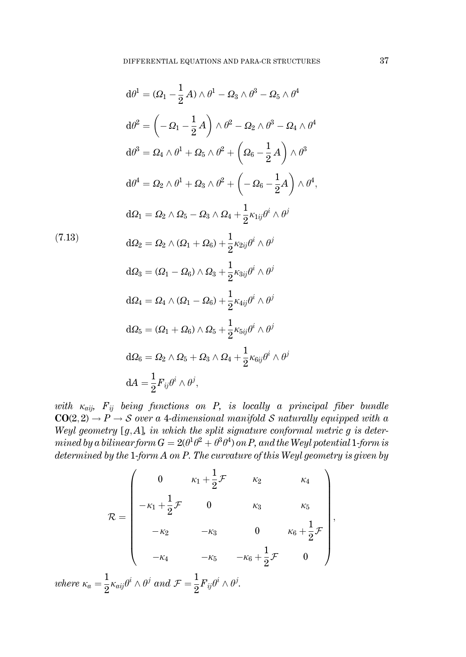$$
d\theta^{1} = (\Omega_{1} - \frac{1}{2}A) \wedge \theta^{1} - \Omega_{3} \wedge \theta^{3} - \Omega_{5} \wedge \theta^{4}
$$
  
\n
$$
d\theta^{2} = \left(-\Omega_{1} - \frac{1}{2}A\right) \wedge \theta^{2} - \Omega_{2} \wedge \theta^{3} - \Omega_{4} \wedge \theta^{4}
$$
  
\n
$$
d\theta^{3} = \Omega_{4} \wedge \theta^{1} + \Omega_{5} \wedge \theta^{2} + \left(\Omega_{6} - \frac{1}{2}A\right) \wedge \theta^{3}
$$
  
\n
$$
d\theta^{4} = \Omega_{2} \wedge \theta^{1} + \Omega_{3} \wedge \theta^{2} + \left(-\Omega_{6} - \frac{1}{2}A\right) \wedge \theta^{4},
$$
  
\n
$$
d\Omega_{1} = \Omega_{2} \wedge \Omega_{5} - \Omega_{3} \wedge \Omega_{4} + \frac{1}{2}\kappa_{1ij}\theta^{i} \wedge \theta^{j}
$$
  
\n
$$
d\Omega_{2} = \Omega_{2} \wedge (\Omega_{1} + \Omega_{6}) + \frac{1}{2}\kappa_{2ij}\theta^{i} \wedge \theta^{j}
$$
  
\n
$$
d\Omega_{3} = (\Omega_{1} - \Omega_{6}) \wedge \Omega_{3} + \frac{1}{2}\kappa_{3ij}\theta^{i} \wedge \theta^{j}
$$
  
\n
$$
d\Omega_{4} = \Omega_{4} \wedge (\Omega_{1} - \Omega_{6}) + \frac{1}{2}\kappa_{4ij}\theta^{i} \wedge \theta^{j}
$$
  
\n
$$
d\Omega_{5} = (\Omega_{1} + \Omega_{6}) \wedge \Omega_{5} + \frac{1}{2}\kappa_{5ij}\theta^{i} \wedge \theta^{j}
$$
  
\n
$$
d\Omega_{6} = \Omega_{2} \wedge \Omega_{5} + \Omega_{3} \wedge \Omega_{4} + \frac{1}{2}\kappa_{6ij}\theta^{i} \wedge \theta^{j}
$$
  
\n
$$
dA = \frac{1}{2}F_{ij}\theta^{i} \wedge \theta^{j},
$$

with  $\kappa_{ai}$ ,  $F_{ij}$  being functions on P, is locally a principal fiber bundle  $CO(2,2) \rightarrow P \rightarrow S$  over a 4-dimensional manifold S naturally equipped with a Weyl geometry [g, A], in which the split signature conformal metric g is determined by a bilinear form  $G = 2(\theta^1 \theta^2 + \theta^3 \theta^4)$  on P, and the Weyl potential 1-form is determined by the  $1$ -form  $A$  on  $P$ . The curvature of this Weyl geometry is given by

$$
\mathcal{R} = \begin{pmatrix}\n0 & \kappa_1 + \frac{1}{2}\mathcal{F} & \kappa_2 & \kappa_4 \\
-\kappa_1 + \frac{1}{2}\mathcal{F} & 0 & \kappa_3 & \kappa_5 \\
-\kappa_2 & -\kappa_3 & 0 & \kappa_6 + \frac{1}{2}\mathcal{F} \\
-\kappa_4 & -\kappa_5 & -\kappa_6 + \frac{1}{2}\mathcal{F} & 0\n\end{pmatrix},
$$
  
where  $\kappa_a = \frac{1}{2}\kappa_{aij}\theta^i \wedge \theta^j$  and  $\mathcal{F} = \frac{1}{2}F_{ij}\theta^i \wedge \theta^j$ .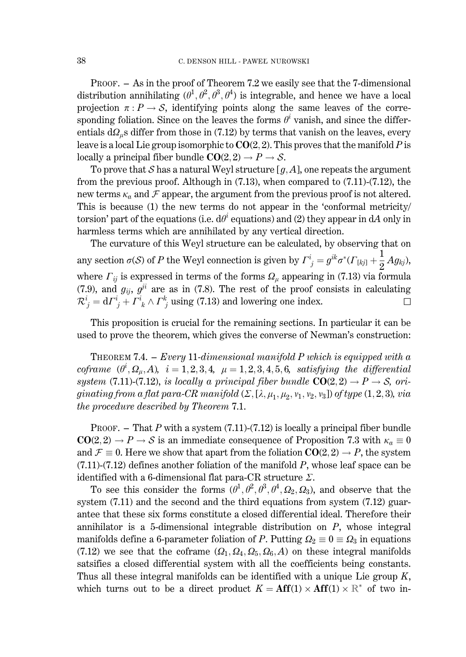PROOF. - As in the proof of Theorem 7.2 we easily see that the 7-dimensional distribution annihilating  $(\theta^1, \theta^2, \theta^3, \theta^4)$  is integrable, and hence we have a local projection  $\pi: P \to S$ , identifying points along the same leaves of the corresponding foliation. Since on the leaves the forms  $\theta^i$  vanish, and since the differentials  $d\Omega_{\mu}$ s differ from those in (7.12) by terms that vanish on the leaves, every leave is a local Lie group isomorphic to  $CO(2, 2)$ . This proves that the manifold P is locally a principal fiber bundle  $CO(2, 2) \rightarrow P \rightarrow S$ .

To prove that S has a natural Weyl structure [ $g$ , A], one repeats the argument from the previous proof. Although in  $(7.13)$ , when compared to  $(7.11)-(7.12)$ , the new terms  $\kappa_a$  and  $\mathcal F$  appear, the argument from the previous proof is not altered. This is because (1) the new terms do not appear in the 'conformal metricity/ torsion' part of the equations (i.e.  $d\theta^i$  equations) and (2) they appear in dA only in harmless terms which are annihilated by any vertical direction.

The curvature of this Weyl structure can be calculated, by observing that on any section  $\sigma(S)$  of P the Weyl connection is given by  $\Gamma^i_{\ j} = g^{ik} \sigma^* (\Gamma_{[kj]} + \frac{1}{2}Ag_{kj}),$ where  $\Gamma_{ij}$  is expressed in terms of the forms  $\Omega_{\mu}$  appearing in (7.13) via formula (7.9), and  $g_{ij}$ ,  $g^{ji}$  are as in (7.8). The rest of the proof consists in calculating  $\mathcal{R}^i_j = d\Gamma^i_j + \Gamma^i_k \wedge \Gamma^k_j$  using (7.13) and lowering one index. □

This proposition is crucial for the remaining sections. In particular it can be used to prove the theorem, which gives the converse of Newman's construction:

**THEOREM 7.4.** - *Every* 11-dimensional manifold P which is equipped with a coframe  $(\theta^i, \Omega_\mu, A)$ ,  $i = 1, 2, 3, 4$ ,  $\mu = 1, 2, 3, 4, 5, 6$ , satisfying the differential system (7.11)-(7.12), is locally a principal fiber bundle  $CO(2,2) \rightarrow P \rightarrow S$ , originating from a flat para-CR manifold  $(\Sigma, [\lambda, \mu_1, \mu_2, v_1, v_2, v_3])$  of type  $(1, 2, 3)$ , via the procedure described by Theorem 7.1.

PROOF. – That P with a system  $(7.11)$ - $(7.12)$  is locally a principal fiber bundle  $CO(2,2) \rightarrow P \rightarrow S$  is an immediate consequence of Proposition 7.3 with  $\kappa_a \equiv 0$ and  $\mathcal{F} \equiv 0$ . Here we show that apart from the foliation  $CO(2, 2) \rightarrow P$ , the system  $(7.11)-(7.12)$  defines another foliation of the manifold P, whose leaf space can be identified with a 6-dimensional flat para-CR structure  $\Sigma$ .

To see this consider the forms  $(\theta^1, \theta^2, \theta^3, \theta^4, \Omega_2, \Omega_3)$ , and observe that the system  $(7.11)$  and the second and the third equations from system  $(7.12)$  guarantee that these six forms constitute a closed differential ideal. Therefore their annihilator is a 5-dimensional integrable distribution on  $P$ , whose integral manifolds define a 6-parameter foliation of P. Putting  $\Omega_2 \equiv 0 \equiv \Omega_3$  in equations (7.12) we see that the coframe  $(\Omega_1, \Omega_4, \Omega_5, \Omega_6, A)$  on these integral manifolds satsifies a closed differential system with all the coefficients being constants. Thus all these integral manifolds can be identified with a unique Lie group  $K$ , which turns out to be a direct product  $K = Aff(1) \times Aff(1) \times \mathbb{R}^*$  of two in-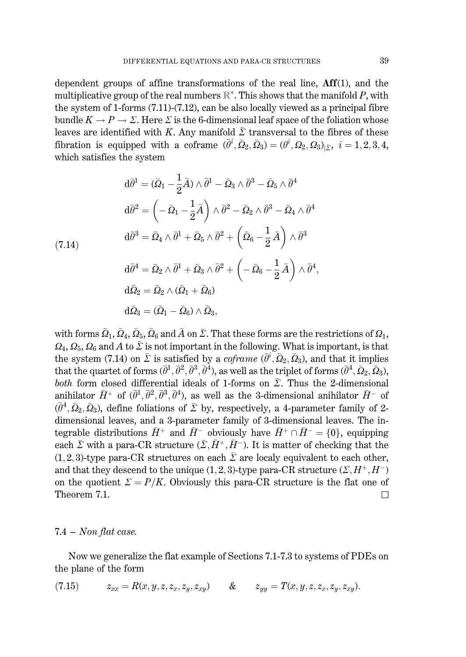dependent groups of affine transformations of the real line, Aff(1), and the multiplicative group of the real numbers  $\mathbb{R}^*$ . This shows that the manifold P, with the system of 1-forms  $(7.11)$ - $(7.12)$ , can be also locally viewed as a principal fibre bundle  $K \to P \to \Sigma$ . Here  $\Sigma$  is the 6-dimensional leaf space of the foliation whose leaves are identified with K. Any manifold  $\overline{\Sigma}$  transversal to the fibres of these fibration is equipped with a coframe  $(\bar{\theta}^i, \bar{\Omega}_2, \bar{\Omega}_3) = (\theta^i, \Omega_2, \Omega_3)_{\vert \bar{\Sigma}}, i = 1, 2, 3, 4,$ which satisfies the system

$$
d\bar{\theta}^{1} = (\bar{\Omega}_{1} - \frac{1}{2}\bar{A}) \wedge \bar{\theta}^{1} - \bar{\Omega}_{3} \wedge \bar{\theta}^{3} - \bar{\Omega}_{5} \wedge \bar{\theta}^{4}
$$

$$
d\bar{\theta}^{2} = \left(-\bar{\Omega}_{1} - \frac{1}{2}\bar{A}\right) \wedge \bar{\theta}^{2} - \bar{\Omega}_{2} \wedge \bar{\theta}^{3} - \bar{\Omega}_{4} \wedge \bar{\theta}^{4}
$$

$$
d\bar{\theta}^{3} = \bar{\Omega}_{4} \wedge \bar{\theta}^{1} + \bar{\Omega}_{5} \wedge \bar{\theta}^{2} + \left(\bar{\Omega}_{6} - \frac{1}{2}\bar{A}\right) \wedge \bar{\theta}^{3}
$$

$$
d\bar{\theta}^{4} = \bar{\Omega}_{2} \wedge \bar{\theta}^{1} + \bar{\Omega}_{3} \wedge \bar{\theta}^{2} + \left(-\bar{\Omega}_{6} - \frac{1}{2}\bar{A}\right) \wedge \bar{\theta}^{4}
$$

$$
d\bar{\Omega}_{2} = \bar{\Omega}_{2} \wedge (\bar{\Omega}_{1} + \bar{\Omega}_{6})
$$

$$
\mathrm{d}\bar{\varOmega}_3=(\bar{\varOmega}_1-\bar{\varOmega}_6)\wedge\bar{\varOmega}_3,
$$

with forms  $\bar{\Omega}_1$ ,  $\bar{\Omega}_4$ ,  $\bar{\Omega}_5$ ,  $\bar{\Omega}_6$  and  $\bar{A}$  on  $\bar{\Sigma}$ . That these forms are the restrictions of  $\Omega_1$ ,  $\Omega_4, \Omega_5, \Omega_6$  and A to  $\overline{\Sigma}$  is not important in the following. What is important, is that the system (7.14) on  $\bar{\Sigma}$  is satisfied by a *coframe* ( $\bar{\theta}^i$ ,  $\bar{\Omega}_2$ ,  $\bar{\Omega}_3$ ), and that it implies that the quartet of forms  $(\bar{\theta}^1, \bar{\theta}^2, \bar{\theta}^3, \bar{\theta}^4)$ , as well as the triplet of forms  $(\bar{\theta}^4, \bar{\Omega}_2, \bar{\Omega}_3)$ , *both* form closed differential ideals of 1-forms on  $\overline{\Sigma}$ . Thus the 2-dimensional anihilator  $\bar{H}^+$  of  $(\bar{\theta}^1, \bar{\theta}^2, \bar{\theta}^3, \bar{\theta}^4)$ , as well as the 3-dimensional anihilator  $\bar{H}^-$  of  $(\bar{\theta}^4, \bar{\Omega}_2, \bar{\Omega}_3)$ , define foliations of  $\bar{\Sigma}$  by, respectively, a 4-parameter family of 2dimensional leaves, and a 3-parameter family of 3-dimensional leaves. The integrable distributions  $\bar{H}^+$  and  $\bar{H}^-$  obviously have  $\bar{H}^+ \cap \bar{H}^- = \{0\}$ , equipping each  $\bar{\Sigma}$  with a para-CR structure  $(\bar{\Sigma}, \bar{H}^+, \bar{H}^-)$ . It is matter of checking that the  $(1,2,3)$ -type para-CR structures on each  $\overline{\Sigma}$  are localy equivalent to each other, and that they descend to the unique (1, 2, 3)-type para-CR structure  $(\Sigma, H^+, H^-)$ on the quotient  $\Sigma = P/K$ . Obviously this para-CR structure is the flat one of Theorem 7.1.  $\Box$ 

#### $7.4 - Non flat case.$

Now we generalize the flat example of Sections 7.1-7.3 to systems of PDEs on the plane of the form

$$
(7.15) \t z_{xx} = R(x, y, z, z_x, z_y, z_{xy}) \t\t \& \t z_{yy} = T(x, y, z, z_x, z_y, z_{xy}).
$$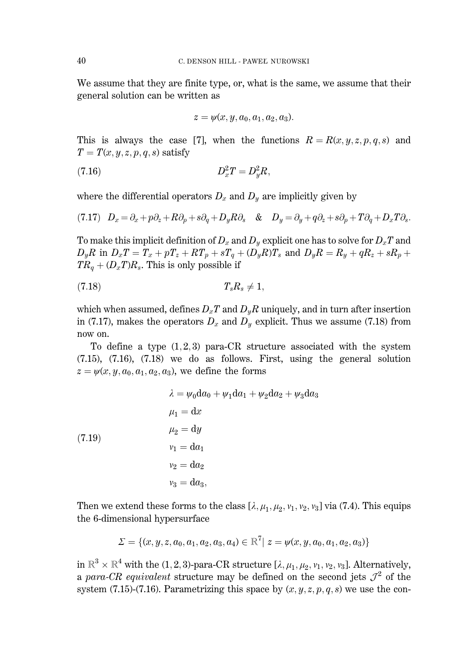We assume that they are finite type, or, what is the same, we assume that their general solution can be written as

$$
z = \psi(x, y, a_0, a_1, a_2, a_3).
$$

This is always the case [7], when the functions  $R = R(x, y, z, p, q, s)$  and  $T = T(x, y, z, p, q, s)$  satisfy

$$
(7.16) \t\t D_x^2 T = D_y^2 R,
$$

where the differential operators  $D_x$  and  $D_y$  are implicitly given by

$$
(7.17) \quad D_x = \partial_x + p\partial_z + R\partial_p + s\partial_q + D_y R\partial_s \quad \& \quad D_y = \partial_y + q\partial_z + s\partial_p + T\partial_q + D_x T\partial_s.
$$

To make this implicit definition of  $D_x$  and  $D_y$  explicit one has to solve for  $D_xT$  and  $D_yR$  in  $D_xT = T_x + pT_z + RT_p + sT_q + (D_yR)T_s$  and  $D_yR = R_y + qR_z + sR_p + r$  $TR_a + (D_xT)R_s$ . This is only possible if

$$
(7.18) \t\t T_s R_s \neq 1,
$$

which when assumed, defines  $D_xT$  and  $D_yR$  uniquely, and in turn after insertion in (7.17), makes the operators  $D_x$  and  $D_y$  explicit. Thus we assume (7.18) from now on.

To define a type  $(1,2,3)$  para-CR structure associated with the system  $(7.15)$ ,  $(7.16)$ ,  $(7.18)$  we do as follows. First, using the general solution  $z = \psi(x, y, a_0, a_1, a_2, a_3)$ , we define the forms

$$
\lambda = \psi_0 \mathrm{d}a_0 + \psi_1 \mathrm{d}a_1 + \psi_2 \mathrm{d}a_2 + \psi_3 \mathrm{d}a_3
$$

$$
\mu_1 = \mathrm{d}x
$$

$$
\mu_2 = \mathrm{d}y
$$

$$
v_1 = \mathrm{d}a_1
$$

$$
v_2 = \mathrm{d}a_2
$$

$$
v_3 = \mathrm{d}a_3,
$$

Then we extend these forms to the class  $[\lambda, \mu_1, \mu_2, \nu_1, \nu_2, \nu_3]$  via (7.4). This equips the 6-dimensional hypersurface

$$
\varSigma = \{ (x,y,z,a_0,a_1,a_2,a_3,a_4) \in \mathbb{R}^7 | \,\, z = \psi(x,y,a_0,a_1,a_2,a_3) \}
$$

in  $\mathbb{R}^3 \times \mathbb{R}^4$  with the (1, 2, 3)-para-CR structure  $[\lambda, \mu_1, \mu_2, \nu_1, \nu_2, \nu_3]$ . Alternatively, a para-CR equivalent structure may be defined on the second jets  $\mathcal{J}^2$  of the system (7.15)-(7.16). Parametrizing this space by  $(x, y, z, p, q, s)$  we use the con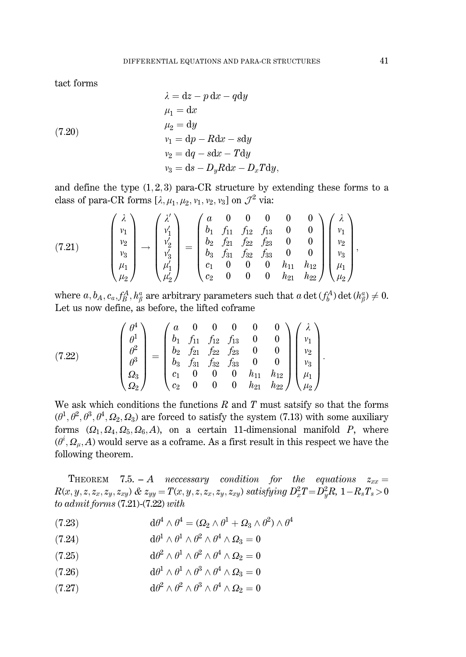tact forms

(7.20)  
\n
$$
\lambda = dz - p dx - q dy
$$
\n
$$
\mu_1 = dx
$$
\n
$$
\mu_2 = dy
$$
\n
$$
v_1 = dp - R dx - s dy
$$
\n
$$
v_2 = dq - s dx - T dy
$$
\n
$$
v_3 = ds - D_u R dx - D_x T dy,
$$

and define the type  $(1,2,3)$  para-CR structure by extending these forms to a class of para-CR forms  $[\lambda, \mu_1, \mu_2, \nu_1, \nu_2, \nu_3]$  on  $\mathcal{J}^2$  via:

(7.21) 
$$
\begin{pmatrix} \lambda \\ v_1 \\ v_2 \\ v_3 \\ \mu_1 \\ \mu_2 \end{pmatrix} \rightarrow \begin{pmatrix} \lambda' \\ v'_1 \\ v'_2 \\ v'_3 \\ \mu'_1 \\ \mu'_2 \end{pmatrix} = \begin{pmatrix} a & 0 & 0 & 0 & 0 & 0 \\ b_1 & f_{11} & f_{12} & f_{13} & 0 & 0 \\ b_2 & f_{21} & f_{22} & f_{23} & 0 & 0 \\ b_3 & f_{31} & f_{32} & f_{33} & 0 & 0 \\ c_1 & 0 & 0 & 0 & h_{11} & h_{12} \\ c_2 & 0 & 0 & 0 & h_{21} & h_{22} \end{pmatrix} \begin{pmatrix} \lambda \\ v_1 \\ v_2 \\ v_3 \\ \mu_1 \\ \mu_2 \end{pmatrix},
$$

where  $a, b_A, c_a, f^A_B, h^a_B$  are arbitrary parameters such that  $a \det(f^A_b) \det(h^a_B) \neq 0$ . Let us now define, as before, the lifted coframe

(7.22) 
$$
\begin{pmatrix} \theta^4 \\ \theta^1 \\ \theta^2 \\ \theta^3 \\ \Omega_3 \\ \Omega_2 \end{pmatrix} = \begin{pmatrix} a & 0 & 0 & 0 & 0 & 0 \\ b_1 & f_{11} & f_{12} & f_{13} & 0 & 0 \\ b_2 & f_{21} & f_{22} & f_{23} & 0 & 0 \\ b_3 & f_{31} & f_{32} & f_{33} & 0 & 0 \\ c_1 & 0 & 0 & 0 & h_{11} & h_{12} \\ c_2 & 0 & 0 & 0 & h_{21} & h_{22} \end{pmatrix} \begin{pmatrix} \lambda \\ v_1 \\ v_2 \\ v_3 \\ \mu_4 \\ \mu_2 \end{pmatrix}
$$

We ask which conditions the functions  $R$  and  $T$  must satsify so that the forms  $(\theta^1, \theta^2, \theta^3, \theta^4, \Omega_2, \Omega_3)$  are forced to satisfy the system (7.13) with some auxiliary forms  $(\Omega_1, \Omega_4, \Omega_5, \Omega_6, A)$ , on a certain 11-dimensional manifold P, where  $(\theta^i, \Omega_\mu, A)$  would serve as a coframe. As a first result in this respect we have the following theorem.

THEOREM 7.5. - A neccessary condition for the equations  $z_{xx} =$  $R(x, y, z, z_x, z_y, z_{xy})$  &  $z_{yy} = T(x, y, z, z_x, z_y, z_{xy})$  satisfying  $D_x^2T = D_y^2R$ ,  $1 - R_sT_s > 0$ to admit forms  $(7.21)$ - $(7.22)$  with

- $d\theta^4 \wedge \theta^4 = (\Omega_2 \wedge \theta^1 + \Omega_2 \wedge \theta^2) \wedge \theta^4$  $(7.23)$
- $d\theta^1 \wedge \theta^1 \wedge \theta^2 \wedge \theta^4 \wedge \Omega_3 = 0$  $(7.24)$
- $d\theta^2 \wedge \theta^1 \wedge \theta^2 \wedge \theta^4 \wedge \Omega_2 = 0$  $(7.25)$
- $d\theta^1\wedge\theta^1\wedge\theta^3\wedge\theta^4\wedge\varOmega_3=0$  $(7.26)$
- $d\theta^2 \wedge \theta^2 \wedge \theta^3 \wedge \theta^4 \wedge \Omega_2 = 0$  $(7.27)$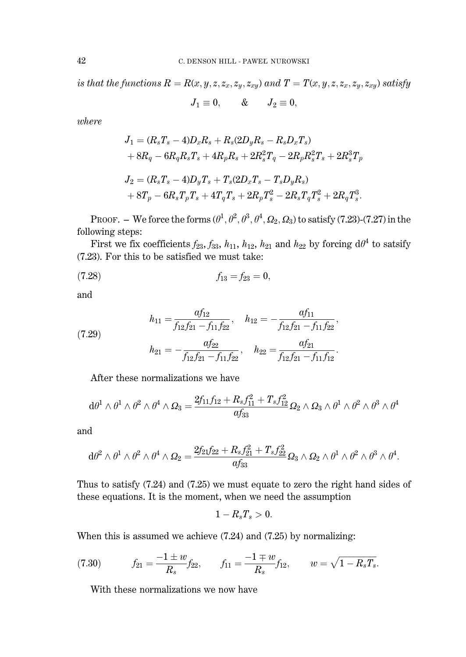is that the functions  $R = R(x, y, z, z_x, z_y, z_{xy})$  and  $T = T(x, y, z, z_x, z_y, z_{xy})$  satisfy

$$
J_1\equiv 0,\qquad \& \qquad J_2\equiv 0,
$$

where

$$
J_1 = (R_sT_s - 4)D_xR_s + R_s(2D_yR_s - R_sD_xT_s)
$$
  
+  $8R_q - 6R_qR_sT_s + 4R_pR_s + 2R_s^2T_q - 2R_pR_s^2T_s + 2R_s^3T_p$   

$$
J_2 = (R_sT_s - 4)D_yT_s + T_s(2D_xT_s - T_sD_yR_s)
$$
  
+  $8T_p - 6R_sT_pT_s + 4T_qT_s + 2R_pT_s^2 - 2R_sT_qT_s^2 + 2R_qT_s^3.$ 

PROOF. – We force the forms  $(\theta^1, \theta^2, \theta^3, \theta^4, \Omega_2, \Omega_3)$  to satisfy (7.23)-(7.27) in the following steps:

First we fix coefficients  $f_{23}$ ,  $f_{33}$ ,  $h_{11}$ ,  $h_{12}$ ,  $h_{21}$  and  $h_{22}$  by forcing  $d\theta^4$  to satsify (7.23). For this to be satisfied we must take:

$$
(7.28) \t\t f_{13} = f_{23} = 0,
$$

and

(7.29)  

$$
h_{11} = \frac{af_{12}}{f_{12}f_{21} - f_{11}f_{22}}, \quad h_{12} = -\frac{af_{11}}{f_{12}f_{21} - f_{11}f_{22}},
$$

$$
h_{21} = -\frac{af_{22}}{f_{12}f_{21} - f_{11}f_{22}}, \quad h_{22} = \frac{af_{21}}{f_{12}f_{21} - f_{11}f_{12}}.
$$

After these normalizations we have

$$
{\rm d}\theta^1\wedge\theta^1\wedge\theta^2\wedge\theta^4\wedge\varOmega_3=\frac{2f_{11}f_{12}+R_sf_{11}^2+T_sf_{12}^2}{af_{33}}\varOmega_2\wedge\varOmega_3\wedge\theta^1\wedge\theta^2\wedge\theta^3\wedge\theta^4
$$

and

$$
{\rm d}\theta^2\wedge\theta^1\wedge\theta^2\wedge\theta^4\wedge\varOmega_2=\frac{2f_{21}f_{22}+R_s f_{21}^2+T_s f_{22}^2}{a f_{33}}\varOmega_3\wedge\varOmega_2\wedge\theta^1\wedge\theta^2\wedge\theta^3\wedge\theta^4.
$$

Thus to satisfy  $(7.24)$  and  $(7.25)$  we must equate to zero the right hand sides of these equations. It is the moment, when we need the assumption

$$
1-R_sT_s>0.
$$

When this is assumed we achieve  $(7.24)$  and  $(7.25)$  by normalizing:

(7.30) 
$$
f_{21} = \frac{-1 \pm w}{R_s} f_{22}, \qquad f_{11} = \frac{-1 \mp w}{R_s} f_{12}, \qquad w = \sqrt{1 - R_s T_s}.
$$

With these normalizations we now have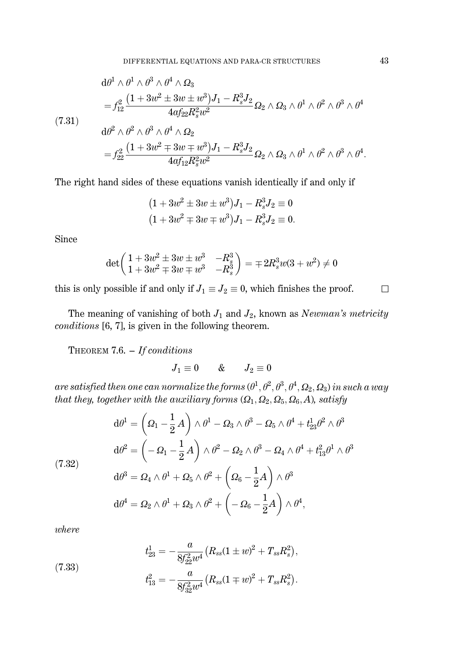(7.31)  
\n
$$
\begin{aligned}\n&\mathrm{d}\theta^1 \wedge \theta^1 \wedge \theta^3 \wedge \theta^4 \wedge \Omega_3 \\
&= f_{12}^2 \frac{(1 + 3w^2 \pm 3w \pm w^3)J_1 - R_s^3 J_2}{4\sigma f_{22} R_s^2 w^2} \Omega_2 \wedge \Omega_3 \wedge \theta^1 \wedge \theta^2 \wedge \theta^3 \wedge \theta^4 \\
&\mathrm{d}\theta^2 \wedge \theta^2 \wedge \theta^3 \wedge \theta^4 \wedge \Omega_2 \\
&= f_{22}^2 \frac{(1 + 3w^2 \mp 3w \mp w^3)J_1 - R_s^3 J_2}{4\sigma f_{12} R_s^2 w^2} \Omega_2 \wedge \Omega_3 \wedge \theta^1 \wedge \theta^2 \wedge \theta^3 \wedge \theta^4.\n\end{aligned}
$$

The right hand sides of these equations vanish identically if and only if

$$
(1 + 3w2 \pm 3w \pm w3)J1 - Rs3J2 \equiv 0
$$
  

$$
(1 + 3w2 \mp 3w \mp w3)J1 - Rs3J2 \equiv 0.
$$

Since

$$
\det\left(\begin{matrix} 1+3w^2\pm 3w\pm w^3 & -R^3_s \\ 1+3w^2\mp 3w\mp w^3 & -R^3_s \end{matrix}\right)=\mp 2R^3_s w(3+w^2)\neq 0
$$

this is only possible if and only if  $J_1 \equiv J_2 \equiv 0$ , which finishes the proof.

The meaning of vanishing of both  $J_1$  and  $J_2$ , known as Newman's metricity conditions [6, 7], is given in the following theorem.

THEOREM 7.6.  $-I$ f conditions

 $J_1 \equiv 0$  &  $J_2 \equiv 0$ 

are satisfied then one can normalize the forms  $(\theta^1,\theta^2,\theta^3,\theta^4,\Omega_2,\Omega_3)$  in such a way that they, together with the auxiliary forms  $(Q_1, Q_2, Q_5, Q_6, A)$ , satisfy

$$
d\theta^1 = \left(\Omega_1 - \frac{1}{2}A\right) \wedge \theta^1 - \Omega_3 \wedge \theta^3 - \Omega_5 \wedge \theta^4 + t_{23}^1 \theta^2 \wedge \theta^3
$$
  

$$
d\theta^2 = \left(-\Omega_1 - \frac{1}{2}A\right) \wedge \theta^2 - \Omega_2 \wedge \theta^3 - \Omega_4 \wedge \theta^4 + t_{13}^2 \theta^1 \wedge \theta^3
$$
  

$$
d\theta^3 = \Omega_4 \wedge \theta^1 + \Omega_5 \wedge \theta^2 + \left(\Omega_6 - \frac{1}{2}A\right) \wedge \theta^3
$$
  

$$
d\theta^4 = \Omega_2 \wedge \theta^1 + \Omega_3 \wedge \theta^2 + \left(-\Omega_6 - \frac{1}{2}A\right) \wedge \theta^4,
$$

 $where$ 

 $(7.32)$ 

(7.33)  

$$
t_{23}^1 = -\frac{a}{8f_{22}^2w^4}(R_{ss}(1 \pm w)^2 + T_{ss}R_s^2),
$$

$$
t_{13}^2 = -\frac{a}{8f_{32}^2w^4}(R_{ss}(1 \mp w)^2 + T_{ss}R_s^2).
$$

 $\Box$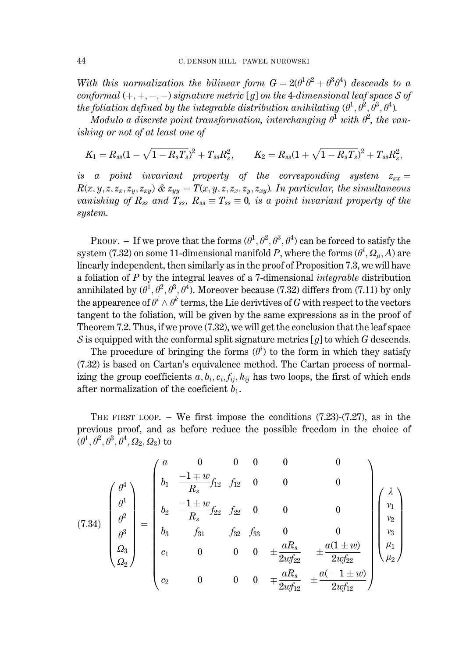With this normalization the bilinear form  $G = 2(\theta^1\theta^2 + \theta^3\theta^4)$  descends to a conformal  $(+,+,-,-)$  signature metric [q] on the 4-dimensional leaf space S of the foliation defined by the integrable distribution anihilating  $(\theta^1, \theta^2, \theta^3, \theta^4)$ .

Modulo a discrete point transformation, interchanging  $\theta^1$  with  $\theta^2$ , the vanishing or not of at least one of

$$
K_1=R_{ss}(1-\sqrt{1-R_sT_s})^2+T_{ss}R_s^2,\quad\quad K_2=R_{ss}(1+\sqrt{1-R_sT_s})^2+T_{ss}R_s^2,
$$

is a point invariant property of the corresponding system  $z_{xx} =$  $R(x, y, z, z_x, z_y, z_{xy})$  &  $z_{yy} = T(x, y, z, z_x, z_y, z_{xy})$ . In particular, the simultaneous vanishing of  $R_{ss}$  and  $T_{ss}$ ,  $R_{ss} \equiv T_{ss} \equiv 0$ , is a point invariant property of the system.

PROOF. – If we prove that the forms  $(\theta^1, \theta^2, \theta^3, \theta^4)$  can be forced to satisfy the system (7.32) on some 11-dimensional manifold P, where the forms  $(\theta^i, \Omega_u, A)$  are linearly independent, then similarly as in the proof of Proposition 7.3, we will have a foliation of  $P$  by the integral leaves of a 7-dimensional *integrable* distribution annihilated by  $(\theta^1, \theta^2, \theta^3, \theta^4)$ . Moreover because (7.32) differs from (7.11) by only the appearence of  $\theta^i \wedge \theta^k$  terms, the Lie derivtives of G with respect to the vectors tangent to the foliation, will be given by the same expressions as in the proof of Theorem 7.2. Thus, if we prove (7.32), we will get the conclusion that the leaf space S is equipped with the conformal split signature metrics [g] to which G descends.

The procedure of bringing the forms  $(\theta^i)$  to the form in which they satisfy (7.32) is based on Cartan's equivalence method. The Cartan process of normalizing the group coefficients  $a, b_i, c_i, f_{ii}, h_{ii}$  has two loops, the first of which ends after normalization of the coeficient  $b_1$ .

THE FIRST LOOP.  $-$  We first impose the conditions (7.23)-(7.27), as in the previous proof, and as before reduce the possible freedom in the choice of  $(\theta^1, \theta^2, \theta^3, \theta^4, \Omega_2, \Omega_3)$  to

$$
(7.34) \begin{pmatrix} \theta^4 \\ \theta^1 \\ \theta^2 \\ \theta^3 \\ \Omega_2 \end{pmatrix} = \begin{pmatrix} a & 0 & 0 & 0 & 0 & 0 \\ b_1 & \frac{-1 \mp w}{R_s} f_{12} & f_{12} & 0 & 0 & 0 \\ b_2 & \frac{-1 \pm w}{R_s} f_{22} & f_{22} & 0 & 0 & 0 \\ b_3 & f_{31} & f_{32} & f_{33} & 0 & 0 \\ c_1 & 0 & 0 & 0 & \pm \frac{aR_s}{2w f_{22}} & \pm \frac{a(1 \pm w)}{2w f_{22}} \\ c_2 & 0 & 0 & 0 & \mp \frac{aR_s}{2w f_{12}} & \pm \frac{a(-1 \pm w)}{2w f_{12}} \end{pmatrix}
$$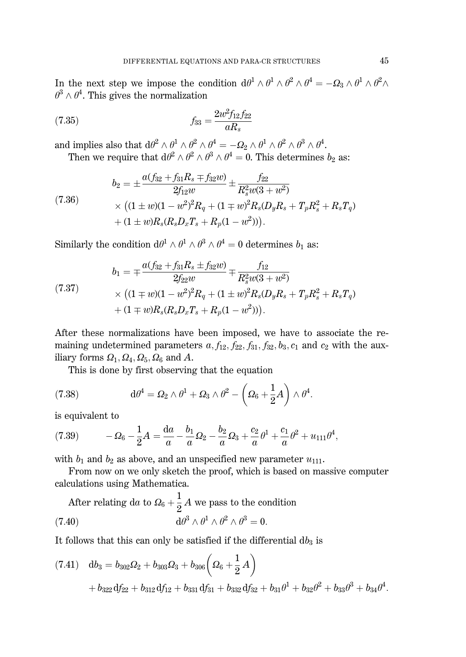In the next step we impose the condition  $d\theta^1 \wedge \theta^1 \wedge \theta^2 \wedge \theta^4 = -\Omega_3 \wedge \theta^1 \wedge \theta^2 \wedge \theta^1$  $\theta^3 \wedge \theta^4$ . This gives the normalization

(7.35) 
$$
f_{33} = \frac{2w^2 f_{12} f_{22}}{a R_s}
$$

and implies also that  $d\theta^2 \wedge \theta^1 \wedge \theta^2 \wedge \theta^4 = -\Omega_2 \wedge \theta^1 \wedge \theta^2 \wedge \theta^3 \wedge \theta^4$ . Then we require that  $d\theta^2 \wedge \theta^2 \wedge \theta^3 \wedge \theta^4 = 0$ . This determines  $b_2$  as:

(7.36)  
\n
$$
b_2 = \pm \frac{a(f_{32} + f_{31}R_s \mp f_{32}w)}{2f_{12}w} \pm \frac{f_{22}}{R_s^2w(3+w^2)}
$$
\n
$$
\times \left( (1 \pm w)(1-w^2)^2 R_q + (1 \mp w)^2 R_s (D_y R_s + T_p R_s^2 + R_s T_q) + (1 \pm w)R_s (R_s D_x T_s + R_p (1 - w^2)) \right).
$$

Similarly the condition  $d\theta^1 \wedge \theta^1 \wedge \theta^3 \wedge \theta^4 = 0$  determines  $b_1$  as:

$$
(7.37)
$$
\n
$$
b_1 = \pm \frac{a(f_{32} + f_{31}R_s \pm f_{32}w)}{2f_{22}w} \pm \frac{f_{12}}{R_s^2w(3+w^2)}
$$
\n
$$
\times \left( (1 \mp w)(1 - w^2)^2 R_q + (1 \pm w)^2 R_s (D_y R_s + T_p R_s^2 + R_s T_q) + (1 \mp w)R_s (R_s D_x T_s + R_p (1 - w^2)) \right).
$$

After these normalizations have been imposed, we have to associate the remaining undetermined parameters  $a, f_{12}, f_{22}, f_{31}, f_{32}, b_3, c_1$  and  $c_2$  with the auxiliary forms  $\Omega_1$ ,  $\Omega_4$ ,  $\Omega_5$ ,  $\Omega_6$  and A.

This is done by first observing that the equation

(7.38) 
$$
d\theta^4 = \Omega_2 \wedge \theta^1 + \Omega_3 \wedge \theta^2 - \left(\Omega_6 + \frac{1}{2}A\right) \wedge \theta^4.
$$

is equivalent to

(7.39) 
$$
- \Omega_6 - \frac{1}{2}A = \frac{da}{a} - \frac{b_1}{a} \Omega_2 - \frac{b_2}{a} \Omega_3 + \frac{c_2}{a} \theta^1 + \frac{c_1}{a} \theta^2 + u_{111} \theta^4,
$$

with  $b_1$  and  $b_2$  as above, and an unspecified new parameter  $u_{111}$ .

From now on we only sketch the proof, which is based on massive computer calculations using Mathematica.

After relating da to  $\Omega_6 + \frac{1}{2}A$  we pass to the condition  $d\theta^3 \wedge \theta^1 \wedge \theta^2 \wedge \theta^3 = 0$  $(7.40)$ 

It follows that this can only be satisfied if the differential  $db_3$  is

$$
(7.41) \quad db_3 = b_{302} \Omega_2 + b_{303} \Omega_3 + b_{306} \left( \Omega_6 + \frac{1}{2} A \right) + b_{322} df_{22} + b_{312} df_{12} + b_{331} df_{31} + b_{332} df_{32} + b_{31} \theta^1 + b_{32} \theta^2 + b_{33} \theta^3 + b_{34} \theta^4
$$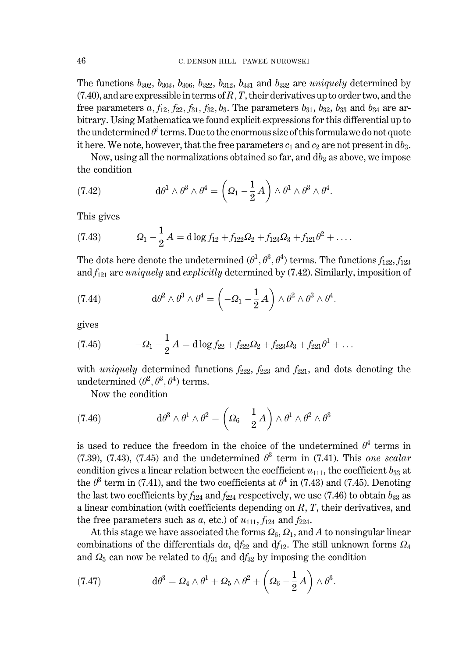The functions  $b_{302}$ ,  $b_{303}$ ,  $b_{306}$ ,  $b_{322}$ ,  $b_{312}$ ,  $b_{331}$  and  $b_{332}$  are *uniquely* determined by  $(7.40)$ , and are expressible in terms of R, T, their derivatives up to order two, and the free parameters a,  $f_{12}$ ,  $f_{22}$ ,  $f_{31}$ ,  $f_{32}$ ,  $b_3$ . The parameters  $b_{31}$ ,  $b_{32}$ ,  $b_{33}$  and  $b_{34}$  are arbitrary. Using Mathematica we found explicit expressions for this differential up to the undetermined  $\theta^i$  terms. Due to the enormous size of this formula we do not quote it here. We note, however, that the free parameters  $c_1$  and  $c_2$  are not present in db<sub>3</sub>.

Now, using all the normalizations obtained so far, and  $db_3$  as above, we impose the condition

(7.42) 
$$
d\theta^1 \wedge \theta^3 \wedge \theta^4 = \left(\Omega_1 - \frac{1}{2}A\right) \wedge \theta^1 \wedge \theta^3 \wedge \theta^4.
$$

This gives

(7.43) 
$$
\Omega_1 - \frac{1}{2}A = d \log f_{12} + f_{122}\Omega_2 + f_{123}\Omega_3 + f_{121}\theta^2 + \dots
$$

The dots here denote the undetermined  $(\theta^1, \theta^3, \theta^4)$  terms. The functions  $f_{122}, f_{123}$ and  $f_{121}$  are *uniquely* and *explicitly* determined by (7.42). Similarly, imposition of

(7.44) 
$$
d\theta^2 \wedge \theta^3 \wedge \theta^4 = \left(-\Omega_1 - \frac{1}{2}A\right) \wedge \theta^2 \wedge \theta^3 \wedge \theta^4.
$$

gives

(7.45) 
$$
- \Omega_1 - \frac{1}{2} A = d \log f_{22} + f_{222} \Omega_2 + f_{223} \Omega_3 + f_{221} \theta^1 + \dots
$$

with *uniquely* determined functions  $f_{222}$ ,  $f_{223}$  and  $f_{221}$ , and dots denoting the undetermined  $(\theta^2, \theta^3, \theta^4)$  terms.

Now the condition

(7.46) 
$$
d\theta^3 \wedge \theta^1 \wedge \theta^2 = \left(\Omega_6 - \frac{1}{2}A\right) \wedge \theta^1 \wedge \theta^2 \wedge \theta^3
$$

is used to reduce the freedom in the choice of the undetermined  $\theta^4$  terms in (7.39), (7.43), (7.45) and the undetermined  $\theta^3$  term in (7.41). This one scalar condition gives a linear relation between the coefficient  $u_{111}$ , the coefficient  $b_{33}$  at the  $\theta^3$  term in (7.41), and the two coefficients at  $\theta^4$  in (7.43) and (7.45). Denoting the last two coefficients by  $f_{124}$  and  $f_{224}$  respectively, we use (7.46) to obtain  $b_{33}$  as a linear combination (with coefficients depending on  $R$ ,  $T$ , their derivatives, and the free parameters such as a, etc.) of  $u_{111}$ ,  $f_{124}$  and  $f_{224}$ .

At this stage we have associated the forms  $\Omega_6$ ,  $\Omega_1$ , and A to nonsingular linear combinations of the differentials da,  $df_{22}$  and  $df_{12}$ . The still unknown forms  $\Omega_4$ and  $\Omega_5$  can now be related to  $df_{31}$  and  $df_{32}$  by imposing the condition

(7.47) 
$$
d\theta^3 = \Omega_4 \wedge \theta^1 + \Omega_5 \wedge \theta^2 + \left(\Omega_6 - \frac{1}{2}A\right) \wedge \theta^3.
$$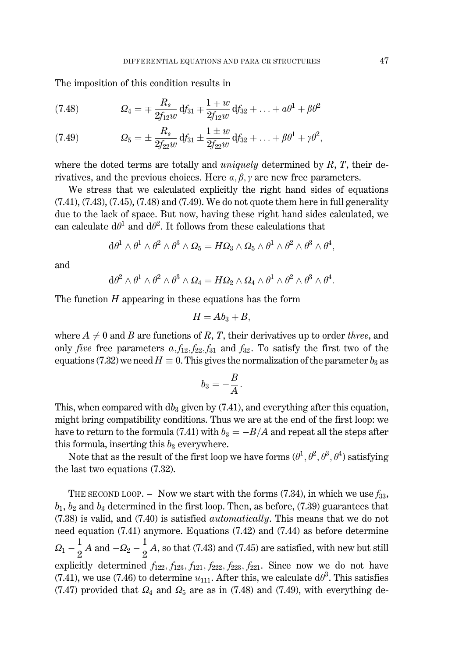The imposition of this condition results in

(7.48) 
$$
\Omega_4 = \mp \frac{R_s}{2f_{12}w} df_{31} \mp \frac{1 \mp w}{2f_{12}w} df_{32} + \ldots + a\theta^1 + \beta\theta^2
$$

(7.49) 
$$
\Omega_5 = \pm \frac{R_s}{2f_{22}w} df_{31} \pm \frac{1 \pm w}{2f_{22}w} df_{32} + \ldots + \beta \theta^1 + \gamma \theta^2,
$$

where the doted terms are totally and *uniquely* determined by  $R$ ,  $T$ , their derivatives, and the previous choices. Here  $a, \beta, \gamma$  are new free parameters.

We stress that we calculated explicitly the right hand sides of equations  $(7.41)$ ,  $(7.43)$ ,  $(7.45)$ ,  $(7.48)$  and  $(7.49)$ . We do not quote them here in full generality due to the lack of space. But now, having these right hand sides calculated, we can calculate  $d\theta^1$  and  $d\theta^2$ . It follows from these calculations that

$$
{\rm d}\theta^1\wedge\theta^1\wedge\theta^2\wedge\theta^3\wedge\mathnormal{\Omega}_5=H\mathnormal{\Omega}_3\wedge\mathnormal{\Omega}_5\wedge\theta^1\wedge\theta^2\wedge\theta^3\wedge\theta^4,
$$

and

$$
{\rm d}\theta^2\wedge\theta^1\wedge\theta^2\wedge\theta^3\wedge\Omega_4=H\Omega_2\wedge\Omega_4\wedge\theta^1\wedge\theta^2\wedge\theta^3\wedge\theta^4.
$$

The function  $H$  appearing in these equations has the form

$$
H = Ab_3 + B,
$$

where  $A \neq 0$  and B are functions of R, T, their derivatives up to order three, and only *five* free parameters  $a_1 f_{12} f_{22} f_{31}$  and  $f_{32}$ . To satisfy the first two of the equations (7.32) we need  $H \equiv 0$ . This gives the normalization of the parameter  $b_3$  as

$$
b_3=-\frac{B}{A}.
$$

This, when compared with  $db_3$  given by (7.41), and everything after this equation, might bring compatibility conditions. Thus we are at the end of the first loop: we have to return to the formula (7.41) with  $b_3 = -B/A$  and repeat all the steps after this formula, inserting this  $b_3$  everywhere.

Note that as the result of the first loop we have forms  $(\theta^1, \theta^2, \theta^3, \theta^4)$  satisfying the last two equations (7.32).

THE SECOND LOOP. - Now we start with the forms (7.34), in which we use  $f_{33}$ ,  $b_1$ ,  $b_2$  and  $b_3$  determined in the first loop. Then, as before, (7.39) guarantees that  $(7.38)$  is valid, and  $(7.40)$  is satisfied *automatically*. This means that we do not need equation (7.41) anymore. Equations (7.42) and (7.44) as before determine  $\Omega_1 - \frac{1}{2}A$  and  $-\Omega_2 - \frac{1}{2}A$ , so that (7.43) and (7.45) are satisfied, with new but still explicitly determined  $f_{122}, f_{123}, f_{121}, f_{222}, f_{223}, f_{221}$ . Since now we do not have (7.41), we use (7.46) to determine  $u_{111}$ . After this, we calculate  $d\theta^3$ . This satisfies (7.47) provided that  $\Omega_4$  and  $\Omega_5$  are as in (7.48) and (7.49), with everything de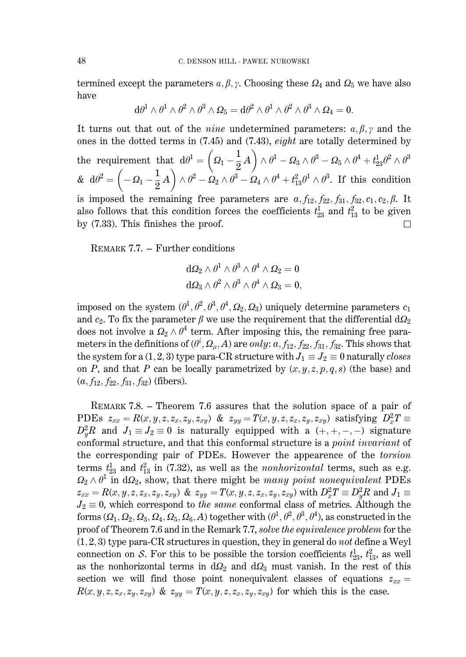termined except the parameters  $a, \beta, \gamma$ . Choosing these  $\Omega_4$  and  $\Omega_5$  we have also have

$$
d\theta^1 \wedge \theta^1 \wedge \theta^2 \wedge \theta^3 \wedge \Omega_5 = d\theta^2 \wedge \theta^1 \wedge \theta^2 \wedge \theta^3 \wedge \Omega_4 = 0.
$$

It turns out that out of the *nine* undetermined parameters:  $a, \beta, \gamma$  and the ones in the dotted terms in  $(7.45)$  and  $(7.43)$ , *eight* are totally determined by the requirement that  $d\theta^1 = \left(\Omega_1 - \frac{1}{2}A\right) \wedge \theta^1 - \Omega_3 \wedge \theta^3 - \Omega_5 \wedge \theta^4 + t_{23}^1 \theta^2 \wedge \theta^3$ <br>  $\& d\theta^2 = \left(-\Omega_1 - \frac{1}{2}A\right) \wedge \theta^2 - \Omega_2 \wedge \theta^3 - \Omega_4 \wedge \theta^4 + t_{13}^2 \theta^1 \wedge \theta^3$ . If this condition is imposed the remaining free parameters are  $a, f_{12}, f_{22}, f_{31}, f_{32}, c_1, c_2, \beta$ . It also follows that this condition forces the coefficients  $t_{23}^1$  and  $t_{13}^2$  to be given by  $(7.33)$ . This finishes the proof.  $\Box$ 

REMARK 7.7. – Further conditions

$$
\begin{aligned} {\rm d} \Omega_2 \wedge \theta^1 \wedge \theta^3 \wedge \theta^4 \wedge \Omega_2 &= 0 \\ {\rm d} \Omega_3 \wedge \theta^2 \wedge \theta^3 \wedge \theta^4 \wedge \Omega_3 &= 0, \end{aligned}
$$

imposed on the system  $(\theta^1, \theta^2, \theta^3, \theta^4, \Omega_2, \Omega_3)$  uniquely determine parameters  $c_1$ and  $c_2$ . To fix the parameter  $\beta$  we use the requirement that the differential  $d\Omega_2$ does not involve a  $\Omega_2 \wedge \theta^4$  term. After imposing this, the remaining free parameters in the definitions of  $(\theta^i, \Omega_u, A)$  are only:  $a, f_{12}, f_{22}, f_{31}, f_{32}$ . This shows that the system for a (1, 2, 3) type para-CR structure with  $J_1 \equiv J_2 \equiv 0$  naturally closes on P, and that P can be locally parametrized by  $(x, y, z, p, q, s)$  (the base) and  $(a, f_{12}, f_{22}, f_{31}, f_{32})$  (fibers).

REMARK 7.8. – Theorem 7.6 assures that the solution space of a pair of PDEs  $z_{xx} = R(x, y, z, z_x, z_y, z_{xy})$  &  $z_{yy} = T(x, y, z, z_x, z_y, z_{xy})$  satisfying  $D_x^2 T \equiv$  $D_u^2 R$  and  $J_1 \equiv J_2 \equiv 0$  is naturally equipped with a  $(+, +, -, -)$  signature conformal structure, and that this conformal structure is a *point invariant* of the corresponding pair of PDEs. However the appearence of the torsion terms  $t_{23}^1$  and  $t_{13}^2$  in (7.32), as well as the *nonhorizontal* terms, such as e.g.  $\Omega_2 \wedge \theta^1$  in d $\Omega_2$ , show, that there might be many point nonequivalent PDEs  $z_{xx} = R(x, y, z, z_x, z_y, z_{xy})$  &  $z_{yy} = T(x, y, z, z_x, z_y, z_{xy})$  with  $D_x^2 T \equiv D_y^2 R$  and  $J_1 \equiv$  $J_2 \equiv 0$ , which correspond to the same conformal class of metrics. Although the forms  $(Q_1, Q_2, Q_3, Q_4, Q_5, Q_6, A)$  together with  $(\theta^1, \theta^2, \theta^3, \theta^4)$ , as constructed in the proof of Theorem 7.6 and in the Remark 7.7, solve the equivalence problem for the  $(1,2,3)$  type para-CR structures in question, they in general do not define a Weyl connection on S. For this to be possible the torsion coefficients  $t_{23}^1$ ,  $t_{13}^2$ , as well as the nonhorizontal terms in  $d\Omega_2$  and  $d\Omega_3$  must vanish. In the rest of this section we will find those point nonequivalent classes of equations  $z_{xx}$  $R(x, y, z, z_x, z_y, z_{xy})$  &  $z_{yy} = T(x, y, z, z_x, z_y, z_{xy})$  for which this is the case.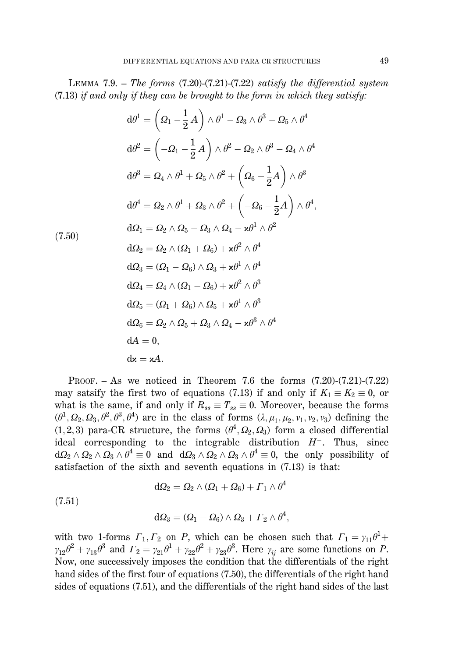LEMMA 7.9. – The forms  $(7.20)$ - $(7.21)$ - $(7.22)$  satisfy the differential system  $(7.13)$  if and only if they can be brought to the form in which they satisfy:

$$
d\theta^{1} = \left(\Omega_{1} - \frac{1}{2}A\right) \wedge \theta^{1} - \Omega_{3} \wedge \theta^{3} - \Omega_{5} \wedge \theta^{4}
$$
  
\n
$$
d\theta^{2} = \left(-\Omega_{1} - \frac{1}{2}A\right) \wedge \theta^{2} - \Omega_{2} \wedge \theta^{3} - \Omega_{4} \wedge \theta^{4}
$$
  
\n
$$
d\theta^{3} = \Omega_{4} \wedge \theta^{1} + \Omega_{5} \wedge \theta^{2} + \left(\Omega_{6} - \frac{1}{2}A\right) \wedge \theta^{3}
$$
  
\n
$$
d\theta^{4} = \Omega_{2} \wedge \theta^{1} + \Omega_{3} \wedge \theta^{2} + \left(-\Omega_{6} - \frac{1}{2}A\right) \wedge \theta^{4}
$$
  
\n
$$
d\Omega_{1} = \Omega_{2} \wedge \Omega_{5} - \Omega_{3} \wedge \Omega_{4} - \varkappa \theta^{1} \wedge \theta^{2}
$$
  
\n
$$
d\Omega_{2} = \Omega_{2} \wedge (\Omega_{1} + \Omega_{6}) + \varkappa \theta^{2} \wedge \theta^{4}
$$
  
\n
$$
d\Omega_{3} = (\Omega_{1} - \Omega_{6}) \wedge \Omega_{3} + \varkappa \theta^{1} \wedge \theta^{4}
$$
  
\n
$$
d\Omega_{4} = \Omega_{4} \wedge (\Omega_{1} - \Omega_{6}) + \varkappa \theta^{2} \wedge \theta^{3}
$$
  
\n
$$
d\Omega_{5} = (\Omega_{1} + \Omega_{6}) \wedge \Omega_{5} + \varkappa \theta^{1} \wedge \theta^{3}
$$
  
\n
$$
d\Omega_{6} = \Omega_{2} \wedge \Omega_{5} + \Omega_{3} \wedge \Omega_{4} - \varkappa \theta^{3} \wedge \theta^{4}
$$
  
\n
$$
dA = 0,
$$
  
\n
$$
d\mathbf{x} = \varkappa A.
$$

PROOF.  $-$  As we noticed in Theorem 7.6 the forms  $(7.20)-(7.21)-(7.22)$ may satsify the first two of equations (7.13) if and only if  $K_1 \equiv K_2 \equiv 0$ , or what is the same, if and only if  $R_{ss} \equiv T_{ss} \equiv 0$ . Moreover, because the forms  $(\theta^1, \Omega_2, \Omega_3, \theta^2, \theta^3, \theta^4)$  are in the class of forms  $(\lambda, \mu_1, \mu_2, \nu_1, \nu_2, \nu_3)$  defining the  $(1,2,3)$  para-CR structure, the forms  $(\theta^4, \Omega_2, \Omega_3)$  form a closed differential ideal corresponding to the integrable distribution  $H^-$ . Thus, since  $d\Omega_2 \wedge \Omega_2 \wedge \Omega_3 \wedge \theta^4 \equiv 0$  and  $d\Omega_3 \wedge \Omega_2 \wedge \Omega_3 \wedge \theta^4 \equiv 0$ , the only possibility of satisfaction of the sixth and seventh equations in (7.13) is that:

$$
\mathrm{d}\Omega_2=\Omega_2\wedge(\Omega_1+\Omega_6)+\varGamma_1\wedge\theta^4
$$

 $(7.51)$ 

$$
d\Omega_3 = (\Omega_1 - \Omega_6) \wedge \Omega_3 + \Gamma_2 \wedge \theta^4,
$$

with two 1-forms  $\Gamma_1, \Gamma_2$  on P, which can be chosen such that  $\Gamma_1 = \gamma_{11}\theta^1 + \gamma_{12}\theta^2 + \gamma_{13}\theta^3$  and  $\Gamma_2 = \gamma_{21}\theta^1 + \gamma_{22}\theta^2 + \gamma_{23}\theta^3$ . Here  $\gamma_{ij}$  are some functions on P. Now, one successively imposes the condition that the differentials of the right hand sides of the first four of equations (7.50), the differentials of the right hand sides of equations (7.51), and the differentials of the right hand sides of the last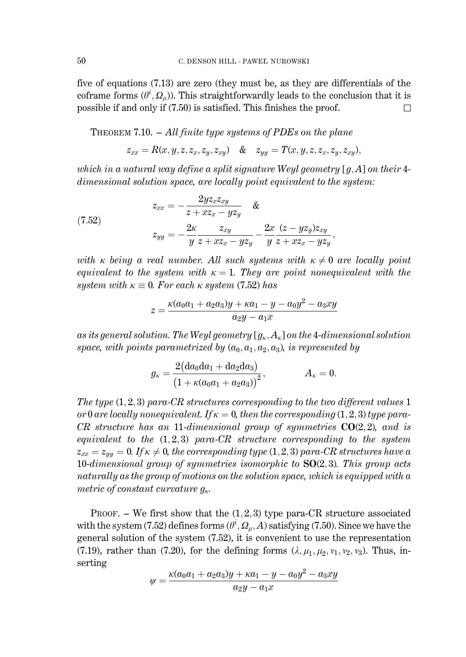five of equations (7.13) are zero (they must be, as they are differentials of the coframe forms  $(\theta^i, Q_u)$ ). This straightforwardly leads to the conclusion that it is possible if and only if  $(7.50)$  is satisfied. This finishes the proof.  $\Box$ 

THEOREM 7.10.  $-$  All finite type systems of PDEs on the plane

$$
z_{xx}=R(x,y,z,z_x,z_y,z_{xy})\quad \&\quad z_{yy}=T(x,y,z,z_x,z_y,z_{xy}),
$$

which in a natural way define a split signature Weyl geometry  $[a, A]$  on their 4dimensional solution space, are locally point equivalent to the system:

(7.52)  

$$
z_{xx} = -\frac{2yz_xz_{xy}}{z + xz_x - yz_y} \quad \&
$$

$$
z_{yy} = -\frac{2\kappa}{y} \frac{z_{xy}}{z + xz_x - yz_y} - \frac{2x}{y} \frac{(z - yz_y)z_{xy}}{z + xz_x - yz_y}
$$

with  $\kappa$  being a real number. All such systems with  $\kappa \neq 0$  are locally point equivalent to the system with  $\kappa = 1$ . They are point nonequivalent with the system with  $\kappa \equiv 0$ . For each  $\kappa$  system (7.52) has

$$
z = \frac{\kappa (a_0 a_1 + a_2 a_3) y + \kappa a_1 - y - a_0 y^2 - a_3 x y}{a_2 y - a_1 x}
$$

as its general solution. The Weyl geometry  $[g_{\kappa}, A_{\kappa}]$  on the 4-dimensional solution space, with points parametrized by  $(a_0, a_1, a_2, a_3)$ , is represented by

$$
g_{\kappa} = \frac{2\big(\mathrm{d} a_0 \mathrm{d} a_1 + \mathrm{d} a_2 \mathrm{d} a_3\big)}{\big(1 + \kappa (a_0 a_1 + a_2 a_3)\big)^2}, \hspace{1.5cm} A_{\kappa} = 0.
$$

The type  $(1,2,3)$  para-CR structures corresponding to the two different values 1 or 0 are locally nonequivalent. If  $\kappa = 0$ , then the corresponding (1, 2, 3) type para-CR structure has an 11-dimensional group of symmetries  $CO(2,2)$ , and is equivalent to the  $(1,2,3)$  para-CR structure corresponding to the system  $z_{xx} = z_{yy} = 0$ . If  $\kappa \neq 0$ , the corresponding type (1, 2, 3) para-CR structures have a 10-dimensional group of symmetries isomorphic to  $SO(2,3)$ . This group acts naturally as the group of motions on the solution space, which is equipped with a metric of constant curvature  $g_{\kappa}$ .

PROOF. – We first show that the  $(1,2,3)$  type para-CR structure associated with the system (7.52) defines forms  $(\theta^i, \Omega_u, A)$  satisfying (7.50). Since we have the general solution of the system (7.52), it is convenient to use the representation (7.19), rather than (7.20), for the defining forms  $(\lambda, \mu_1, \mu_2, \nu_1, \nu_2, \nu_3)$ . Thus, inserting

$$
\psi = \frac{\kappa(a_0a_1 + a_2a_3)y + \kappa a_1 - y - a_0y^2 - a_3xy}{a_2y - a_1x}
$$

50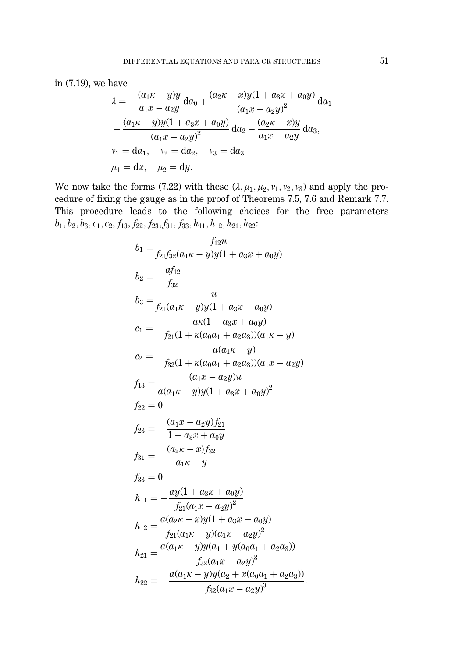in  $(7.19)$ , we have

$$
\lambda = -\frac{(a_1\kappa - y)y}{a_1x - a_2y} da_0 + \frac{(a_2\kappa - x)y(1 + a_3x + a_0y)}{(a_1x - a_2y)^2} da_1 \n- \frac{(a_1\kappa - y)y(1 + a_3x + a_0y)}{(a_1x - a_2y)^2} da_2 - \frac{(a_2\kappa - x)y}{a_1x - a_2y} da_3, \nv_1 = da_1, v_2 = da_2, v_3 = da_3 \n\mu_1 = dx, \quad \mu_2 = dy.
$$

We now take the forms (7.22) with these  $(\lambda, \mu_1, \mu_2, \nu_1, \nu_2, \nu_3)$  and apply the procedure of fixing the gauge as in the proof of Theorems 7.5, 7.6 and Remark 7.7. This procedure leads to the following choices for the free parameters  $b_1, b_2, b_3, c_1, c_2, f_{13}, f_{22}, f_{23}, f_{31}, f_{33}, h_{11}, h_{12}, h_{21}, h_{22}$ :

$$
b_1 = \frac{f_{12}u}{f_{21}f_{32}(a_1\kappa - y)y(1 + a_3x + a_0y)}
$$
  
\n
$$
b_2 = -\frac{af_{12}}{f_{32}}
$$
  
\n
$$
b_3 = \frac{u}{f_{21}(a_1\kappa - y)y(1 + a_3x + a_0y)}
$$
  
\n
$$
c_1 = -\frac{a\kappa(1 + a_3x + a_0y)}{f_{21}(1 + \kappa(a_0a_1 + a_2a_3))(a_1\kappa - y)}
$$
  
\n
$$
c_2 = -\frac{a(a_1\kappa - y)}{f_{32}(1 + \kappa(a_0a_1 + a_2a_3))(a_1x - a_2y)}
$$
  
\n
$$
f_{13} = \frac{(a_1x - a_2y)u}{a(a_1\kappa - y)y(1 + a_3x + a_0y)^2}
$$
  
\n
$$
f_{22} = 0
$$
  
\n
$$
f_{23} = -\frac{(a_1x - a_2y)f_{21}}{1 + a_3x + a_0y}
$$
  
\n
$$
f_{31} = -\frac{(a_2\kappa - x)f_{32}}{a_1\kappa - y}
$$
  
\n
$$
f_{33} = 0
$$
  
\n
$$
h_{11} = -\frac{ay(1 + a_3x + a_0y)}{f_{21}(a_1x - a_2y)^2}
$$
  
\n
$$
h_{12} = \frac{a(a_2\kappa - x)y(1 + a_3x + a_0y)}{f_{21}(a_1\kappa - y)(a_1x - a_2y)^2}
$$
  
\n
$$
h_{21} = \frac{a(a_1\kappa - y)y(a_1 + y(a_0a_1 + a_2a_3))}{f_{32}(a_1\kappa - a_2y)^3}
$$
  
\n
$$
h_{22} = -\frac{a(a_1\kappa - y)y(a_2 + x(a_0a_1 + a_2a_3))}{f_{32}(a_1\kappa - a_2y)^3}
$$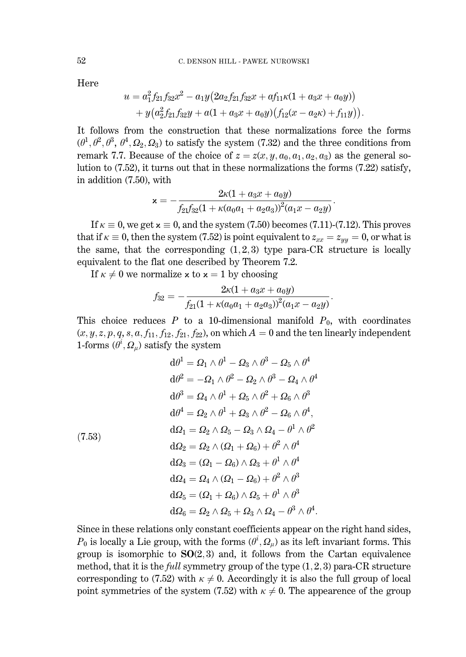Here

$$
u = a_1^2 f_{21} f_{32} x^2 - a_1 y \big( 2 a_2 f_{21} f_{32} x + a f_{11} \kappa (1 + a_3 x + a_0 y) \big) + y \big( a_2^2 f_{21} f_{32} y + a (1 + a_3 x + a_0 y) \big( f_{12} (x - a_2 \kappa) + f_{11} y \big) \big).
$$

It follows from the construction that these normalizations force the forms  $(\theta^1, \theta^2, \theta^3, \theta^4, \Omega_2, \Omega_3)$  to satisfy the system (7.32) and the three conditions from remark 7.7. Because of the choice of  $z = z(x, y, a_0, a_1, a_2, a_3)$  as the general solution to  $(7.52)$ , it turns out that in these normalizations the forms  $(7.22)$  satisfy, in addition (7.50), with

$$
\mathbf{x} = -\frac{2\kappa(1 + a_3x + a_0y)}{f_{21}f_{32}(1 + \kappa(a_0a_1 + a_2a_3))^2(a_1x - a_2y)}
$$

If  $\kappa \equiv 0$ , we get  $x \equiv 0$ , and the system (7.50) becomes (7.11)-(7.12). This proves that if  $\kappa \equiv 0$ , then the system (7.52) is point equivalent to  $z_{xx} = z_{yy} = 0$ , or what is the same, that the corresponding  $(1,2,3)$  type para-CR structure is locally equivalent to the flat one described by Theorem 7.2.

If  $\kappa \neq 0$  we normalize x to  $x = 1$  by choosing

$$
f_{32}=-\frac{2\kappa(1+a_3x+a_0y)}{f_{21}(1+\kappa(a_0a_1+a_2a_3))^2(a_1x-a_2y)}.
$$

This choice reduces P to a 10-dimensional manifold  $P_0$ , with coordinates  $(x, y, z, p, q, s, a, f_{11}, f_{12}, f_{21}, f_{22})$ , on which  $A = 0$  and the ten linearly independent 1-forms  $(\theta^i, \Omega_u)$  satisfy the system

$$
d\theta^{1} = \Omega_{1} \wedge \theta^{1} - \Omega_{3} \wedge \theta^{3} - \Omega_{5} \wedge \theta^{4}
$$
  
\n
$$
d\theta^{2} = -\Omega_{1} \wedge \theta^{2} - \Omega_{2} \wedge \theta^{3} - \Omega_{4} \wedge \theta^{4}
$$
  
\n
$$
d\theta^{3} = \Omega_{4} \wedge \theta^{1} + \Omega_{5} \wedge \theta^{2} + \Omega_{6} \wedge \theta^{3}
$$
  
\n
$$
d\theta^{4} = \Omega_{2} \wedge \theta^{1} + \Omega_{3} \wedge \theta^{2} - \Omega_{6} \wedge \theta^{4},
$$
  
\n
$$
d\Omega_{1} = \Omega_{2} \wedge \Omega_{5} - \Omega_{3} \wedge \Omega_{4} - \theta^{1} \wedge \theta^{2}
$$
  
\n
$$
d\Omega_{2} = \Omega_{2} \wedge (\Omega_{1} + \Omega_{6}) + \theta^{2} \wedge \theta^{4}
$$
  
\n
$$
d\Omega_{3} = (\Omega_{1} - \Omega_{6}) \wedge \Omega_{3} + \theta^{1} \wedge \theta^{4}
$$
  
\n
$$
d\Omega_{4} = \Omega_{4} \wedge (\Omega_{1} - \Omega_{6}) + \theta^{2} \wedge \theta^{3}
$$
  
\n
$$
d\Omega_{5} = (\Omega_{1} + \Omega_{6}) \wedge \Omega_{5} + \theta^{1} \wedge \theta^{3}
$$
  
\n
$$
d\Omega_{6} = \Omega_{2} \wedge \Omega_{5} + \Omega_{3} \wedge \Omega_{4} - \theta^{3} \wedge \theta^{4}.
$$

Since in these relations only constant coefficients appear on the right hand sides,  $P_0$  is locally a Lie group, with the forms  $(\theta^i, \Omega_u)$  as its left invariant forms. This group is isomorphic to  $SO(2,3)$  and, it follows from the Cartan equivalence method, that it is the *full* symmetry group of the type  $(1,2,3)$  para-CR structure corresponding to (7.52) with  $\kappa \neq 0$ . Accordingly it is also the full group of local point symmetries of the system (7.52) with  $\kappa \neq 0$ . The appearence of the group

52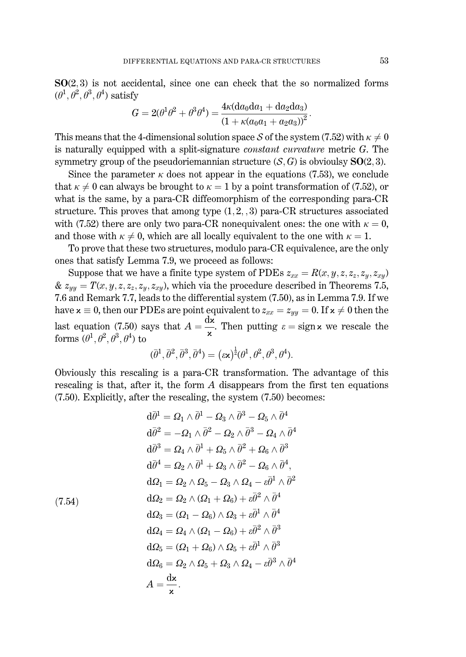$SO(2,3)$  is not accidental, since one can check that the so normalized forms  $(\theta^1, \theta^2, \theta^3, \theta^4)$  satisfy  $4 + 4$  and  $3 - 1$ 

$$
G = 2(\theta^1 \theta^2 + \theta^3 \theta^4) = \frac{4\kappa(\mathrm{d}a_0 \mathrm{d}a_1 + \mathrm{d}a_2 \mathrm{d}a_3)}{(1 + \kappa(a_0 a_1 + a_2 a_3))^2}
$$

This means that the 4-dimensional solution space S of the system (7.52) with  $\kappa \neq 0$ is naturally equipped with a split-signature *constant curvature* metric G. The symmetry group of the pseudoriemannian structure  $(S, G)$  is obvioulsy  $SO(2, 3)$ .

Since the parameter  $\kappa$  does not appear in the equations (7.53), we conclude that  $\kappa \neq 0$  can always be brought to  $\kappa = 1$  by a point transformation of (7.52), or what is the same, by a para-CR diffeomorphism of the corresponding para-CR structure. This proves that among type  $(1,2,3)$  para-CR structures associated with (7.52) there are only two para-CR nonequivalent ones: the one with  $\kappa = 0$ , and those with  $\kappa \neq 0$ , which are all locally equivalent to the one with  $\kappa = 1$ .

To prove that these two structures, modulo para-CR equivalence, are the only ones that satisfy Lemma 7.9, we proceed as follows:

Suppose that we have a finite type system of PDEs  $z_{xx} = R(x, y, z, z_z, z_y, z_{xy})$ &  $z_{yy} = T(x, y, z, z_z, z_y, z_{xy})$ , which via the procedure described in Theorems 7.5, 7.6 and Remark 7.7, leads to the differential system (7.50), as in Lemma 7.9. If we have  $x \equiv 0$ , then our PDEs are point equivalent to  $z_{xx} = z_{yy} = 0$ . If  $x \neq 0$  then the last equation (7.50) says that  $A = \frac{dx}{x}$ . Then putting  $\varepsilon = sign \times$  we rescale the forms  $(\theta^1, \theta^2, \theta^3, \theta^4)$  to

$$
(\bar{\theta}^1, \bar{\theta}^2, \bar{\theta}^3, \bar{\theta}^4) = (\varepsilon \mathbf{x})^{\frac{1}{2}} (\theta^1, \theta^2, \theta^3, \theta^4).
$$

Obviously this rescaling is a para-CR transformation. The advantage of this rescaling is that, after it, the form A disappears from the first ten equations  $(7.50)$ . Explicitly, after the rescaling, the system  $(7.50)$  becomes:

$$
d\bar{\theta}^{1} = \Omega_{1} \wedge \bar{\theta}^{1} - \Omega_{3} \wedge \bar{\theta}^{3} - \Omega_{5} \wedge \bar{\theta}^{4}
$$
  
\n
$$
d\bar{\theta}^{2} = -\Omega_{1} \wedge \bar{\theta}^{2} - \Omega_{2} \wedge \bar{\theta}^{3} - \Omega_{4} \wedge \bar{\theta}^{4}
$$
  
\n
$$
d\bar{\theta}^{3} = \Omega_{4} \wedge \bar{\theta}^{1} + \Omega_{5} \wedge \bar{\theta}^{2} + \Omega_{6} \wedge \bar{\theta}^{3}
$$
  
\n
$$
d\bar{\theta}^{4} = \Omega_{2} \wedge \bar{\theta}^{1} + \Omega_{3} \wedge \bar{\theta}^{2} - \Omega_{6} \wedge \bar{\theta}^{4},
$$
  
\n
$$
d\Omega_{1} = \Omega_{2} \wedge \Omega_{5} - \Omega_{3} \wedge \Omega_{4} - \varepsilon \bar{\theta}^{1} \wedge \bar{\theta}^{2}
$$
  
\n
$$
d\Omega_{2} = \Omega_{2} \wedge (\Omega_{1} + \Omega_{6}) + \varepsilon \bar{\theta}^{2} \wedge \bar{\theta}^{4}
$$
  
\n
$$
d\Omega_{3} = (\Omega_{1} - \Omega_{6}) \wedge \Omega_{3} + \varepsilon \bar{\theta}^{1} \wedge \bar{\theta}^{4}
$$
  
\n
$$
d\Omega_{4} = \Omega_{4} \wedge (\Omega_{1} - \Omega_{6}) + \varepsilon \bar{\theta}^{2} \wedge \bar{\theta}^{3}
$$
  
\n
$$
d\Omega_{5} = (\Omega_{1} + \Omega_{6}) \wedge \Omega_{5} + \varepsilon \bar{\theta}^{1} \wedge \bar{\theta}^{3}
$$
  
\n
$$
d\Omega_{6} = \Omega_{2} \wedge \Omega_{5} + \Omega_{3} \wedge \Omega_{4} - \varepsilon \bar{\theta}^{3} \wedge \bar{\theta}^{4}
$$
  
\n
$$
A = \frac{d\mathbf{x}}{\mathbf{x}}.
$$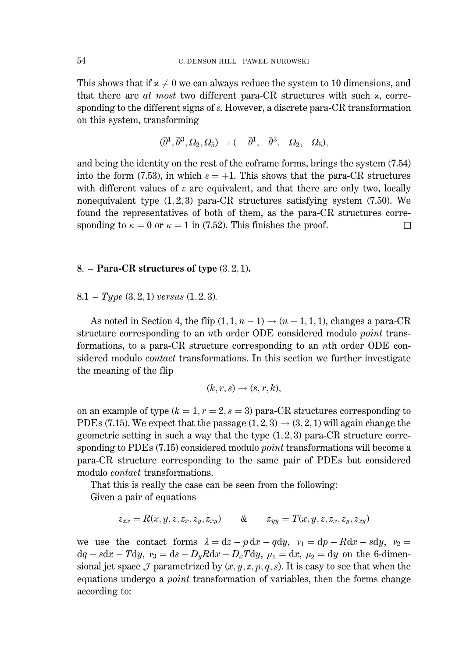This shows that if  $x \neq 0$  we can always reduce the system to 10 dimensions, and that there are at most two different para-CR structures with such x, corresponding to the different signs of  $\varepsilon$ . However, a discrete para-CR transformation on this system, transforming

$$
(\bar{\theta}^1, \bar{\theta}^3, \varOmega_2, \varOmega_5)\rightarrow \mathcal(-\bar{\theta}^1, -\bar{\theta}^3, -\varOmega_2, -\varOmega_5),
$$

and being the identity on the rest of the coframe forms, brings the system (7.54) into the form (7.53), in which  $\varepsilon = +1$ . This shows that the para-CR structures with different values of  $\varepsilon$  are equivalent, and that there are only two, locally nonequivalent type  $(1,2,3)$  para-CR structures satisfying system  $(7.50)$ . We found the representatives of both of them, as the para-CR structures corresponding to  $\kappa = 0$  or  $\kappa = 1$  in (7.52). This finishes the proof.  $\Box$ 

### 8. – Para-CR structures of type  $(3, 2, 1)$ .

 $8.1 - Type (3, 2, 1) versus (1, 2, 3).$ 

As noted in Section 4, the flip  $(1, 1, n-1) \rightarrow (n-1, 1, 1)$ , changes a para-CR structure corresponding to an *n*th order ODE considered modulo *point* transformations, to a para-CR structure corresponding to an *n*th order ODE considered modulo *contact* transformations. In this section we further investigate the meaning of the flip

$$
(k,r,s)\to (s,r,k),
$$

on an example of type  $(k = 1, r = 2, s = 3)$  para-CR structures corresponding to PDEs (7.15). We expect that the passage  $(1, 2, 3) \rightarrow (3, 2, 1)$  will again change the geometric setting in such a way that the type  $(1,2,3)$  para-CR structure corresponding to PDEs (7.15) considered modulo *point* transformations will become a para-CR structure corresponding to the same pair of PDEs but considered modulo *contact* transformations.

That this is really the case can be seen from the following:

Given a pair of equations

$$
z_{xx} = R(x, y, z, z_x, z_y, z_{xy}) \qquad \& \qquad z_{yy} = T(x, y, z, z_x, z_y, z_{xy})
$$

we use the contact forms  $\lambda = dz - p dx - q dy$ ,  $v_1 = dp - R dx - s dy$ ,  $v_2 =$  $dq - sdx - Tdy$ ,  $v_3 = ds - D_yRdx - D_xTdy$ ,  $\mu_1 = dx$ ,  $\mu_2 = dy$  on the 6-dimensional jet space  $\mathcal J$  parametrized by  $(x, y, z, p, q, s)$ . It is easy to see that when the equations undergo a *point* transformation of variables, then the forms change according to: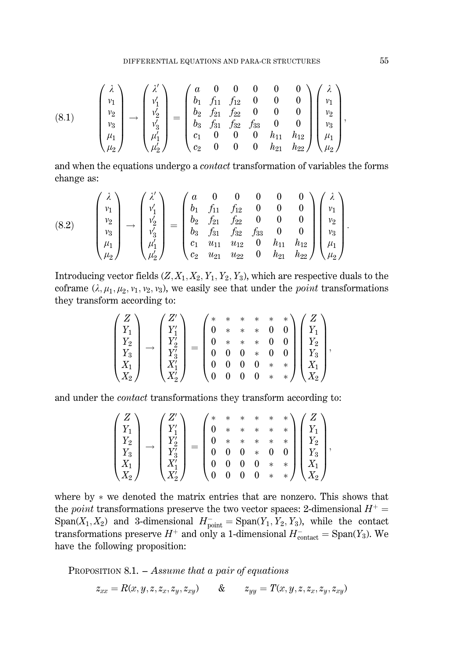(8.1) 
$$
\begin{pmatrix} \lambda \\ v_1 \\ v_2 \\ v_3 \\ \mu_1 \\ \mu_2 \end{pmatrix} \rightarrow \begin{pmatrix} \lambda' \\ v'_1 \\ v'_2 \\ v'_3 \\ \mu'_1 \\ \mu'_2 \end{pmatrix} = \begin{pmatrix} a & 0 & 0 & 0 & 0 & 0 \\ b_1 & f_{11} & f_{12} & 0 & 0 & 0 \\ b_2 & f_{21} & f_{22} & 0 & 0 & 0 \\ b_3 & f_{31} & f_{32} & f_{33} & 0 & 0 \\ c_1 & 0 & 0 & 0 & h_{11} & h_{12} \\ c_2 & 0 & 0 & 0 & h_{21} & h_{22} \end{pmatrix} \begin{pmatrix} \lambda \\ v_1 \\ v_2 \\ v_3 \\ \mu_4 \\ \mu_2 \end{pmatrix},
$$

and when the equations undergo a *contact* transformation of variables the forms change as:

(8.2) 
$$
\begin{pmatrix} \lambda \\ v_1 \\ v_2 \\ v_3 \\ \mu_1 \\ \mu_2 \end{pmatrix} \rightarrow \begin{pmatrix} \lambda' \\ v'_1 \\ v'_2 \\ v'_3 \\ \mu'_1 \\ \mu'_2 \end{pmatrix} = \begin{pmatrix} a & 0 & 0 & 0 & 0 & 0 \\ b_1 & f_{11} & f_{12} & 0 & 0 & 0 \\ b_2 & f_{21} & f_{22} & 0 & 0 & 0 \\ b_3 & f_{31} & f_{32} & f_{33} & 0 & 0 \\ c_1 & u_{11} & u_{12} & 0 & h_{11} & h_{12} \\ c_2 & u_{21} & u_{22} & 0 & h_{21} & h_{22} \end{pmatrix} \begin{pmatrix} \lambda \\ v_1 \\ v_2 \\ v_3 \\ \mu_1 \\ \mu_2 \end{pmatrix}
$$

Introducing vector fields  $(Z, X_1, X_2, Y_1, Y_2, Y_3)$ , which are respective duals to the coframe  $(\lambda, \mu_1, \mu_2, \nu_1, \nu_2, \nu_3)$ , we easily see that under the *point* transformations they transform according to:

$$
\begin{pmatrix}Z\\Y_1\\Y_2\\Y_3\\X_1\\X_2\end{pmatrix}\rightarrow\begin{pmatrix}Z'\\Y'_1\\Y'_2\\Y'_3\\X'_1\\X'_2\end{pmatrix}=\begin{pmatrix}*&*&*&*\\0&*&*&*&0&0\\0&*&*&*&0&0\\0&0&0&*&0&0\\0&0&0&0&*&*\\0&0&0&0&*&*&*\\0&0&0&0&*&*&*\\ \end{pmatrix}\begin{pmatrix}Z\\Y_1\\Y_2\\Y_3\\X_1\\X_2\end{pmatrix},
$$

and under the *contact* transformations they transform according to:

$$
\begin{pmatrix}Z\\Y_1\\Y_2\\Y_3\\X_1\\X_2\end{pmatrix}\rightarrow\begin{pmatrix}Z'\\Y'_1\\Y'_2\\Y'_3\\X'_1\\X'_2\end{pmatrix}=\begin{pmatrix}*&*&*&*&*\\0&*&*&*&*\\0&*&*&*&*\\0&0&0&*&*\\0&0&0&0&*&*\\0&0&0&0&*&*\\0&0&0&0&*&*\\0&0&0&0&*&*\\ \end{pmatrix}\begin{pmatrix}Z\\Y_1\\Y_2\\Y_3\\X_1\\X_2\end{pmatrix},
$$

where by  $*$  we denoted the matrix entries that are nonzero. This shows that the *point* transformations preserve the two vector spaces: 2-dimensional  $H^+$  = Span( $X_1, X_2$ ) and 3-dimensional  $H_{\text{point}}^- = \text{Span}(Y_1, Y_2, Y_3)$ , while the contact transformations preserve  $H^+$  and only a 1-dimensional  $H_{\text{contact}}^- = \text{Span}(Y_3)$ . We have the following proposition:

PROPOSITION 8.1.  $-$  Assume that a pair of equations

$$
z_{xx} = R(x, y, z, z_x, z_y, z_{xy}) \qquad \& \qquad z_{yy} = T(x, y, z, z_x, z_y, z_{xy})
$$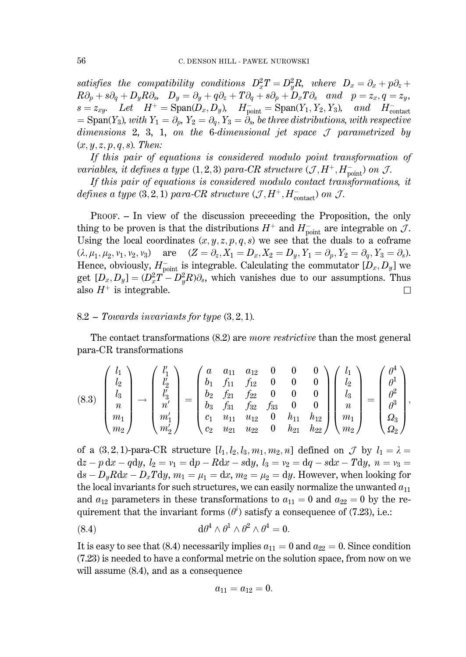satisfies the compatibility conditions  $D_x^2 T = D_y^2 R$ , where  $D_x = \partial_x + p \partial_z + p \partial_y$  $R\partial_p + s\partial_q + D_y R\partial_s$ ,  $D_y = \partial_y + q\partial_z + T\partial_q + s\partial_p + D_x T\partial_s$  and  $p = z_x, q = z_y$ ,  $s = z_{xy}$ . Let  $H^+ = \text{Span}(D_x, D_y)$ ,  $H^-_{\text{point}} = \text{Span}(Y_1, Y_2, Y_3)$ , and  $H^-_{\text{contact}} = \text{Span}(Y_3)$ , with  $Y_1 = \partial_p$ ,  $Y_2 = \partial_q$ ,  $Y_3 = \partial_s$ , be three distributions, with respective dimensions 2, 3, 1, on the 6-dimensional jet space  $J$  parametrized by  $(x, y, z, p, q, s)$ . Then:

If this pair of equations is considered modulo point transformation of variables, it defines a type (1,2,3) para-CR structure  $(\mathcal{J}, H^+, H^-_{\text{point}})$  on  $\mathcal{J}$ .

If this pair of equations is considered modulo contact transformations, it defines a type (3, 2, 1) para-CR structure  $(\mathcal{J}, H^+, H^-_{\text{contact}})$  on  $\mathcal{J}$ .

PROOF. - In view of the discussion preceding the Proposition, the only thing to be proven is that the distributions  $H^+$  and  $H_{\text{point}}^-$  are integrable on  $\mathcal{J}$ . Using the local coordinates  $(x, y, z, p, q, s)$  we see that the duals to a coframe  $(\lambda, \mu_1, \mu_2, \nu_1, \nu_2, \nu_3)$  are  $(Z = \partial_z, X_1 = D_x, X_2 = D_y, Y_1 = \partial_p, Y_2 = \partial_q, Y_3 = \partial_s)$ . Hence, obviously,  $H_{\text{point}}^-$  is integrable. Calculating the commutator  $[D_x, D_y]$  we get  $[D_x, D_y] = (D_x^2 T - D_y^2 R)\partial_s$ , which vanishes due to our assumptions. Thus also  $H^+$  is integrable.  $\Box$ 

#### $8.2$  – Towards invariants for type  $(3, 2, 1)$ .

The contact transformations (8.2) are *more restrictive* than the most general para-CR transformations

$$
(8.3) \begin{pmatrix} l_1 \\ l_2 \\ l_3 \\ n \\ m_1 \\ m_2 \end{pmatrix} \rightarrow \begin{pmatrix} l'_1 \\ l'_2 \\ l'_3 \\ n'_1 \\ m'_1 \\ m'_2 \end{pmatrix} = \begin{pmatrix} a & a_{11} & a_{12} & 0 & 0 & 0 \\ b_1 & f_{11} & f_{12} & 0 & 0 & 0 \\ b_2 & f_{21} & f_{22} & 0 & 0 & 0 \\ b_3 & f_{31} & f_{32} & f_{33} & 0 & 0 \\ c_1 & u_{11} & u_{12} & 0 & h_{11} & h_{12} \\ c_2 & u_{21} & u_{22} & 0 & h_{21} & h_{22} \end{pmatrix} \begin{pmatrix} l_1 \\ l_2 \\ l_3 \\ n \\ m_1 \\ m_2 \end{pmatrix} = \begin{pmatrix} \theta^4 \\ \theta^1 \\ \theta^2 \\ \theta^3 \\ \Omega_3 \\ \Omega_2 \end{pmatrix},
$$

of a (3,2,1)-para-CR structure  $[l_1, l_2, l_3, m_1, m_2, n]$  defined on  $\mathcal J$  by  $l_1 = \lambda =$  $dz - p dx - q dy$ ,  $l_2 = v_1 = dp - R dx - s dy$ ,  $l_3 = v_2 = dq - s dx - T dy$ ,  $n = v_3 =$  $ds - D_u R dx - D_x T dy$ ,  $m_1 = \mu_1 = dx$ ,  $m_2 = \mu_2 = dy$ . However, when looking for the local invariants for such structures, we can easily normalize the unwanted  $a_{11}$ and  $a_{12}$  parameters in these transformations to  $a_{11} = 0$  and  $a_{22} = 0$  by the requirement that the invariant forms  $(\theta^i)$  satisfy a consequence of (7.23), i.e.:

$$
(8.4) \t\t d\theta^4 \wedge \theta^1 \wedge \theta^2 \wedge \theta^4 = 0.
$$

It is easy to see that (8.4) necessarily implies  $a_{11} = 0$  and  $a_{22} = 0$ . Since condition (7.23) is needed to have a conformal metric on the solution space, from now on we will assume  $(8.4)$ , and as a consequence

$$
a_{11}=a_{12}=0.
$$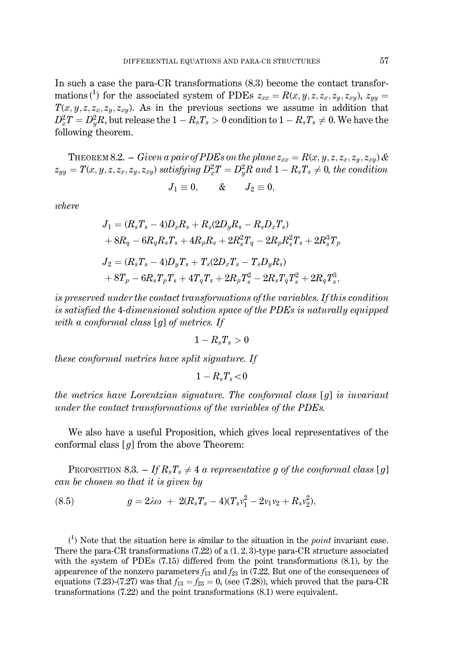In such a case the para-CR transformations  $(8.3)$  become the contact transformations<sup>(1)</sup> for the associated system of PDEs  $z_{xx} = R(x, y, z, z_x, z_y, z_{xy})$ ,  $z_{yy} =$  $T(x, y, z, z_x, z_y, z_{xy})$ . As in the previous sections we assume in addition that  $D_x^2 T = D_y^2 R$ , but release the  $1 - R_s T_s > 0$  condition to  $1 - R_s T_s \neq 0$ . We have the following theorem.

THEOREM 8.2. – Given a pair of PDEs on the plane  $z_{xx} = R(x, y, z, z_x, z_y, z_{xy})$  &  $z_{yy} = T(x, y, z, z_x, z_y, z_{xy})$  satisfying  $D_x^2 T = D_y^2 R$  and  $1 - R_s T_s \neq 0$ , the condition

$$
J_1 \equiv 0, \qquad \& \qquad J_2 \equiv 0,
$$

where

$$
\begin{aligned} J_1 &= (R_sT_s-4)D_xR_s+R_s(2D_yR_s-R_sD_xT_s) \\ &+8R_q-6R_qR_sT_s+4R_pR_s+2R_s^2T_q-2R_pR_s^2T_s+2R_s^3T_p \\ J_2 &= (R_sT_s-4)D_yT_s+T_s(2D_xT_s-T_sD_yR_s) \\ &+8T_p-6R_sT_pT_s+4T_qT_s+2R_pT_s^2-2R_sT_qT_s^2+2R_qT_s^3, \end{aligned}
$$

is preserved under the contact transformations of the variables. If this condition is satisfied the 4-dimensional solution space of the PDEs is naturally equipped with a conformal class  $\lceil q \rceil$  of metrics. If

$$
1 - R_s T_s > 0
$$

*these conformal metrics have split signature. If* 

$$
1-R_sT_s\!<\!0
$$

the metrics have Lorentzian signature. The conformal class  $[q]$  is invariant under the contact transformations of the variables of the PDEs.

We also have a useful Proposition, which gives local representatives of the conformal class  $\lceil q \rceil$  from the above Theorem:

**PROPOSITION 8.3.** - If  $R_sT_s \neq 4$  a representative g of the conformal class [g] can be chosen so that it is given by

$$
(8.5) \t\t g = 2\lambda\omega + 2(R_sT_s - 4)(T_sv_1^2 - 2v_1v_2 + R_sv_2^2),
$$

 $\binom{1}{1}$  Note that the situation here is similar to the situation in the *point* invariant case. There the para-CR transformations  $(7.22)$  of a  $(1, 2, 3)$ -type para-CR structure associated with the system of PDEs  $(7.15)$  differed from the point transformations  $(8.1)$ , by the appearence of the nonzero parameters  $f_{13}$  and  $f_{23}$  in (7.22. But one of the consequences of equations (7.23)-(7.27) was that  $f_{13} = f_{23} = 0$ , (see (7.28)), which proved that the para-CR transformations  $(7.22)$  and the point transformations  $(8.1)$  were equivalent.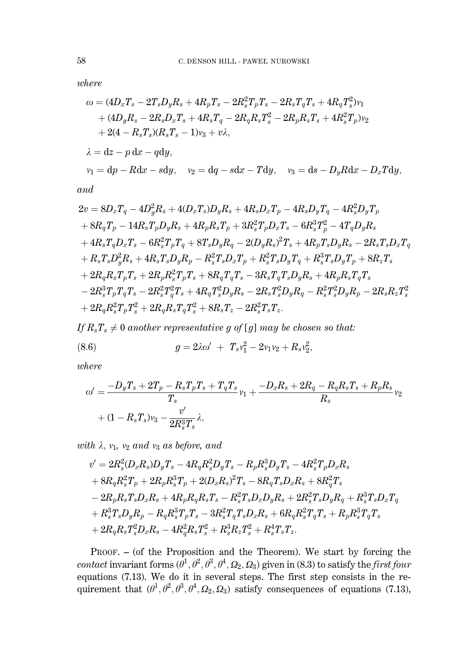$where$ 

$$
\omega = (4D_xT_s - 2T_sD_yR_s + 4R_pT_s - 2R_s^2T_pT_s - 2R_sT_qT_s + 4R_qT_s^2)v_1 \n+ (4D_yR_s - 2R_sD_xT_s + 4R_sT_q - 2R_qR_sT_s^2 - 2R_pR_sT_s + 4R_s^2T_p)v_2 \n+ 2(4 - R_sT_s)(R_sT_s - 1)v_3 + v\lambda, \n\lambda = dz - p dx - q dy, \qquad v_2 = dq - s dx - T dy, \qquad v_3 = ds - D_yRdx - D_xTdy,
$$

$$
and
$$

$$
2v = 8D_xT_q - 4D_y^2R_s + 4(D_xT_s)D_yR_s + 4R_sD_xT_p - 4R_sD_yT_q - 4R_s^2D_yT_p + 8R_qT_p - 14R_sT_pD_yR_s + 4R_pR_sT_p + 3R_s^2T_pD_xT_s - 6R_s^3T_p^2 - 4T_qD_yR_s + 4R_sT_qD_xT_s - 6R_s^2T_pT_q + 8T_sD_yR_q - 2(D_yR_s)^2T_s + 4R_pT_sD_yR_s - 2R_sT_sD_xT_q + R_sT_sD_y^2R_s + 4R_sT_sD_yR_p - R_s^2T_sD_xT_p + R_s^2T_sD_yT_q + R_s^3T_sD_yT_p + 8R_zT_s + 2R_qR_sT_pT_s + 2R_pR_s^2T_pT_s + 8R_qT_qT_s - 3R_sT_qT_sD_yR_s + 4R_pR_sT_qT_s - 2R_s^3T_pT_qT_s - 2R_s^2T_q^2T_s + 4R_qT_s^2D_yR_s - 2R_sT_s^2D_yR_q - R_s^2T_s^2D_yR_p - 2R_sR_zT_s^2 + 2R_qR_s^2T_pT_s^2 + 2R_qR_sT_qT_s^2 + 8R_sT_z - 2R_s^2T_sT_z.
$$

If  $R_sT_s \neq 0$  another representative g of [g] may be chosen so that:

(8.6) 
$$
g = 2\lambda \omega' + T_s v_1^2 - 2v_1 v_2 + R_s v_2^2,
$$

 $where$ 

$$
\begin{aligned} \omega' &= \frac{-D_y T_s + 2T_p - R_s T_p T_s + T_q T_s}{T_s} v_1 + \frac{-D_x R_s + 2R_q - R_q R_s T_s + R_p R_s}{R_s} v_2 \\ &+ (1 - R_s T_s) v_3 - \frac{v'}{2R_s^3 T_s} \lambda, \end{aligned}
$$

with  $\lambda$ ,  $v_1$ ,  $v_2$  and  $v_3$  as before, and

$$
\begin{aligned} v' &= 2 R_s^2 (D_x R_s) D_y T_s - 4 R_q R_s^2 D_y T_s - R_p R_s^3 D_y T_s - 4 R_s^2 T_p D_x R_s \\ &+ 8 R_q R_s^2 T_p + 2 R_p R_s^3 T_p + 2 (D_x R_s)^2 T_s - 8 R_q T_s D_x R_s + 8 R_q^2 T_s \\ &- 2 R_p R_s T_s D_x R_s + 4 R_p R_q R_s T_s - R_s^2 T_s D_x D_y R_s + 2 R_s^2 T_s D_y R_q + R_s^3 T_s D_x T_q \\ &+ R_s^3 T_s D_y R_p - R_q R_s^3 T_p T_s - 3 R_s^2 T_q T_s D_x R_s + 6 R_q R_s^2 T_q T_s + R_p R_s^3 T_q T_s \\ &+ 2 R_q R_s T_s^2 D_x R_s - 4 R_q^2 R_s T_s^2 + R_s^3 R_z T_s^2 + R_s^4 T_s T_z. \end{aligned}
$$

 $PROOF. - (of the Proposition and the Theorem). We start by forcing the$ contact invariant forms  $(\theta^1, \theta^2, \theta^3, \theta^4, \Omega_2, \Omega_3)$  given in (8.3) to satisfy the *first four* equations (7.13). We do it in several steps. The first step consists in the requirement that  $(\theta^1, \theta^2, \theta^3, \theta^4, \Omega_2, \Omega$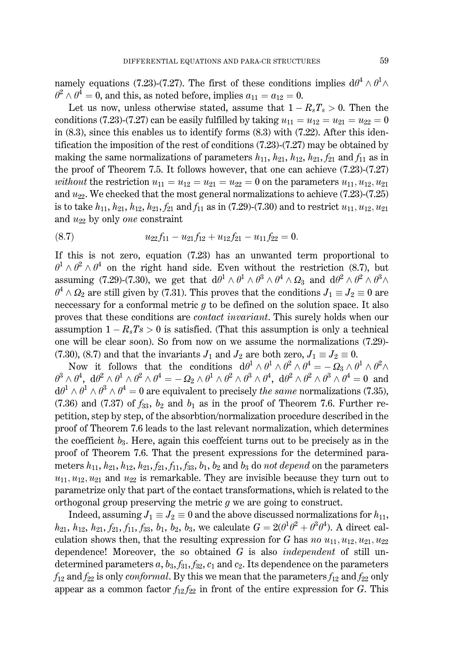namely equations (7.23)-(7.27). The first of these conditions implies  $d\theta^4 \wedge \theta^1 \wedge$  $\theta^2 \wedge \theta^4 = 0$ , and this, as noted before, implies  $a_{11} = a_{12} = 0$ .

Let us now, unless otherwise stated, assume that  $1 - R_sT_s > 0$ . Then the conditions (7.23)-(7.27) can be easily fulfilled by taking  $u_{11} = u_{12} = u_{21} = u_{22} = 0$ in  $(8.3)$ , since this enables us to identify forms  $(8.3)$  with  $(7.22)$ . After this identification the imposition of the rest of conditions  $(7.23)-(7.27)$  may be obtained by making the same normalizations of parameters  $h_{11}$ ,  $h_{21}$ ,  $h_{12}$ ,  $h_{21}$ ,  $f_{21}$  and  $f_{11}$  as in the proof of Theorem 7.5. It follows however, that one can achieve  $(7.23)-(7.27)$ *without* the restriction  $u_{11} = u_{12} = u_{21} = u_{22} = 0$  on the parameters  $u_{11}, u_{12}, u_{21}$ and  $u_{22}$ . We checked that the most general normalizations to achieve (7.23)-(7.25) is to take  $h_{11}$ ,  $h_{21}$ ,  $h_{12}$ ,  $h_{21}$ ,  $f_{21}$  and  $f_{11}$  as in (7.29)-(7.30) and to restrict  $u_{11}$ ,  $u_{12}$ ,  $u_{21}$ and  $u_{22}$  by only one constraint

$$
(8.7) \t\t u_{22}f_{11} - u_{21}f_{12} + u_{12}f_{21} - u_{11}f_{22} = 0.
$$

If this is not zero, equation  $(7.23)$  has an unwanted term proportional to  $\theta^1 \wedge \theta^2 \wedge \theta^4$  on the right hand side. Even without the restriction (8.7), but assuming (7.29)-(7.30), we get that  $d\theta^1 \wedge \theta^1 \wedge \theta^3 \wedge \theta^4 \wedge \Omega_3$  and  $d\theta^2 \wedge \theta^2 \wedge \theta^3 \wedge \Omega_3$  $\theta^4 \wedge \Omega_2$  are still given by (7.31). This proves that the conditions  $J_1 \equiv J_2 \equiv 0$  are necessary for a conformal metric  $g$  to be defined on the solution space. It also proves that these conditions are *contact invariant*. This surely holds when our assumption  $1 - R_sT_s > 0$  is satisfied. (That this assumption is only a technical one will be clear soon). So from now on we assume the normalizations (7.29)-(7.30), (8.7) and that the invariants  $J_1$  and  $J_2$  are both zero,  $J_1 \equiv J_2 \equiv 0$ .

Now it follows that the conditions  $d\theta^1 \wedge \theta^1 \wedge \theta^2 \wedge \theta^4 = -\Omega_3 \wedge \theta^1 \wedge \theta^2 \wedge$  $\theta^3 \wedge \theta^4$ ,  $d\theta^2 \wedge \theta^1 \wedge \theta^2 \wedge \theta^4 = -\Omega_2 \wedge \theta^1 \wedge \theta^2 \wedge \theta^3 \wedge \theta^4$ ,  $d\theta^2 \wedge \theta^2 \wedge \theta^3 \wedge \theta^4 = 0$  and  $d\theta^1 \wedge \theta^1 \wedge \theta^3 \wedge \theta^4 = 0$  are equivalent to precisely the same normalizations (7.35),  $(7.36)$  and  $(7.37)$  of  $f_{33}$ ,  $b_2$  and  $b_1$  as in the proof of Theorem 7.6. Further repetition, step by step, of the absorbtion/normalization procedure described in the proof of Theorem 7.6 leads to the last relevant normalization, which determines the coefficient  $b_3$ . Here, again this coefficient turns out to be precisely as in the proof of Theorem 7.6. That the present expressions for the determined parameters  $h_{11}$ ,  $h_{21}$ ,  $h_{12}$ ,  $h_{21}$ ,  $f_{21}$ ,  $f_{11}$ ,  $f_{33}$ ,  $b_1$ ,  $b_2$  and  $b_3$  do not depend on the parameters  $u_{11}, u_{12}, u_{21}$  and  $u_{22}$  is remarkable. They are invisible because they turn out to parametrize only that part of the contact transformations, which is related to the orthogonal group preserving the metric  $g$  we are going to construct.

Indeed, assuming  $J_1 \equiv J_2 \equiv 0$  and the above discussed normalizations for  $h_{11}$ ,  $h_{21}$ ,  $h_{12}$ ,  $h_{21}$ ,  $f_{21}$ ,  $f_{11}$ ,  $f_{33}$ ,  $b_1$ ,  $b_2$ ,  $b_3$ , we calculate  $G = 2(\theta^1\theta^2 + \theta^3\theta^4)$ . A direct calculation shows then, that the resulting expression for G has no  $u_{11}, u_{12}, u_{21}, u_{22}$ dependence! Moreover, the so obtained  $G$  is also *independent* of still undetermined parameters a,  $b_3$ ,  $f_{31}$ ,  $f_{32}$ ,  $c_1$  and  $c_2$ . Its dependence on the parameters  $f_{12}$  and  $f_{22}$  is only *conformal*. By this we mean that the parameters  $f_{12}$  and  $f_{22}$  only appear as a common factor  $f_{12}f_{22}$  in front of the entire expression for G. This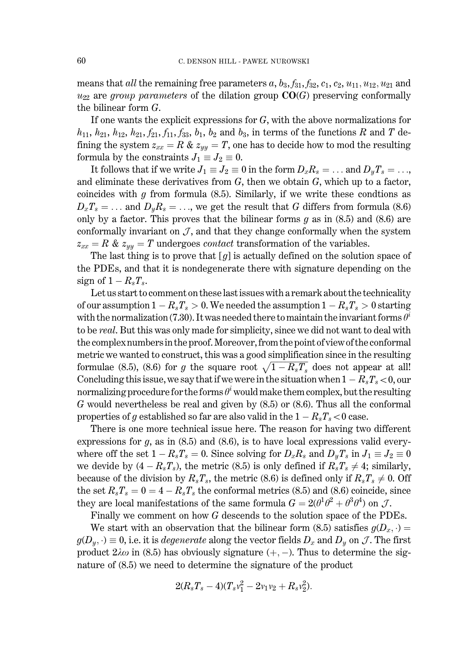means that all the remaining free parameters  $a, b_3, f_{31}, f_{32}, c_1, c_2, u_{11}, u_{12}, u_{21}$  and  $u_{22}$  are group parameters of the dilation group  $CO(G)$  preserving conformally the bilinear form  $G$ .

If one wants the explicit expressions for  $G$ , with the above normalizations for  $h_{11}$ ,  $h_{21}$ ,  $h_{12}$ ,  $h_{21}$ ,  $f_{21}$ ,  $f_{11}$ ,  $f_{33}$ ,  $b_1$ ,  $b_2$  and  $b_3$ , in terms of the functions R and T defining the system  $z_{xx} = R \& z_{yy} = T$ , one has to decide how to mod the resulting formula by the constraints  $J_1 \equiv J_2 \equiv 0$ .

It follows that if we write  $J_1 \equiv J_2 \equiv 0$  in the form  $D_x R_s = \dots$  and  $D_y T_s = \dots$ and eliminate these derivatives from  $G$ , then we obtain  $G$ , which up to a factor, coincides with  $g$  from formula  $(8.5)$ . Similarly, if we write these condtions as  $D_xT_s = \ldots$  and  $D_yR_s = \ldots$ , we get the result that G differs from formula (8.6) only by a factor. This proves that the bilinear forms  $g$  as in  $(8.5)$  and  $(8.6)$  are conformally invariant on  $\mathcal{J}$ , and that they change conformally when the system  $z_{xx} = R \& z_{yy} = T$  undergoes *contact* transformation of the variables.

The last thing is to prove that  $[g]$  is actually defined on the solution space of the PDEs, and that it is nondegenerate there with signature depending on the sign of  $1 - R_sT_s$ .

Let us start to comment on these last issues with a remark about the technicality of our assumption  $1 - R_sT_s > 0$ . We needed the assumption  $1 - R_sT_s > 0$  starting with the normalization (7.30). It was needed there to maintain the invariant forms  $\theta^i$ to be real. But this was only made for simplicity, since we did not want to deal with the complex numbers in the proof. Moreover, from the point of view of the conformal metric we wanted to construct, this was a good simplification since in the resulting formulae (8.5), (8.6) for g the square root  $\sqrt{1-R_sT_s}$  does not appear at all! Concluding this issue, we say that if we were in the situation when  $1 - R_sT_s < 0$ , our normalizing procedure for the forms  $\theta^i$  would make them complex, but the resulting  $G$  would nevertheless be real and given by  $(8.5)$  or  $(8.6)$ . Thus all the conformal properties of g established so far are also valid in the  $1 - R_s T_s < 0$  case.

There is one more technical issue here. The reason for having two different expressions for  $g$ , as in  $(8.5)$  and  $(8.6)$ , is to have local expressions valid everywhere off the set  $1 - R_sT_s = 0$ . Since solving for  $D_xR_s$  and  $D_yT_s$  in  $J_1 \equiv J_2 \equiv 0$ we devide by  $(4 - R_sT_s)$ , the metric (8.5) is only defined if  $R_sT_s \neq 4$ ; similarly, because of the division by  $R_sT_s$ , the metric (8.6) is defined only if  $R_sT_s\neq 0$ . Off the set  $R_sT_s = 0 = 4 - R_sT_s$  the conformal metrics (8.5) and (8.6) coincide, since they are local manifestations of the same formula  $G = 2(\theta^1\theta^2 + \theta^3\theta^4)$  on  $\mathcal{J}$ .

Finally we comment on how  $G$  descends to the solution space of the PDEs.

We start with an observation that the bilinear form (8.5) satisfies  $g(D_x, \cdot)$  $g(D_y, \cdot) \equiv 0$ , i.e. it is *degenerate* along the vector fields  $D_x$  and  $D_y$  on J. The first product  $2\lambda\omega$  in (8.5) has obviously signature (+, -). Thus to determine the signature of (8.5) we need to determine the signature of the product

$$
2(R_sT_s-4)(T_sv_1^2-2v_1v_2+R_sv_2^2).
$$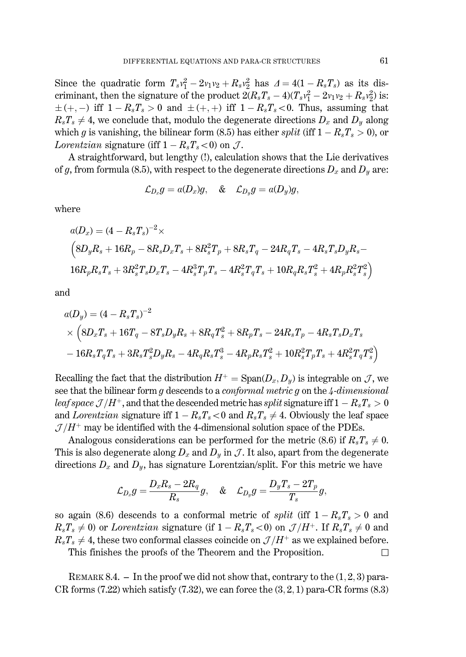Since the quadratic form  $T_s v_1^2 - 2v_1v_2 + R_s v_2^2$  has  $\Delta = 4(1 - R_sT_s)$  as its discriminant, then the signature of the product  $2(R_sT_s-4)(T_sv_1^2-2v_1v_2+R_sv_2^2)$  is:  $\pm (+,-)$  iff  $1 - R_sT_s > 0$  and  $\pm (+,+)$  iff  $1 - R_sT_s < 0$ . Thus, assuming that  $R_sT_s \neq 4$ , we conclude that, modulo the degenerate directions  $D_x$  and  $D_y$  along which g is vanishing, the bilinear form (8.5) has either split (iff  $1 - R_sT_s > 0$ ), or *Lorentzian* signature (iff  $1 - R_sT_s < 0$ ) on J.

A straightforward, but lengthy (!), calculation shows that the Lie derivatives of g, from formula (8.5), with respect to the degenerate directions  $D_x$  and  $D_y$  are:

$$
\mathcal{L}_{D_x}g=a(D_x)g,\quad \&\quad\mathcal{L}_{D_y}g=a(D_y)g,
$$

where

$$
a(D_x) = (4 - R_sT_s)^{-2} \times
$$
  
\n
$$
(8D_yR_s + 16R_p - 8R_sD_xT_s + 8R_s^2T_p + 8R_sT_q - 24R_qT_s - 4R_sT_sD_yR_s -
$$
  
\n
$$
16R_pR_sT_s + 3R_s^2T_sD_xT_s - 4R_s^3T_pT_s - 4R_s^2T_qT_s + 10R_qR_sT_s^2 + 4R_pR_s^2T_s^2)
$$

and

$$
\begin{aligned} &a(D_y) = (4-R_sT_s)^{-2} \\ &\times \left(8D_xT_s + 16T_q - 8T_sD_yR_s + 8R_qT_s^2 + 8R_pT_s - 24R_sT_p - 4R_sT_sD_xT_s \right. \\ &\left. - 16R_sT_qT_s + 3R_sT_s^2D_yR_s - 4R_qR_sT_s^3 - 4R_pR_sT_s^2 + 10R_s^2T_pT_s + 4R_s^2T_qT_s^2 \right) \end{aligned}
$$

Recalling the fact that the distribution  $H^+ = \text{Span}(D_x, D_y)$  is integrable on J, we see that the bilinear form  $g$  descends to a *conformal metric*  $g$  on the  $4$ -dimensional leaf space  $\mathcal{J}/H^+$ , and that the descended metric has split signature iff  $1 - R_sT_s > 0$ and Lorentzian signature iff  $1 - R_sT_s < 0$  and  $R_sT_s \neq 4$ . Obviously the leaf space  $\mathcal{J}/H^+$  may be identified with the 4-dimensional solution space of the PDEs.

Analogous considerations can be performed for the metric (8.6) if  $R_sT_s \neq 0$ . This is also degenerate along  $D_x$  and  $D_y$  in J. It also, apart from the degenerate directions  $D_x$  and  $D_y$ , has signature Lorentzian/split. For this metric we have

$$
\mathcal{L}_{D_x}g=\frac{D_xR_s-2R_q}{R_s}g,\quad \&\quad \mathcal{L}_{D_y}g=\frac{D_yT_s-2T_p}{T_s}g,
$$

so again (8.6) descends to a conformal metric of *split* (iff  $1 - R_sT_s > 0$  and  $R_sT_s \neq 0$  or Lorentzian signature (if  $1 - R_sT_s < 0$ ) on  $\mathcal{J}/H^+$ . If  $R_sT_s \neq 0$  and  $R_sT_s \neq 4$ , these two conformal classes coincide on  $\mathcal{J}/H^+$  as we explained before.  $\Box$ 

This finishes the proofs of the Theorem and the Proposition.

REMARK 8.4.  $-$  In the proof we did not show that, contrary to the  $(1, 2, 3)$  para-CR forms  $(7.22)$  which satisfy  $(7.32)$ , we can force the  $(3, 2, 1)$  para-CR forms  $(8.3)$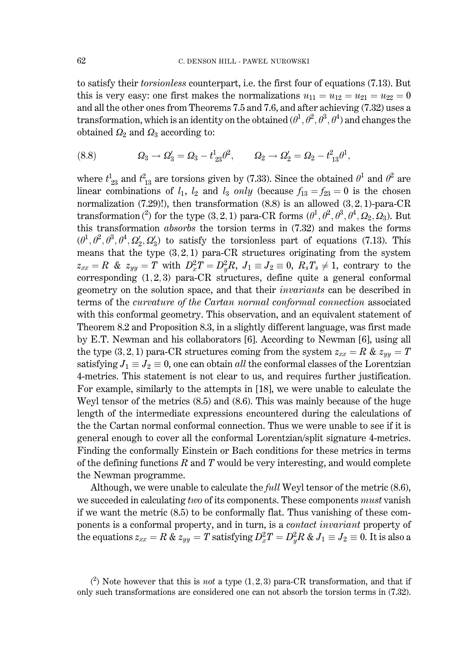to satisfy their *torsionless* counterpart, i.e. the first four of equations (7.13). But this is very easy: one first makes the normalizations  $u_{11} = u_{12} = u_{21} = u_{22} = 0$ and all the other ones from Theorems 7.5 and 7.6, and after achieving (7.32) uses a transformation, which is an identity on the obtained  $(\theta^1, \theta^2, \theta^3, \theta^4)$  and changes the obtained  $\Omega_2$  and  $\Omega_3$  according to:

(8.8) 
$$
\Omega_3 \to \Omega'_3 = \Omega_3 - t_{23}^1 \theta^2, \qquad \Omega_2 \to \Omega'_2 = \Omega_2 - t_{13}^2 \theta^1,
$$

where  $t_{23}^1$  and  $t_{13}^2$  are torsions given by (7.33). Since the obtained  $\theta^1$  and  $\theta^2$  are linear combinations of  $l_1$ ,  $l_2$  and  $l_3$  only (because  $f_{13} = f_{23} = 0$  is the chosen normalization  $(7.29)!$ , then transformation  $(8.8)$  is an allowed  $(3,2,1)$ -para-CR transformation (2) for the type (3, 2, 1) para-CR forms  $(\theta^1, \theta^2, \theta^3, \theta^4, \Omega_2, \Omega_3)$ . But this transformation *absorbs* the torsion terms in  $(7.32)$  and makes the forms  $(\theta^1, \theta^2, \theta^3, \theta^4, \Omega'_2, \Omega'_3)$  to satisfy the torsionless part of equations (7.13). This means that the type  $(3,2,1)$  para-CR structures originating from the system  $z_{xx} = R$  &  $z_{yy} = T$  with  $D_x^2 T = D_y^2 R$ ,  $J_1 \equiv J_2 \equiv 0$ ,  $R_s T_s \neq 1$ , contrary to the corresponding  $(1,2,3)$  para-CR structures, define quite a general conformal geometry on the solution space, and that their *invariants* can be described in terms of the *curvature of the Cartan normal conformal connection* associated with this conformal geometry. This observation, and an equivalent statement of Theorem 8.2 and Proposition 8.3, in a slightly different language, was first made by E.T. Newman and his collaborators [6]. According to Newman [6], using all the type (3, 2, 1) para-CR structures coming from the system  $z_{xx} = R \& z_{yy} = T$ satisfying  $J_1 \equiv J_2 \equiv 0$ , one can obtain all the conformal classes of the Lorentzian 4-metrics. This statement is not clear to us, and requires further justification. For example, similarly to the attempts in [18], we were unable to calculate the Weyl tensor of the metrics  $(8.5)$  and  $(8.6)$ . This was mainly because of the huge length of the intermediate expressions encountered during the calculations of the the Cartan normal conformal connection. Thus we were unable to see if it is general enough to cover all the conformal Lorentzian/split signature 4-metrics. Finding the conformally Einstein or Bach conditions for these metrics in terms of the defining functions  $R$  and  $T$  would be very interesting, and would complete the Newman programme.

Although, we were unable to calculate the *full* Weyl tensor of the metric (8.6), we succeded in calculating two of its components. These components *must* vanish if we want the metric  $(8.5)$  to be conformally flat. Thus vanishing of these components is a conformal property, and in turn, is a *contact invariant* property of the equations  $z_{xx} = R \& z_{yy} = T$  satisfying  $D_x^2 T = D_y^2 R \& J_1 \equiv J_2 \equiv 0$ . It is also a

 $\binom{2}{1}$  Note however that this is *not* a type (1, 2, 3) para-CR transformation, and that if only such transformations are considered one can not absorb the torsion terms in (7.32).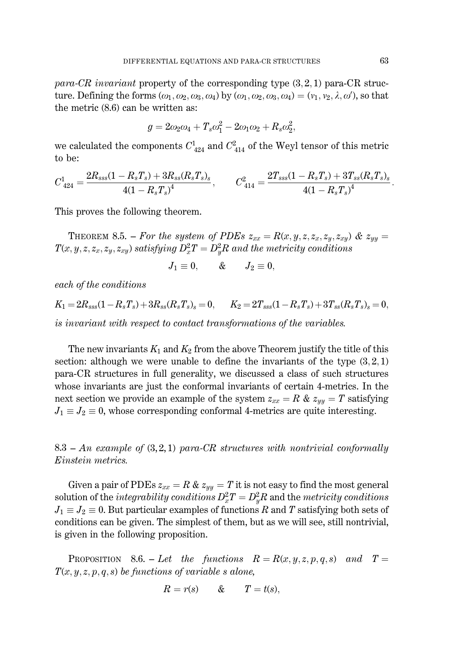para-CR invariant property of the corresponding type  $(3,2,1)$  para-CR structure. Defining the forms  $(\omega_1, \omega_2, \omega_3, \omega_4)$  by  $(\omega_1, \omega_2, \omega_3, \omega_4) = (\nu_1, \nu_2, \lambda, \omega')$ , so that the metric  $(8.6)$  can be written as:

$$
g = 2\omega_2\omega_4 + T_s\omega_1^2 - 2\omega_1\omega_2 + R_s\omega_2^2,
$$

we calculated the components  $C_{424}^1$  and  $C_{414}^2$  of the Weyl tensor of this metric to be:

$$
C_{\ 424}^1=\frac{2R_{sss}(1-R_sT_s)+3R_{ss}(R_sT_s)_s}{4(1-R_sT_s)^4},\qquad C_{\ 414}^2=\frac{2T_{sss}(1-R_sT_s)+3T_{ss}(R_sT_s)_s}{4(1-R_sT_s)^4}.
$$

This proves the following theorem.

THEOREM 8.5. – For the system of PDEs  $z_{xx} = R(x, y, z, z_x, z_y, z_{xy})$  &  $z_{yy} =$  $T(x, y, z, z_x, z_y, z_{xy})$  satisfying  $D_x^2T = D_y^2R$  and the metricity conditions

$$
J_1 \equiv 0, \qquad \& \qquad J_2 \equiv 0,
$$

each of the conditions

 $K_1 = 2R_{\rm sss}(1 - R_sT_s) + 3R_{\rm ss}(R_sT_s)_{\rm s} = 0, \qquad K_2 = 2T_{\rm sss}(1 - R_sT_s) + 3T_{\rm ss}(R_sT_s)_{\rm s} = 0.$ is invariant with respect to contact transformations of the variables.

The new invariants  $K_1$  and  $K_2$  from the above Theorem justify the title of this section: although we were unable to define the invariants of the type  $(3,2,1)$ para-CR structures in full generality, we discussed a class of such structures whose invariants are just the conformal invariants of certain 4-metrics. In the next section we provide an example of the system  $z_{xx} = R \& z_{yy} = T$  satisfying  $J_1 \equiv J_2 \equiv 0$ , whose corresponding conformal 4-metrics are quite interesting.

 $8.3$  – An example of  $(3,2,1)$  para-CR structures with nontrivial conformally Einstein metrics.

Given a pair of PDEs  $z_{xx} = R \& z_{yy} = T$  it is not easy to find the most general solution of the *integrability conditions*  $D_x^2 T = D_y^2 R$  and the *metricity conditions*  $J_1 \equiv J_2 \equiv 0$ . But particular examples of functions R and T satisfying both sets of conditions can be given. The simplest of them, but as we will see, still nontrivial, is given in the following proposition.

**PROPOSITION** 8.6. - Let the functions  $R = R(x, y, z, p, q, s)$  and  $T =$  $T(x, y, z, p, q, s)$  be functions of variable s alone,

$$
R = r(s) \qquad & T = t(s),
$$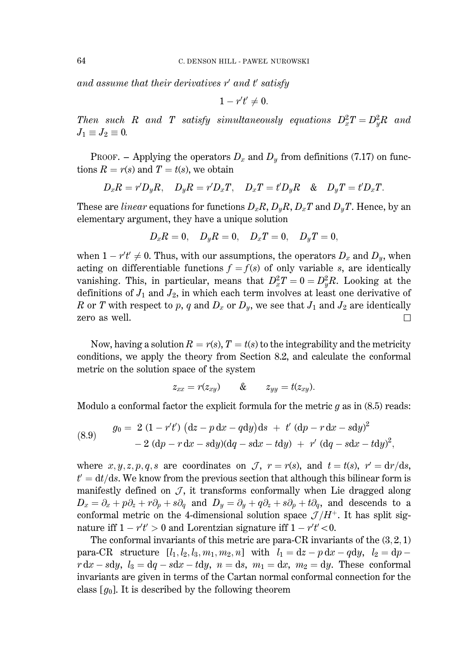and assume that their derivatives  $r'$  and  $t'$  satisfy

$$
1-r't'\neq 0.
$$

Then such R and T satisfy simultaneously equations  $D_x^2 T = D_y^2 R$  and  $J_1 \equiv J_2 \equiv 0.$ 

PROOF. – Applying the operators  $D_x$  and  $D_y$  from definitions (7.17) on functions  $R = r(s)$  and  $T = t(s)$ , we obtain

$$
D_xR=r'D_yR,\quad D_yR=r'D_xT,\quad D_xT=t'D_yR\quad \&\quad D_yT=t'D_xT.
$$

These are *linear* equations for functions  $D_xR$ ,  $D_yR$ ,  $D_xT$  and  $D_yT$ . Hence, by an elementary argument, they have a unique solution

$$
D_x R = 0, \quad D_y R = 0, \quad D_x T = 0, \quad D_y T = 0,
$$

when  $1 - r't' \neq 0$ . Thus, with our assumptions, the operators  $D_x$  and  $D_y$ , when acting on differentiable functions  $f = f(s)$  of only variable s, are identically vanishing. This, in particular, means that  $D_x^2T = 0 = D_y^2R$ . Looking at the definitions of  $J_1$  and  $J_2$ , in which each term involves at least one derivative of R or T with respect to p, q and  $D_x$  or  $D_y$ , we see that  $J_1$  and  $J_2$  are identically zero as well.  $\Box$ 

Now, having a solution  $R = r(s)$ ,  $T = t(s)$  to the integrability and the metricity conditions, we apply the theory from Section 8.2, and calculate the conformal metric on the solution space of the system

$$
z_{xx}=r(z_{xy}) \qquad \& \qquad z_{yy}=t(z_{xy}).
$$

Modulo a conformal factor the explicit formula for the metric  $g$  as in (8.5) reads:

(8.9) 
$$
g_0 = 2 (1 - r't') (dz - p dx - q dy) ds + t' (dp - r dx - s dy)^2 - 2 (dp - r dx - s dy)(dq - s dx - t dy) + r' (dq - s dx - t dy)^2,
$$

where  $x, y, z, p, q, s$  are coordinates on  $\mathcal{J}$ ,  $r = r(s)$ , and  $t = t(s)$ ,  $r' = dr/ds$ ,  $t' = dt/ds$ . We know from the previous section that although this bilinear form is manifestly defined on  $J$ , it transforms conformally when Lie dragged along  $D_x = \partial_x + p\partial_z + r\partial_p + s\partial_q$  and  $D_y = \partial_y + q\partial_z + s\partial_p + t\partial_q$ , and descends to a conformal metric on the 4-dimensional solution space  $\mathcal{J}/H^+$ . It has split signature iff  $1 - r't' > 0$  and Lorentzian signature iff  $1 - r't' < 0$ .

The conformal invariants of this metric are para-CR invariants of the  $(3,2,1)$ para-CR structure  $[l_1, l_2, l_3, m_1, m_2, n]$  with  $l_1 = dz - p dx - q dy$ ,  $l_2 = dp$  $r dx - s dy$ ,  $l_3 = dq - s dx - t dy$ ,  $n = ds$ ,  $m_1 = dx$ ,  $m_2 = dy$ . These conformal invariants are given in terms of the Cartan normal conformal connection for the class  $[g_0]$ . It is described by the following theorem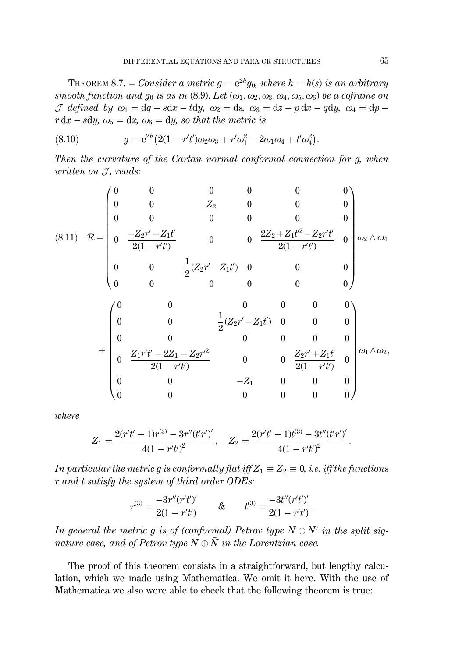THEOREM 8.7. – Consider a metric  $g = e^{2h}g_0$ , where  $h = h(s)$  is an arbitrary smooth function and  $g_0$  is as in (8.9). Let  $(\omega_1, \omega_2, \omega_3, \omega_4, \omega_5, \omega_6)$  be a coframe on *J* defined by  $\omega_1 = dq - sdx - tdy$ ,  $\omega_2 = ds$ ,  $\omega_3 = dz - p dx - q dy$ ,  $\omega_4 = dp$  $r dx - s dy$ ,  $\omega_5 = dx$ ,  $\omega_6 = dy$ , so that the metric is

(8.10) 
$$
g = e^{2h} \left( 2(1 - r't')\omega_2\omega_3 + r'\omega_1^2 - 2\omega_1\omega_4 + t'\omega_4^2 \right)
$$

Then the curvature of the Cartan normal conformal connection for g, when written on  $J$ , reads:

$$
(8.11) \quad \mathcal{R} = \begin{pmatrix}\n0 & 0 & 0 & 0 & 0 & 0 \\
0 & 0 & Z_2 & 0 & 0 & 0 \\
0 & 0 & 0 & 0 & 0 & 0 \\
0 & \frac{-Z_2r'-Z_1t'}{2(1-r't)} & 0 & 0 & \frac{2Z_2+Z_1t'^2-Z_2r't'}{2(1-r't')} & 0 \\
0 & 0 & \frac{1}{2}(Z_2r'-Z_1t') & 0 & 0 & 0 \\
0 & 0 & 0 & 0 & 0 & 0\n\end{pmatrix}
$$
\n
$$
+ \begin{pmatrix}\n0 & 0 & 0 & 0 & 0 & 0 & 0 \\
0 & 0 & \frac{1}{2}(Z_2r'-Z_1t') & 0 & 0 & 0 \\
0 & 0 & 0 & 0 & 0 & 0 & 0 \\
0 & 0 & 0 & 0 & 0 & 0 & 0 \\
0 & \frac{Z_1r't'-2Z_1-Z_2r'^2}{2(1-r't')} & 0 & 0 & \frac{Z_2r'+Z_1t'}{2(1-r't')} & 0 \\
0 & 0 & 0 & 0 & 0 & 0\n\end{pmatrix} \omega_1 \wedge \omega_2,
$$

where

$$
Z_1=\frac{2(r't'-1)r^{(3)}-3r''(t'r')'}{4(1-r't')^2}, \quad Z_2=\frac{2(r't'-1)t^{(3)}-3t''(t'r')'}{4(1-r't')^2}
$$

In particular the metric g is conformally flat iff  $Z_1 \equiv Z_2 \equiv 0$ , i.e. iff the functions  $\boldsymbol{r}$  and  $\boldsymbol{t}$  satisfy the system of third order ODEs:

$$
r^{(3)} = \frac{-3r''(r't')'}{2(1-r't')} \qquad & \text{if} \qquad t^{(3)} = \frac{-3t''(r't')'}{2(1-r't')}.
$$

In general the metric g is of (conformal) Petrov type  $N \oplus N'$  in the split signature case, and of Petrov type  $N \oplus \overline{N}$  in the Lorentzian case.

The proof of this theorem consists in a straightforward, but lengthy calculation, which we made using Mathematica. We omit it here. With the use of Mathematica we also were able to check that the following theorem is true: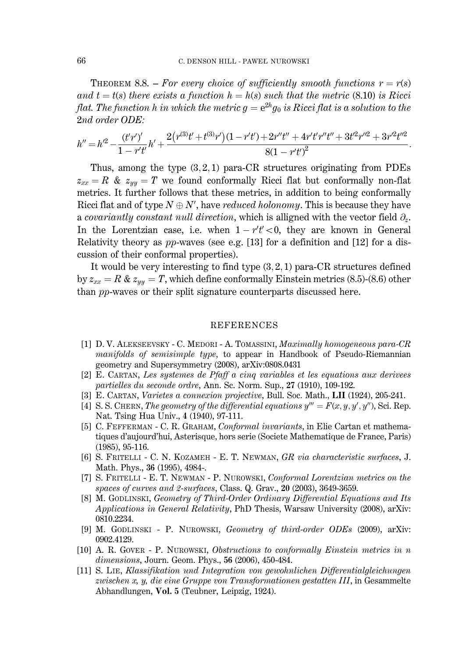THEOREM 8.8. – For every choice of sufficiently smooth functions  $r = r(s)$ and  $t = t(s)$  there exists a function  $h = h(s)$  such that the metric (8.10) is Ricci flat. The function h in which the metric  $g = e^{2h}g_0$  is Ricci flat is a solution to the 2nd order ODE:

$$
h'' = h'^2 - \frac{(t'r')'}{1 - r't'}h' + \frac{2(r^{(3)}t' + t^{(3)}r')(1 - r't') + 2r''t'' + 4r't'r''t'' + 3t'^2r''^2 + 3r'^2t''^2}{8(1 - r't')^2}.
$$

Thus, among the type  $(3,2,1)$  para-CR structures originating from PDEs  $z_{xx} = R \& z_{yy} = T$  we found conformally Ricci flat but conformally non-flat metrics. It further follows that these metrics, in addition to being conformally Ricci flat and of type  $N \oplus N'$ , have *reduced holonomy*. This is because they have a covariantly constant null direction, which is alligned with the vector field  $\partial_z$ . In the Lorentzian case, i.e. when  $1 - r't' < 0$ , they are known in General Relativity theory as  $pp$ -waves (see e.g. [13] for a definition and [12] for a discussion of their conformal properties).

It would be very interesting to find type  $(3,2,1)$  para-CR structures defined by  $z_{xx} = R \& z_{yy} = T$ , which define conformally Einstein metrics (8.5)-(8.6) other than pp-waves or their split signature counterparts discussed here.

#### **REFERENCES**

- [1] D. V. ALEKSEEVSKY C. MEDORI A. TOMASSINI, Maximally homogeneous para-CR *manifolds of semisimple type*, to appear in Handbook of Pseudo-Riemannian geometry and Supersymmetry (2008), arXiv:0808.0431
- [2] E. CARTAN, Les systemes de Pfaff a cinq variables et les equations aux derivees partielles du seconde ordre, Ann. Sc. Norm. Sup., 27 (1910), 109-192.
- [3] E. CARTAN, Varietes a connexion projective, Bull. Soc. Math., LII (1924), 205-241.
- [4] S. S. CHERN, The geometry of the differential equations  $y''' = F(x, y, y', y'')$ , Sci. Rep. Nat. Tsing Hua Univ., 4 (1940), 97-111.
- [5] C. FEFFERMAN C. R. GRAHAM, Conformal invariants, in Elie Cartan et mathematiques d'aujourd'hui, Asterisque, hors serie (Societe Mathematique de France, Paris)  $(1985), 95-116.$
- [6] S. FRITELLI C. N. KOZAMEH E. T. NEWMAN, GR via characteristic surfaces, J. Math. Phys., 36 (1995), 4984-.
- [7] S. FRITELLI E. T. NEWMAN P. NUROWSKI, Conformal Lorentzian metrics on the spaces of curves and 2-surfaces, Class. Q. Grav., 20 (2003), 3649-3659.
- [8] M. GODLINSKI, Geometry of Third-Order Ordinary Differential Equations and Its Applications in General Relativity, PhD Thesis, Warsaw University (2008), arXiv: 0810.2234.
- [9] M. GODLINSKI P. NUROWSKI, Geometry of third-order ODEs (2009), arXiv: 0902.4129.
- [10] A. R. GOVER P. NUROWSKI, Obstructions to conformally Einstein metrics in  $n$ dimensions, Journ. Geom. Phys., 56 (2006), 450-484.
- [11] S. LIE, Klassifikation und Integration von gewohnlichen Differentialgleichungen zwischen  $x, y$ , die eine Gruppe von Transformationen gestatten III, in Gesammelte Abhandlungen, Vol. 5 (Teubner, Leipzig, 1924).